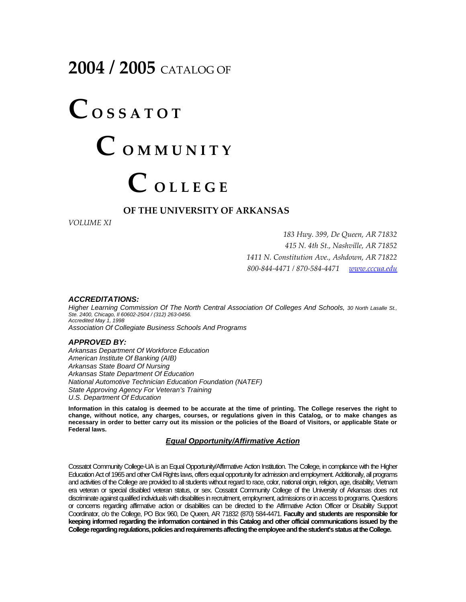## **2004 / 2005** CATALOG OF

# $\mathbf{C}$  **O S S A T O T C <sup>O</sup> <sup>M</sup> <sup>M</sup> <sup>U</sup> <sup>N</sup> <sup>I</sup> <sup>T</sup> <sup>Y</sup>**  $C$  *OLLEGE*

#### **OF THE UNIVERSITY OF ARKANSAS**

*VOLUME XI*

 *Hwy. 399, De Queen, AR 71832 N. 4th St., Nashville, AR 71852 N. Constitution Ave., Ashdown, AR 71822 ‐844‐4471 / 870‐584‐4471 [www.cccua.edu](http://www.cccua.edu/)*

#### *ACCREDITATIONS:*

*Higher Learning Commission Of The North Central Association Of Colleges And Schools, 30 North Lasalle St., Ste. 2400, Chicago, Il 60602-2504 / (312) 263-0456. Accredited May 1, 1998 Association Of Collegiate Business Schools And Programs* 

#### *APPROVED BY:*

*Arkansas Department Of Workforce Education American Institute Of Banking (AIB) Arkansas State Board Of Nursing Arkansas State Department Of Education National Automotive Technician Education Foundation (NATEF) State Approving Agency For Veteran's Training U.S. Department Of Education*

**Information in this catalog is deemed to be accurate at the time of printing. The College reserves the right to change, without notice, any charges, courses, or regulations given in this Catalog, or to make changes as necessary in order to better carry out its mission or the policies of the Board of Visitors, or applicable State or Federal laws.** 

#### *Equal Opportunity/Affirmative Action*

Cossatot Community College-UA is an Equal Opportunity/Affirmative Action Institution. The College, in compliance with the Higher Education Act of 1965 and other Civil Rights laws, offers equal opportunity for admission and employment. Additionally, all programs and activities of the College are provided to all students without regard to race, color, national origin, religion, age, disability, Vietnam era veteran or special disabled veteran status, or sex. Cossatot Community College of the University of Arkansas does not discriminate against qualified individuals with disabilities in recruitment, employment, admissions or in access to programs.Questions or concerns regarding affirmative action or disabilities can be directed to the Affirmative Action Officer or Disability Support Coordinator, c/o the College, PO Box 960, De Queen, AR 71832 (870) 584-4471. **Faculty and students are responsible for keeping informed regarding the information contained in this Catalog and other official communications issued by the College regarding regulations, policies and requirements affecting the employee and the student's status at the College.**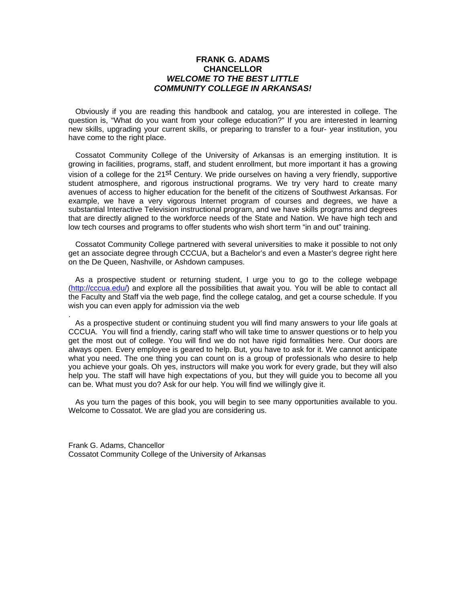#### **FRANK G. ADAMS CHANCELLOR**  *WELCOME TO THE BEST LITTLE COMMUNITY COLLEGE IN ARKANSAS!*

Obviously if you are reading this handbook and catalog, you are interested in college. The question is, "What do you want from your college education?" If you are interested in learning new skills, upgrading your current skills, or preparing to transfer to a four- year institution, you have come to the right place.

 Cossatot Community College of the University of Arkansas is an emerging institution. It is growing in facilities, programs, staff, and student enrollment, but more important it has a growing vision of a college for the 21<sup>st</sup> Century. We pride ourselves on having a very friendly, supportive student atmosphere, and rigorous instructional programs. We try very hard to create many avenues of access to higher education for the benefit of the citizens of Southwest Arkansas. For example, we have a very vigorous Internet program of courses and degrees, we have a substantial Interactive Television instructional program, and we have skills programs and degrees that are directly aligned to the workforce needs of the State and Nation. We have high tech and low tech courses and programs to offer students who wish short term "in and out" training.

 Cossatot Community College partnered with several universities to make it possible to not only get an associate degree through CCCUA, but a Bachelor's and even a Master's degree right here on the De Queen, Nashville, or Ashdown campuses.

 As a prospective student or returning student, I urge you to go to the college webpage [\(http://cccua.edu/\)](http://cccua.edu/) and explore all the possibilities that await you. You will be able to contact all the Faculty and Staff via the web page, find the college catalog, and get a course schedule. If you wish you can even apply for admission via the web

 As a prospective student or continuing student you will find many answers to your life goals at CCCUA. You will find a friendly, caring staff who will take time to answer questions or to help you get the most out of college. You will find we do not have rigid formalities here. Our doors are always open. Every employee is geared to help. But, you have to ask for it. We cannot anticipate what you need. The one thing you can count on is a group of professionals who desire to help you achieve your goals. Oh yes, instructors will make you work for every grade, but they will also help you. The staff will have high expectations of you, but they will guide you to become all you can be. What must you do? Ask for our help. You will find we willingly give it.

 As you turn the pages of this book, you will begin to see many opportunities available to you. Welcome to Cossatot. We are glad you are considering us.

Frank G. Adams, Chancellor Cossatot Community College of the University of Arkansas

.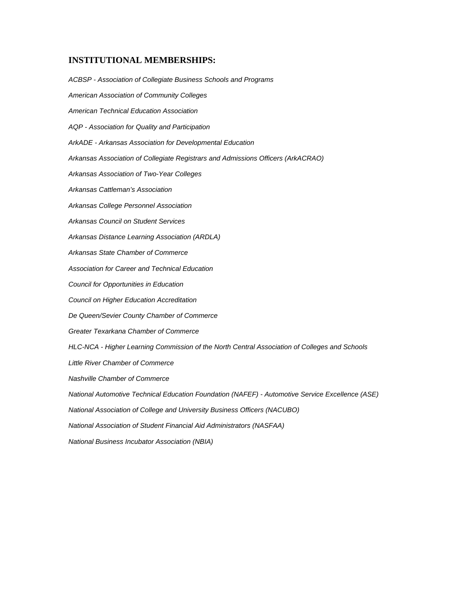#### **INSTITUTIONAL MEMBERSHIPS:**

*ACBSP - Association of Collegiate Business Schools and Programs American Association of Community Colleges American Technical Education Association AQP - Association for Quality and Participation ArkADE - Arkansas Association for Developmental Education Arkansas Association of Collegiate Registrars and Admissions Officers (ArkACRAO) Arkansas Association of Two-Year Colleges Arkansas Cattleman's Association Arkansas College Personnel Association Arkansas Council on Student Services Arkansas Distance Learning Association (ARDLA) Arkansas State Chamber of Commerce Association for Career and Technical Education Council for Opportunities in Education Council on Higher Education Accreditation De Queen/Sevier County Chamber of Commerce Greater Texarkana Chamber of Commerce HLC-NCA - Higher Learning Commission of the North Central Association of Colleges and Schools Little River Chamber of Commerce Nashville Chamber of Commerce National Automotive Technical Education Foundation (NAFEF) - Automotive Service Excellence (ASE) National Association of College and University Business Officers (NACUBO) National Association of Student Financial Aid Administrators (NASFAA) National Business Incubator Association (NBIA)*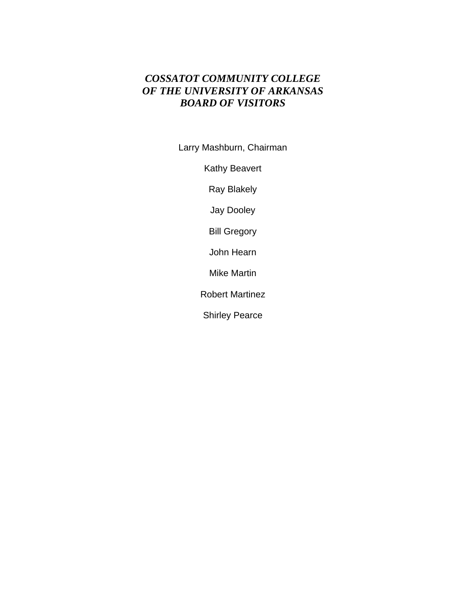### *COSSATOT COMMUNITY COLLEGE OF THE UNIVERSITY OF ARKANSAS BOARD OF VISITORS*

Larry Mashburn, Chairman

Kathy Beavert

Ray Blakely

Jay Dooley

Bill Gregory

John Hearn

Mike Martin

Robert Martinez

Shirley Pearce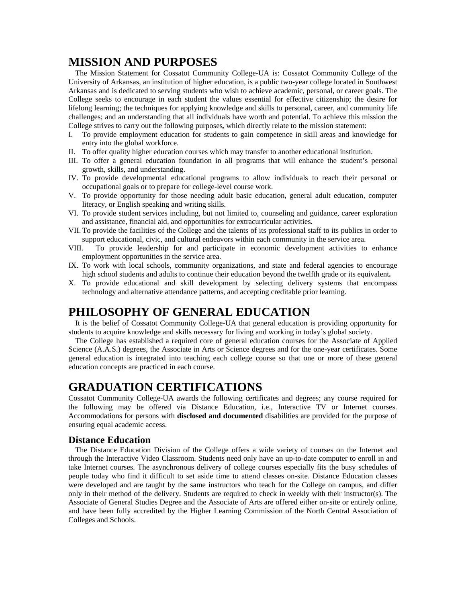### **MISSION AND PURPOSES**

 The Mission Statement for Cossatot Community College-UA is: Cossatot Community College of the University of Arkansas, an institution of higher education, is a public two-year college located in Southwest Arkansas and is dedicated to serving students who wish to achieve academic, personal, or career goals. The College seeks to encourage in each student the values essential for effective citizenship; the desire for lifelong learning; the techniques for applying knowledge and skills to personal, career, and community life challenges; and an understanding that all individuals have worth and potential. To achieve this mission the College strives to carry out the following purposes*,* which directly relate to the mission statement:

- I. To provide employment education for students to gain competence in skill areas and knowledge for entry into the global workforce.
- II. To offer quality higher education courses which may transfer to another educational institution.
- III. To offer a general education foundation in all programs that will enhance the student's personal growth, skills, and understanding.
- IV. To provide developmental educational programs to allow individuals to reach their personal or occupational goals or to prepare for college-level course work.
- V. To provide opportunity for those needing adult basic education, general adult education, computer literacy, or English speaking and writing skills.
- VI. To provide student services including, but not limited to, counseling and guidance, career exploration and assistance, financial aid, and opportunities for extracurricular activities*.*
- VII. To provide the facilities of the College and the talents of its professional staff to its publics in order to support educational, civic, and cultural endeavors within each community in the service area.
- VIII. To provide leadership for and participate in economic development activities to enhance employment opportunities in the service area.
- IX. To work with local schools, community organizations, and state and federal agencies to encourage high school students and adults to continue their education beyond the twelfth grade or its equivalent*.*
- X. To provide educational and skill development by selecting delivery systems that encompass technology and alternative attendance patterns, and accepting creditable prior learning.

### **PHILOSOPHY OF GENERAL EDUCATION**

 It is the belief of Cossatot Community College-UA that general education is providing opportunity for students to acquire knowledge and skills necessary for living and working in today's global society.

 The College has established a required core of general education courses for the Associate of Applied Science (A.A.S.) degrees, the Associate in Arts or Science degrees and for the one-year certificates. Some general education is integrated into teaching each college course so that one or more of these general education concepts are practiced in each course.

### **GRADUATION CERTIFICATIONS**

Cossatot Community College-UA awards the following certificates and degrees; any course required for the following may be offered via Distance Education, i.e., Interactive TV or Internet courses. Accommodations for persons with **disclosed and documented** disabilities are provided for the purpose of ensuring equal academic access.

#### **Distance Education**

 The Distance Education Division of the College offers a wide variety of courses on the Internet and through the Interactive Video Classroom. Students need only have an up-to-date computer to enroll in and take Internet courses. The asynchronous delivery of college courses especially fits the busy schedules of people today who find it difficult to set aside time to attend classes on-site. Distance Education classes were developed and are taught by the same instructors who teach for the College on campus, and differ only in their method of the delivery. Students are required to check in weekly with their instructor(s). The Associate of General Studies Degree and the Associate of Arts are offered either on-site or entirely online, and have been fully accredited by the Higher Learning Commission of the North Central Association of Colleges and Schools.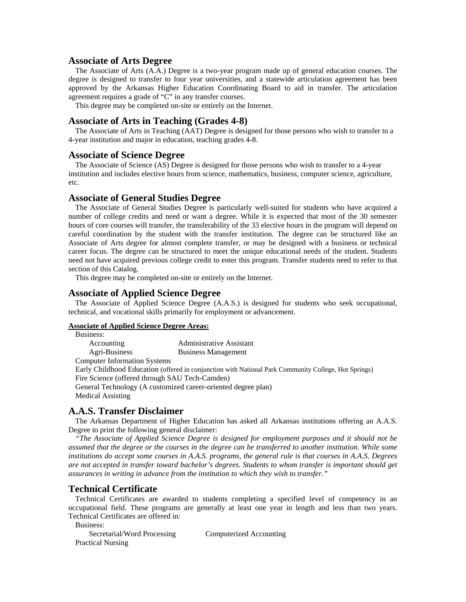#### **Associate of Arts Degree**

 The Associate of Arts (A.A.) Degree is a two-year program made up of general education courses. The degree is designed to transfer to four year universities, and a statewide articulation agreement has been approved by the Arkansas Higher Education Coordinating Board to aid in transfer. The articulation agreement requires a grade of "C" in any transfer courses.

This degree may be completed on-site or entirely on the Internet.

#### **Associate of Arts in Teaching (Grades 4-8)**

The Associate of Arts in Teaching (AAT) Degree is designed for those persons who wish to transfer to a 4-year institution and major in education, teaching grades 4-8.

#### **Associate of Science Degree**

The Associate of Science (AS) Degree is designed for those persons who wish to transfer to a 4-year institution and includes elective hours from science, mathematics, business, computer science, agriculture, etc.

#### **Associate of General Studies Degree**

 The Associate of General Studies Degree is particularly well-suited for students who have acquired a number of college credits and need or want a degree. While it is expected that most of the 30 semester hours of core courses will transfer, the transferability of the 33 elective hours in the program will depend on careful coordination by the student with the transfer institution. The degree can be structured like an Associate of Arts degree for almost complete transfer, or may be designed with a business or technical career focus. The degree can be structured to meet the unique educational needs of the student. Students need not have acquired previous college credit to enter this program. Transfer students need to refer to that section of this Catalog.

This degree may be completed on-site or entirely on the Internet.

#### **Associate of Applied Science Degree**

 The Associate of Applied Science Degree (A.A.S.) is designed for students who seek occupational, technical, and vocational skills primarily for employment or advancement.

#### **Associate of Applied Science Degree Areas:**

 Business: Accounting Administrative Assistant Agri-Business Business Management Computer Information Systems Early Childhood Education (offered in conjunction with National Park Community College, Hot Springs) Fire Science (offered through SAU Tech-Camden) General Technology (A customized career-oriented degree plan) Medical Assisting

#### **A.A.S. Transfer Disclaimer**

 The Arkansas Department of Higher Education has asked all Arkansas institutions offering an A.A.S. Degree to print the following general disclaimer:

 *"The Associate of Applied Science Degree is designed for employment purposes and it should not be assumed that the degree or the courses in the degree can be transferred to another institution. While some institutions do accept some courses in A.A.S. programs, the general rule is that courses in A.A.S. Degrees are not accepted in transfer toward bachelor's degrees. Students to whom transfer is important should get assurances in writing in advance from the institution to which they wish to transfer."* 

#### **Technical Certificate**

 Technical Certificates are awarded to students completing a specified level of competency in an occupational field. These programs are generally at least one year in length and less than two years. Technical Certificates are offered in:

Business:

Secretarial/Word Processing Computerized Accounting Practical Nursing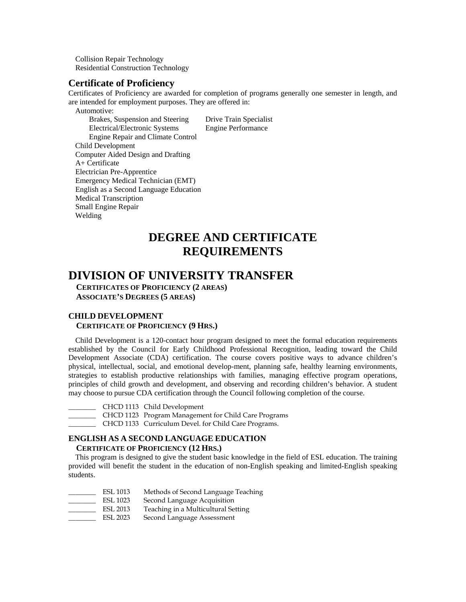Collision Repair Technology Residential Construction Technology

#### **Certificate of Proficiency**

Certificates of Proficiency are awarded for completion of programs generally one semester in length, and are intended for employment purposes. They are offered in:

Automotive:

 Brakes, Suspension and Steering Drive Train Specialist Electrical/Electronic Systems Engine Performance Engine Repair and Climate Control Child Development Computer Aided Design and Drafting A+ Certificate Electrician Pre-Apprentice Emergency Medical Technician (EMT) English as a Second Language Education Medical Transcription Small Engine Repair Welding

### **DEGREE AND CERTIFICATE REQUIREMENTS**

### **DIVISION OF UNIVERSITY TRANSFER**

 **CERTIFICATES OF PROFICIENCY (2 AREAS) ASSOCIATE'S DEGREES (5 AREAS)** 

#### **CHILD DEVELOPMENT CERTIFICATE OF PROFICIENCY (9 HRS.)**

 Child Development is a 120-contact hour program designed to meet the formal education requirements established by the Council for Early Childhood Professional Recognition, leading toward the Child Development Associate (CDA) certification. The course covers positive ways to advance children's physical, intellectual, social, and emotional develop-ment, planning safe, healthy learning environments, strategies to establish productive relationships with families, managing effective program operations, principles of child growth and development, and observing and recording children's behavior. A student may choose to pursue CDA certification through the Council following completion of the course.

- \_\_\_\_\_\_\_\_ CHCD 1113 Child Development
- \_\_\_\_\_\_\_\_ CHCD 1123 Program Management for Child Care Programs
- \_\_\_\_\_\_\_\_ CHCD 1133 Curriculum Devel. for Child Care Programs.

#### **ENGLISH AS A SECOND LANGUAGE EDUCATION CERTIFICATE OF PROFICIENCY (12 HRS.)**

 This program is designed to give the student basic knowledge in the field of ESL education. The training provided will benefit the student in the education of non-English speaking and limited-English speaking students.

| ESL 1013        | Methods of Second Language Teaching |
|-----------------|-------------------------------------|
| <b>ESL 1023</b> | Second Language Acquisition         |
| ESL 2013        | Teaching in a Multicultural Setting |
| ESL 2023        | Second Language Assessment          |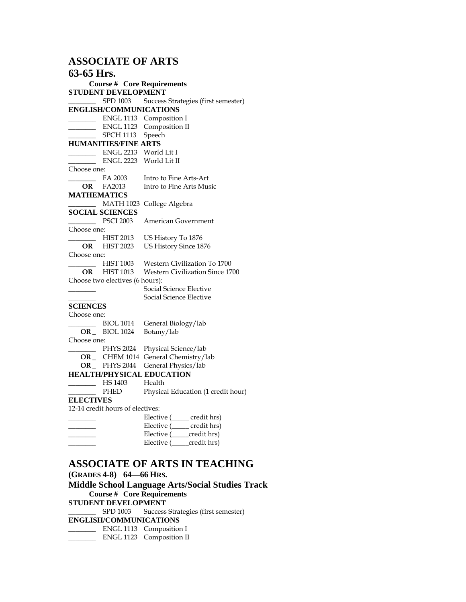#### **ASSOCIATE OF ARTS**

#### **63-65 Hrs. Course # Core Requirements STUDENT DEVELOPMENT**  SPD 1003 Success Strategies (first semester) **ENGLISH/COMMUNICATIONS**  \_\_\_\_\_\_\_\_ ENGL 1113 Composition I **\_\_\_\_\_\_\_\_** ENGL 1123 Composition II **\_\_\_\_\_\_\_\_** SPCH 1113 Speech **HUMANITIES/FINE ARTS \_\_\_\_\_\_\_\_** ENGL 2213 World Lit I **\_\_\_\_\_\_\_\_** ENGL 2223 World Lit II Choose one:<br>FA 2003 Intro to Fine Arts-Art **OR** FA2013 Intro to Fine Arts Music **MATHEMATICS \_\_\_\_\_\_\_\_** MATH 1023 College Algebra **SOCIAL SCIENCES \_\_\_\_\_\_\_\_** PSCI 2003 American Government Choose one: **\_\_\_\_\_\_\_\_** HIST 2013 US History To 1876 **OR** HIST 2023 US History Since 1876 Choose one: **\_\_\_\_\_\_\_\_** HIST 1003 Western Civilization To 1700 **OR** HIST 1013 Western Civilization Since 1700 Choose two electives (6 hours): **\_\_\_\_\_\_\_\_** Social Science Elective **\_\_\_\_\_\_\_\_** Social Science Elective **SCIENCES**  Choose one: BIOL 1014 General Biology/lab **OR \_** BIOL 1024 Botany/lab Choose one: \_\_\_\_\_\_\_\_ PHYS 2024 Physical Science/lab **OR \_** CHEM 1014 General Chemistry/lab **OR \_** PHYS 2044 General Physics/lab **HEALTH/PHYSICAL EDUCATION**  \_\_\_\_\_\_\_\_ HS 1403 Health PHED Physical Education (1 credit hour) **ELECTIVES**  12-14 credit hours of electives: Elective ( \_\_\_\_\_ credit hrs)

| Elective (credit hrs) |
|-----------------------|
| Elective (credit hrs) |
| Elective (credit hrs) |
|                       |

#### **ASSOCIATE OF ARTS IN TEACHING**

**(GRADES 4-8) 64—66 HRS.** 

**Middle School Language Arts/Social Studies Track Course # Core Requirements STUDENT DEVELOPMENT SPD 1003** Success Strategies (first semester) **ENGLISH/COMMUNICATIONS \_\_\_\_\_\_\_\_** ENGL 1113 Composition I **\_\_\_\_\_\_\_\_** ENGL 1123 Composition II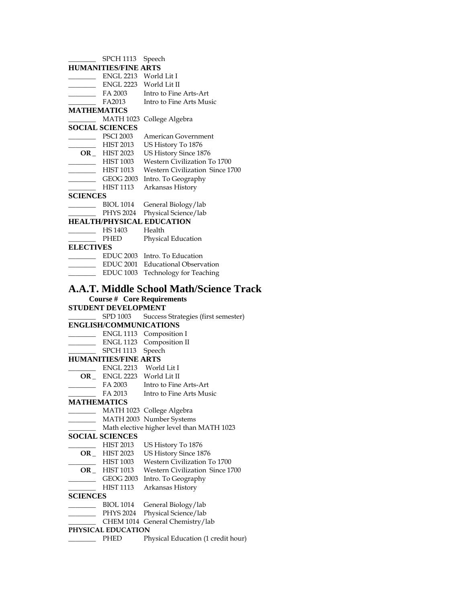|                             | SPCH 1113 Speech            |                                                                                     |
|-----------------------------|-----------------------------|-------------------------------------------------------------------------------------|
|                             | <b>HUMANITIES/FINE ARTS</b> |                                                                                     |
|                             | ENGL 2213 World Lit I       |                                                                                     |
|                             | ENGL 2223 World Lit II      |                                                                                     |
|                             | FA 2003                     | Intro to Fine Arts-Art                                                              |
| $\mathcal{L}^{\mathcal{L}}$ | FA2013                      | Intro to Fine Arts Music                                                            |
| <b>MATHEMATICS</b>          |                             |                                                                                     |
|                             |                             | MATH 1023 College Algebra                                                           |
|                             | <b>SOCIAL SCIENCES</b>      |                                                                                     |
|                             | PSCI 2003                   | American Government                                                                 |
|                             | HIST 2013                   | US History To 1876                                                                  |
|                             | $OR$ <sub>-</sub> HIST 2023 | US History Since 1876                                                               |
|                             |                             | HIST 1003 Western Civilization To 1700<br>HIST 1013 Western Civilization Since 1700 |
|                             |                             |                                                                                     |
|                             |                             | GEOG 2003 Intro. To Geography<br>HIST 1113 Arkansas History                         |
|                             |                             |                                                                                     |
| <b>SCIENCES</b>             |                             |                                                                                     |
|                             | BIOL 1014                   | General Biology/lab                                                                 |
|                             | PHYS 2024                   | Physical Science/lab                                                                |
|                             |                             | <b>HEALTH/PHYSICAL EDUCATION</b>                                                    |
|                             | HS 1403 Health              |                                                                                     |
|                             |                             | PHED Physical Education                                                             |
| <b>ELECTIVES</b>            |                             |                                                                                     |
|                             |                             | EDUC 2003 Intro. To Education<br>EDUC 2001 Educational Observation                  |
|                             |                             |                                                                                     |
|                             |                             | EDUC 1003 Technology for Teaching                                                   |
|                             |                             | <b>A.A.T. Middle School Math/Science Track</b>                                      |
|                             |                             | <b>Course # Core Requirements</b>                                                   |
|                             | <b>STUDENT DEVELOPMENT</b>  |                                                                                     |
|                             |                             |                                                                                     |
|                             |                             |                                                                                     |
| $\sim 10^{11}$ m $^{-1}$    | SPD 1003                    | Success Strategies (first semester)                                                 |
|                             | ENGLISH/COMMUNICATIONS      |                                                                                     |
|                             |                             | ENGL 1113 Composition I                                                             |
|                             |                             | ENGL 1123 Composition II                                                            |
|                             | SPCH 1113 Speech            |                                                                                     |
|                             | <b>HUMANITIES/FINE ARTS</b> |                                                                                     |
|                             | ENGL 2213 World Lit I       |                                                                                     |
|                             | OR_ ENGL 2223 World Lit II  |                                                                                     |
|                             |                             | FA 2003 Intro to Fine Arts-Art                                                      |
|                             | FA 2013                     | Intro to Fine Arts Music                                                            |
| <b>MATHEMATICS</b>          |                             |                                                                                     |
|                             |                             | MATH 1023 College Algebra                                                           |
|                             |                             | MATH 2003 Number Systems                                                            |
|                             | <b>SOCIAL SCIENCES</b>      | Math elective higher level than MATH 1023                                           |
|                             | <b>HIST 2013</b>            |                                                                                     |
| OR                          | <b>HIST 2023</b>            | US History To 1876<br>US History Since 1876                                         |
|                             | <b>HIST 1003</b>            | Western Civilization To 1700                                                        |
| OR_                         | <b>HIST 1013</b>            | Western Civilization Since 1700                                                     |
|                             | <b>GEOG 2003</b>            | Intro. To Geography                                                                 |
|                             | HIST 1113                   | Arkansas History                                                                    |
| <b>SCIENCES</b>             |                             |                                                                                     |
|                             | <b>BIOL 1014</b>            | General Biology/lab                                                                 |
|                             | PHYS 2024                   | Physical Science/lab                                                                |
|                             | CHEM 1014                   | General Chemistry/lab                                                               |
|                             | PHYSICAL EDUCATION          |                                                                                     |
|                             | <b>PHED</b>                 | Physical Education (1 credit hour)                                                  |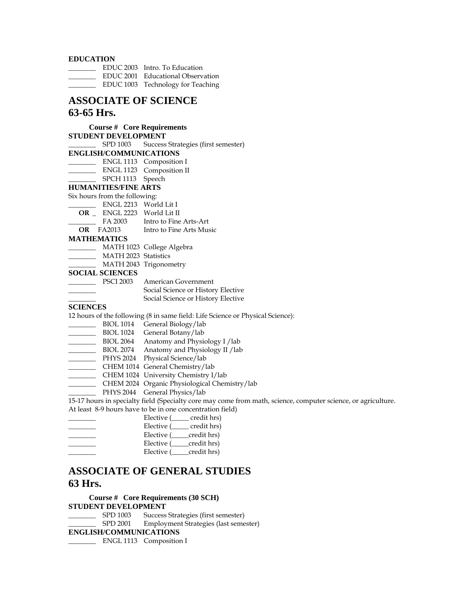#### **EDUCATION**

| <b>LDUCATION</b> |                                   |
|------------------|-----------------------------------|
|                  | EDUC 2003 Intro. To Education     |
|                  | EDUC 2001 Educational Observation |
|                  | EDUC 1003 Technology for Teaching |

#### **ASSOCIATE OF SCIENCE 63-65 Hrs.**

#### **Course # Core Requirements STUDENT DEVELOPMENT**

\_\_\_\_\_\_\_\_ SPD 1003 Success Strategies (first semester) **ENGLISH/COMMUNICATIONS** 

- \_\_\_\_\_\_\_\_ ENGL 1113 Composition I
- \_\_\_\_\_\_\_\_ ENGL 1123 Composition II
	- SPCH 1113 Speech

**HUMANITIES/FINE ARTS** 

#### Six hours from the following:

|    | ENGL 2213 World Lit I |                        |
|----|-----------------------|------------------------|
| OR |                       | ENGL 2223 World Lit II |

| FA 2003 | Intro to Fine Arts-Art |
|---------|------------------------|
|         |                        |

**OR** FA2013 Intro to Fine Arts Music

#### **MATHEMATICS**

|  |  |  | MATH 1023 College Algebra |
|--|--|--|---------------------------|
|--|--|--|---------------------------|

- \_\_\_\_\_\_\_\_ MATH 2023 Statistics
- \_\_\_\_\_\_\_\_ MATH 2043 Trigonometry

#### **SOCIAL SCIENCES**

| <b>PSCI 2003</b> | American Government                |
|------------------|------------------------------------|
|                  | Social Science or History Elective |
|                  | Social Science or History Elective |

#### **SCIENCES**

12 hours of the following (8 in same field: Life Science or Physical Science):

- **\_\_\_\_\_\_\_\_** BIOL 1014 General Biology/lab
- \_\_\_\_\_\_\_\_ BIOL 1024 General Botany/lab
- BIOL 2064 Anatomy and Physiology I /lab
- BIOL 2074 Anatomy and Physiology II / lab
- \_\_\_\_\_\_\_\_ PHYS 2024 Physical Science/lab
- \_\_\_\_\_\_\_\_ CHEM 1014 General Chemistry/lab
- \_\_\_\_\_\_\_\_ CHEM 1024 University Chemistry I/lab
- \_\_\_\_\_\_\_\_ CHEM 2024 Organic Physiological Chemistry/lab
- \_\_\_\_\_\_\_\_ PHYS 2044 General Physics/lab

15-17 hours in specialty field (Specialty core may come from math, science, computer science, or agriculture. At least 8-9 hours have to be in one concentration field)

| credit hrs)<br>Elective ( |
|---------------------------|
| credit hrs)<br>Elective ( |
| credit hrs)<br>Elective ( |
| credit hrs)<br>Elective ( |
| credit hrs)<br>Elective ( |

#### **ASSOCIATE OF GENERAL STUDIES 63 Hrs.**

### **Course # Core Requirements (30 SCH) STUDENT DEVELOPMENT**<br>
SPD 1003 Success

Success Strategies (first semester)

\_\_\_\_\_\_\_\_ SPD 2001 Employment Strategies (last semester)

#### **ENGLISH/COMMUNICATIONS**

\_\_\_\_\_\_\_\_ ENGL 1113 Composition I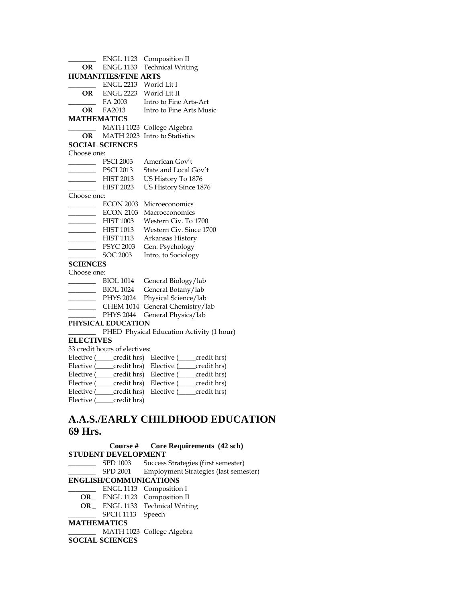|                                                                                                                                                                                                                                      | <b>ENGL 1123</b>                     | Composition II                                           |
|--------------------------------------------------------------------------------------------------------------------------------------------------------------------------------------------------------------------------------------|--------------------------------------|----------------------------------------------------------|
| OR                                                                                                                                                                                                                                   | <b>ENGL 1133</b>                     | <b>Technical Writing</b>                                 |
|                                                                                                                                                                                                                                      | <b>HUMANITIES/FINE ARTS</b>          |                                                          |
|                                                                                                                                                                                                                                      | <b>ENGL 2213</b>                     | World Lit I                                              |
|                                                                                                                                                                                                                                      | <b>OR</b> ENGL 2223                  | World Lit II                                             |
|                                                                                                                                                                                                                                      | FA 2003                              | Intro to Fine Arts-Art                                   |
|                                                                                                                                                                                                                                      | <b>OR</b> FA2013                     | Intro to Fine Arts Music                                 |
| <b>MATHEMATICS</b>                                                                                                                                                                                                                   |                                      |                                                          |
|                                                                                                                                                                                                                                      | <b>MATH 1023</b>                     | College Algebra                                          |
| OR                                                                                                                                                                                                                                   | <b>MATH 2023</b>                     | Intro to Statistics                                      |
|                                                                                                                                                                                                                                      | <b>SOCIAL SCIENCES</b>               |                                                          |
| Choose one:                                                                                                                                                                                                                          |                                      |                                                          |
|                                                                                                                                                                                                                                      | <b>PSCI 2003</b>                     | American Gov't                                           |
|                                                                                                                                                                                                                                      | <b>PSCI 2013</b>                     | State and Local Gov't                                    |
| $\overline{\phantom{a}}$                                                                                                                                                                                                             | <b>HIST 2013</b>                     | US History To 1876                                       |
|                                                                                                                                                                                                                                      | <b>HIST 2023</b>                     | US History Since 1876                                    |
| Choose one:                                                                                                                                                                                                                          |                                      |                                                          |
|                                                                                                                                                                                                                                      | <b>ECON 2003</b>                     | Microeconomics                                           |
|                                                                                                                                                                                                                                      | <b>ECON 2103</b>                     | Macroeconomics                                           |
|                                                                                                                                                                                                                                      | <b>HIST 1003</b>                     | Western Civ. To 1700                                     |
| <u> Liberatura de la provincia de la provincia de la provincia de la provincia de la provincia de la provincia de la provincia de la provincia de la provincia de la provincia de la provincia de la provincia de la provincia d</u> | <b>HIST 1013</b>                     | Western Civ. Since 1700                                  |
| $\overline{\phantom{a}}$                                                                                                                                                                                                             | <b>HIST 1113</b>                     | Arkansas History                                         |
|                                                                                                                                                                                                                                      | <b>PSYC 2003</b>                     | Gen. Psychology                                          |
|                                                                                                                                                                                                                                      | <b>SOC 2003</b>                      | Intro. to Sociology                                      |
| <b>SCIENCES</b>                                                                                                                                                                                                                      |                                      |                                                          |
| Choose one:                                                                                                                                                                                                                          |                                      |                                                          |
|                                                                                                                                                                                                                                      | <b>BIOL 1014</b><br><b>BIOL 1024</b> | General Biology/lab<br>General Botany/lab                |
|                                                                                                                                                                                                                                      | <b>PHYS 2024</b>                     | Physical Science/lab                                     |
|                                                                                                                                                                                                                                      | <b>CHEM 1014</b>                     | General Chemistry/lab                                    |
|                                                                                                                                                                                                                                      | <b>PHYS 2044</b>                     | General Physics/lab                                      |
|                                                                                                                                                                                                                                      | PHYSICAL EDUCATION                   |                                                          |
|                                                                                                                                                                                                                                      |                                      | PHED Physical Education Activity (1 hour)                |
| <b>ELECTIVES</b>                                                                                                                                                                                                                     |                                      |                                                          |
|                                                                                                                                                                                                                                      | 33 credit hours of electives:        |                                                          |
|                                                                                                                                                                                                                                      | Elective ( <i>condit hrs</i> )       |                                                          |
|                                                                                                                                                                                                                                      | Elective ( <i>condit hrs</i> )       | Elective (_____credit hrs)<br>Elective (_____credit hrs) |
|                                                                                                                                                                                                                                      | Elective (____credit hrs)            | Elective (____credit hrs)                                |
|                                                                                                                                                                                                                                      | Elective (____credit hrs)            | Elective (____credit hrs)                                |
|                                                                                                                                                                                                                                      | Elective (____credit hrs)            | Elective (_____ credit hrs)                              |
|                                                                                                                                                                                                                                      | Elective (_____credit hrs)           |                                                          |
|                                                                                                                                                                                                                                      |                                      |                                                          |

### **A.A.S./EARLY CHILDHOOD EDUCATION 69 Hrs.**

**Course # Core Requirements (42 sch) STUDENT DEVELOPMENT**  \_\_\_\_\_\_\_\_ SPD 1003 Success Strategies (first semester) \_\_\_\_\_\_\_\_ SPD 2001 Employment Strategies (last semester) **ENGLISH/COMMUNICATIONS**  \_\_\_\_\_\_\_\_ ENGL 1113 Composition I  **OR \_** ENGL 1123 Composition II  **OR \_** ENGL 1133 Technical Writing SPCH 1113 Speech **MATHEMATICS**  \_\_\_\_\_\_\_\_ MATH 1023 College Algebra

#### **SOCIAL SCIENCES**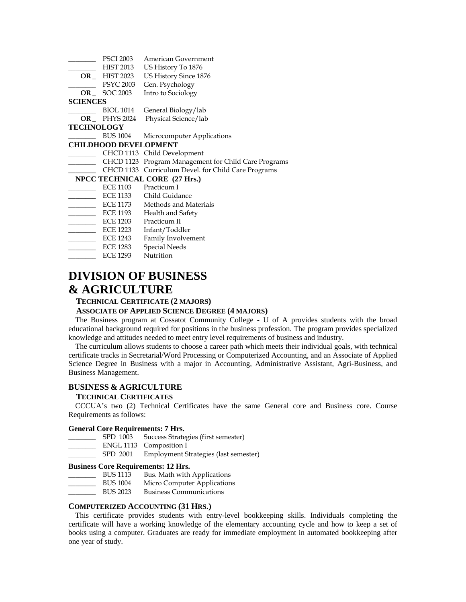|                   | <b>PSCI 2003</b>             | American Government                                  |
|-------------------|------------------------------|------------------------------------------------------|
|                   | <b>HIST 2013</b>             | US History To 1876                                   |
|                   | <b>OR</b> HIST 2023          | US History Since 1876                                |
|                   | PSYC 2003                    | Gen. Psychology                                      |
|                   | $OR$ SOC 2003                | Intro to Sociology                                   |
| <b>SCIENCES</b>   |                              |                                                      |
|                   | BIOL 1014                    | General Biology/lab                                  |
|                   | $OR$ PHYS 2024               | Physical Science/lab                                 |
| <b>TECHNOLOGY</b> |                              |                                                      |
|                   | <b>BUS 1004</b>              | Microcomputer Applications                           |
|                   | <b>CHILDHOOD DEVELOPMENT</b> |                                                      |
|                   |                              | CHCD 1113 Child Development                          |
|                   |                              | CHCD 1123 Program Management for Child Care Programs |
|                   |                              | CHCD 1133 Curriculum Devel. for Child Care Programs  |
|                   |                              | NPCC TECHNICAL CORE (27 Hrs.)                        |
|                   | ECE 1103                     | Practicum I                                          |
|                   |                              | ECE 1133 Child Guidance                              |
|                   | ECE 1173                     | Methods and Materials                                |
|                   | ECE 1193                     | Health and Safety                                    |
|                   | ECE 1203                     | Practicum II                                         |
|                   | ECE 1223                     | Infant/Toddler                                       |
|                   | ECE 1243                     | Family Involvement                                   |
|                   | ECE 1283                     | <b>Special Needs</b>                                 |

LECE 1293 Nutrition

### **DIVISION OF BUSINESS & AGRICULTURE**

#### **TECHNICAL CERTIFICATE (2 MAJORS)**

#### **ASSOCIATE OF APPLIED SCIENCE DEGREE (4 MAJORS)**

 The Business program at Cossatot Community College - U of A provides students with the broad educational background required for positions in the business profession. The program provides specialized knowledge and attitudes needed to meet entry level requirements of business and industry.

 The curriculum allows students to choose a career path which meets their individual goals, with technical certificate tracks in Secretarial/Word Processing or Computerized Accounting, and an Associate of Applied Science Degree in Business with a major in Accounting, Administrative Assistant, Agri-Business, and Business Management.

#### **BUSINESS & AGRICULTURE**

#### **TECHNICAL CERTIFICATES**

 CCCUA's two (2) Technical Certificates have the same General core and Business core. Course Requirements as follows:

#### **General Core Requirements: 7 Hrs.**

- \_\_\_\_\_\_\_\_ SPD 1003 Success Strategies (first semester)
- \_\_\_\_\_\_\_\_ ENGL 1113 Composition I
- \_\_\_\_\_\_\_\_ SPD 2001 Employment Strategies (last semester)

#### **Business Core Requirements: 12 Hrs.**

- \_\_\_\_\_\_\_\_ BUS 1113 Bus. Math with Applications
- BUS 1004 Micro Computer Applications
- \_\_\_\_\_\_\_\_ BUS 2023 Business Communications

#### **COMPUTERIZED ACCOUNTING (31 HRS.)**

 This certificate provides students with entry-level bookkeeping skills. Individuals completing the certificate will have a working knowledge of the elementary accounting cycle and how to keep a set of books using a computer. Graduates are ready for immediate employment in automated bookkeeping after one year of study.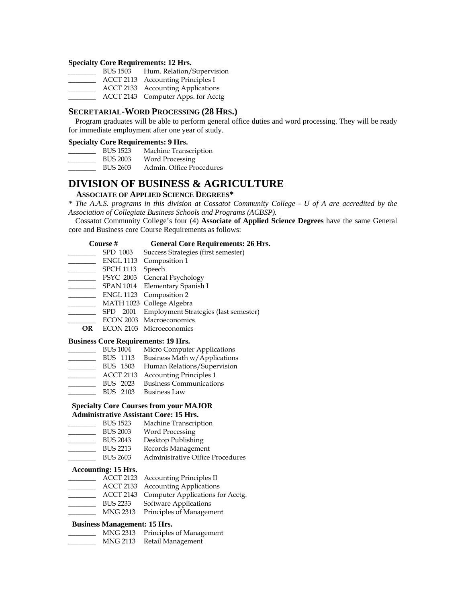#### **Specialty Core Requirements: 12 Hrs.**

| <b>BUS 1503</b> | Hum. Relation/Supervision          |
|-----------------|------------------------------------|
|                 | ACCT 2113 Accounting Principles I  |
|                 | ACCT 2133 Accounting Applications  |
|                 | ACCT 2143 Computer Apps. for Acctg |

#### **SECRETARIAL-WORD PROCESSING (28 HRS.)**

 Program graduates will be able to perform general office duties and word processing. They will be ready for immediate employment after one year of study.

#### **Specialty Core Requirements: 9 Hrs.**

| <b>BUS 1523</b> | Machine Transcription    |
|-----------------|--------------------------|
| <b>BUS 2003</b> | Word Processing          |
| <b>BUS 2603</b> | Admin. Office Procedures |

#### **DIVISION OF BUSINESS & AGRICULTURE**

#### **ASSOCIATE OF APPLIED SCIENCE DEGREES\***

*\* The A.A.S. programs in this division at Cossatot Community College - U of A are accredited by the Association of Collegiate Business Schools and Programs (ACBSP).* 

 Cossatot Community College's four (4) **Associate of Applied Science Degrees** have the same General core and Business core Course Requirements as follows:

| Course # | <b>General Core Requirements: 26 Hrs.</b> |
|----------|-------------------------------------------|
|          |                                           |

- \_\_\_\_\_\_\_\_ SPD 1003 Success Strategies (first semester)
- \_\_\_\_\_ ENGL 1113 Composition 1
- \_\_\_\_\_\_\_ SPCH 1113 Speech
- \_\_\_\_\_\_\_\_ PSYC 2003 General Psychology
- SPAN 1014 Elementary Spanish I
- ENGL 1123 Composition 2
- \_\_\_\_\_\_\_\_ MATH 1023 College Algebra
- \_\_\_\_\_\_\_\_ SPD 2001 Employment Strategies (last semester)
- ECON 2003 Macroeconomics
- **OR** ECON 2103 Microeconomics

#### **Business Core Requirements: 19 Hrs.**

- BUS 1004 Micro Computer Applications
- BUS 1113 Business Math w/Applications
- BUS 1503 Human Relations/Supervision
- ACCT 2113 Accounting Principles 1
- BUS 2023 Business Communications
- \_\_\_\_\_\_\_\_ BUS 2103 Business Law

#### **Specialty Core Courses from your MAJOR Administrative Assistant Core: 15 Hrs.**

- \_\_\_\_\_\_\_\_ BUS 1523 Machine Transcription
- BUS 2003 Word Processing
- 
- BUS 2043 Desktop Publishing<br>BUS 2213 Records Managemen Records Management
- \_\_\_\_\_\_\_\_ BUS 2603 Administrative Office Procedures

#### **Accounting: 15 Hrs.**

- \_\_\_\_\_\_\_\_ ACCT 2123 Accounting Principles II
- \_\_\_\_\_\_\_\_ ACCT 2133 Accounting Applications
- ACCT 2143 Computer Applications for Acctg.
- \_\_\_\_\_\_\_\_ BUS 2233 Software Applications
- \_\_\_\_\_\_\_\_ MNG 2313 Principles of Management

#### **Business Management: 15 Hrs.**

- \_\_\_\_\_\_\_\_ MNG 2313 Principles of Management
- MNG 2113 Retail Management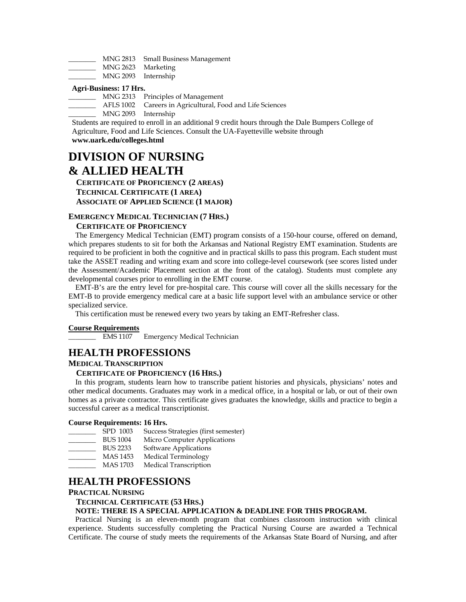|  | MNG 2813 Small Business Management |
|--|------------------------------------|
|--|------------------------------------|

- \_\_\_\_\_\_\_\_ MNG 2623 Marketing
- \_\_\_\_\_\_\_\_ MNG 2093 Internship

#### **Agri-Business: 17 Hrs.**

- \_\_\_\_\_\_\_\_ MNG 2313 Principles of Management
- AFLS 1002 Careers in Agricultural, Food and Life Sciences
- \_\_\_\_\_\_\_\_ MNG 2093 Internship

Students are required to enroll in an additional 9 credit hours through the Dale Bumpers College of Agriculture, Food and Life Sciences. Consult the UA-Fayetteville website through

**www.uark.edu/colleges.html**

### **DIVISION OF NURSING & ALLIED HEALTH**

 **CERTIFICATE OF PROFICIENCY (2 AREAS) TECHNICAL CERTIFICATE (1 AREA) ASSOCIATE OF APPLIED SCIENCE (1 MAJOR)** 

#### **EMERGENCY MEDICAL TECHNICIAN (7 HRS.)**

#### **CERTIFICATE OF PROFICIENCY**

 The Emergency Medical Technician (EMT) program consists of a 150-hour course, offered on demand, which prepares students to sit for both the Arkansas and National Registry EMT examination. Students are required to be proficient in both the cognitive and in practical skills to pass this program. Each student must take the ASSET reading and writing exam and score into college-level coursework (see scores listed under the Assessment/Academic Placement section at the front of the catalog). Students must complete any developmental courses prior to enrolling in the EMT course.

 EMT-B's are the entry level for pre-hospital care. This course will cover all the skills necessary for the EMT-B to provide emergency medical care at a basic life support level with an ambulance service or other specialized service.

This certification must be renewed every two years by taking an EMT-Refresher class.

#### **Course Requirements**

EMS 1107 Emergency Medical Technician

#### **HEALTH PROFESSIONS**

#### **MEDICAL TRANSCRIPTION**

#### **CERTIFICATE OF PROFICIENCY (16 HRS.)**

 In this program, students learn how to transcribe patient histories and physicals, physicians' notes and other medical documents. Graduates may work in a medical office, in a hospital or lab, or out of their own homes as a private contractor. This certificate gives graduates the knowledge, skills and practice to begin a successful career as a medical transcriptionist.

#### **Course Requirements: 16 Hrs.**

- \_\_\_\_\_\_\_\_ SPD 1003 Success Strategies (first semester)
- BUS 1004 Micro Computer Applications<br>BUS 2233 Software Applications
- Software Applications
- \_\_\_\_\_\_\_\_ MAS 1453 Medical Terminology
- MAS 1703 Medical Transcription

#### **HEALTH PROFESSIONS**

#### **PRACTICAL NURSING**

#### **TECHNICAL CERTIFICATE (53 HRS.)**

#### **NOTE: THERE IS A SPECIAL APPLICATION & DEADLINE FOR THIS PROGRAM.**

 Practical Nursing is an eleven-month program that combines classroom instruction with clinical experience. Students successfully completing the Practical Nursing Course are awarded a Technical Certificate. The course of study meets the requirements of the Arkansas State Board of Nursing, and after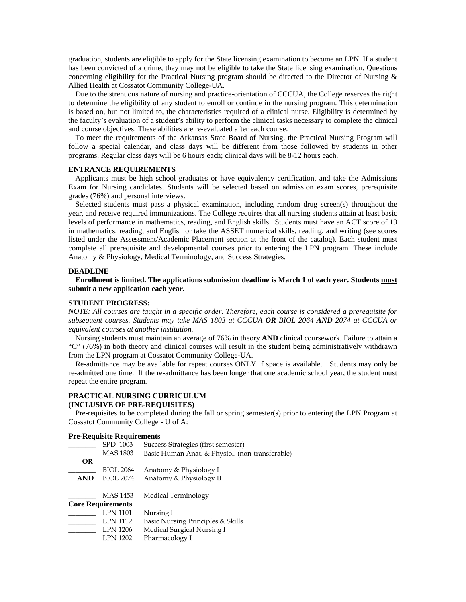graduation, students are eligible to apply for the State licensing examination to become an LPN. If a student has been convicted of a crime, they may not be eligible to take the State licensing examination. Questions concerning eligibility for the Practical Nursing program should be directed to the Director of Nursing & Allied Health at Cossatot Community College-UA.

 Due to the strenuous nature of nursing and practice-orientation of CCCUA, the College reserves the right to determine the eligibility of any student to enroll or continue in the nursing program. This determination is based on, but not limited to, the characteristics required of a clinical nurse. Eligibility is determined by the faculty's evaluation of a student's ability to perform the clinical tasks necessary to complete the clinical and course objectives. These abilities are re-evaluated after each course.

 To meet the requirements of the Arkansas State Board of Nursing, the Practical Nursing Program will follow a special calendar, and class days will be different from those followed by students in other programs. Regular class days will be 6 hours each; clinical days will be 8-12 hours each.

#### **ENTRANCE REQUIREMENTS**

 Applicants must be high school graduates or have equivalency certification, and take the Admissions Exam for Nursing candidates. Students will be selected based on admission exam scores, prerequisite grades (76%) and personal interviews.

 Selected students must pass a physical examination, including random drug screen(s) throughout the year, and receive required immunizations. The College requires that all nursing students attain at least basic levels of performance in mathematics, reading, and English skills. Students must have an ACT score of 19 in mathematics, reading, and English or take the ASSET numerical skills, reading, and writing (see scores listed under the Assessment/Academic Placement section at the front of the catalog). Each student must complete all prerequisite and developmental courses prior to entering the LPN program. These include Anatomy & Physiology, Medical Terminology, and Success Strategies.

#### **DEADLINE**

 **Enrollment is limited. The applications submission deadline is March 1 of each year. Students must submit a new application each year.** 

#### **STUDENT PROGRESS:**

*NOTE: All courses are taught in a specific order. Therefore, each course is considered a prerequisite for subsequent courses. Students may take MAS 1803 at CCCUA OR BIOL 2064 AND 2074 at CCCUA or equivalent courses at another institution.* 

 Nursing students must maintain an average of 76% in theory **AND** clinical coursework. Failure to attain a "C" (76%) in both theory and clinical courses will result in the student being administratively withdrawn from the LPN program at Cossatot Community College-UA.

 Re-admittance may be available for repeat courses ONLY if space is available. Students may only be re-admitted one time. If the re-admittance has been longer that one academic school year, the student must repeat the entire program.

#### **PRACTICAL NURSING CURRICULUM**

#### **(INCLUSIVE OF PRE-REQUISITES)**

 Pre-requisites to be completed during the fall or spring semester(s) prior to entering the LPN Program at Cossatot Community College - U of A:

#### **Pre-Requisite Requirements**

|            | SPD 1003                 | Success Strategies (first semester)             |
|------------|--------------------------|-------------------------------------------------|
|            | <b>MAS 1803</b>          | Basic Human Anat. & Physiol. (non-transferable) |
| <b>OR</b>  |                          |                                                 |
|            | <b>BIOL 2064</b>         | Anatomy & Physiology I                          |
| <b>AND</b> | <b>BIOL 2074</b>         | Anatomy & Physiology II                         |
|            | MAS 1453                 | Medical Terminology                             |
|            | <b>Core Requirements</b> |                                                 |
|            | LPN 1101                 | Nursing I                                       |
|            | LPN 1112                 | Basic Nursing Principles & Skills               |
|            | <b>LPN 1206</b>          | Medical Surgical Nursing I                      |
|            | LPN 1202                 | Pharmacology I                                  |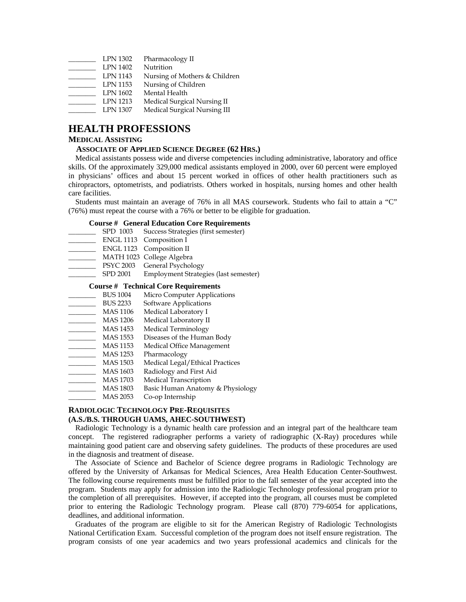| <b>LPN 1302</b> | Pharmacology II               |
|-----------------|-------------------------------|
| LPN 1402        | Nutrition                     |
| LPN 1143        | Nursing of Mothers & Children |
| LPN 1153        | Nursing of Children           |
| LPN 1602        | Mental Health                 |
| LPN 1213        | Medical Surgical Nursing II   |
| LPN 1307        | Medical Surgical Nursing III  |

#### **HEALTH PROFESSIONS**

#### **MEDICAL ASSISTING**

#### **ASSOCIATE OF APPLIED SCIENCE DEGREE (62 HRS.)**

 Medical assistants possess wide and diverse competencies including administrative, laboratory and office skills. Of the approximately 329,000 medical assistants employed in 2000, over 60 percent were employed in physicians' offices and about 15 percent worked in offices of other health practitioners such as chiropractors, optometrists, and podiatrists. Others worked in hospitals, nursing homes and other health care facilities.

 Students must maintain an average of 76% in all MAS coursework. Students who fail to attain a "C" (76%) must repeat the course with a 76% or better to be eligible for graduation.

#### **Course # General Education Core Requirements**

- SPD 1003 Success Strategies (first semester)
- ENGL 1113 Composition I
- \_\_\_\_\_\_\_\_ ENGL 1123 Composition II
- \_\_\_\_\_\_\_\_ MATH 1023 College Algebra
- \_\_\_\_\_\_\_\_ PSYC 2003 General Psychology
- \_\_\_\_\_\_\_\_ SPD 2001 Employment Strategies (last semester)

#### **Course # Technical Core Requirements**

- BUS 1004 Micro Computer Applications<br>BUS 2233 Software Applications
- Software Applications
- \_\_\_\_\_\_\_\_ MAS 1106 Medical Laboratory I
- 
- \_\_\_\_\_\_\_\_ MAS 1206 Medical Laboratory II
- \_\_\_\_\_\_\_\_\_ MAS 1453 Medical Terminology<br>\_\_\_\_\_\_\_\_ MAS 1553 Diseases of the Huma Diseases of the Human Body
- \_\_\_\_\_\_\_\_ MAS 1153 Medical Office Management
- \_\_\_\_\_\_\_\_ MAS 1253 Pharmacology
- MAS 1503 Medical Legal/Ethical Practices<br>MAS 1603 Radiology and First Aid
- Radiology and First Aid<br>Medical Transcription
- $\frac{\text{MAS }1703}$
- \_\_\_\_\_\_\_\_ MAS 1803 Basic Human Anatomy & Physiology
- \_\_\_\_\_\_\_\_ MAS 2053 Co-op Internship

#### **RADIOLOGIC TECHNOLOGY PRE-REQUISITES (A.S./B.S. THROUGH UAMS, AHEC-SOUTHWEST)**

 Radiologic Technology is a dynamic health care profession and an integral part of the healthcare team concept. The registered radiographer performs a variety of radiographic (X-Ray) procedures while maintaining good patient care and observing safety guidelines. The products of these procedures are used in the diagnosis and treatment of disease.

 The Associate of Science and Bachelor of Science degree programs in Radiologic Technology are offered by the University of Arkansas for Medical Sciences, Area Health Education Center-Southwest. The following course requirements must be fulfilled prior to the fall semester of the year accepted into the program. Students may apply for admission into the Radiologic Technology professional program prior to the completion of all prerequisites. However, if accepted into the program, all courses must be completed prior to entering the Radiologic Technology program. Please call (870) 779-6054 for applications, deadlines, and additional information.

 Graduates of the program are eligible to sit for the American Registry of Radiologic Technologists National Certification Exam. Successful completion of the program does not itself ensure registration. The program consists of one year academics and two years professional academics and clinicals for the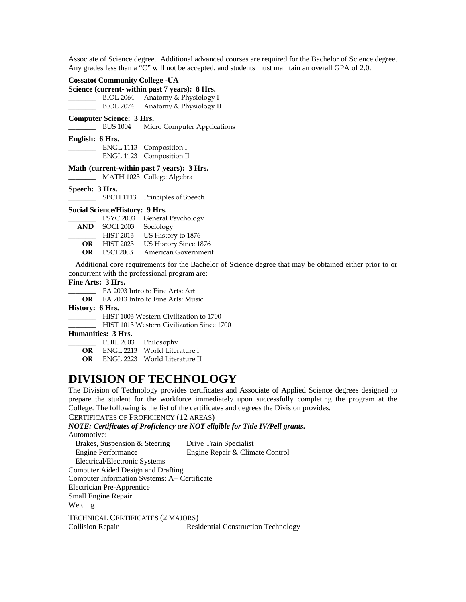Associate of Science degree. Additional advanced courses are required for the Bachelor of Science degree. Any grades less than a "C" will not be accepted, and students must maintain an overall GPA of 2.0.

#### **Cossatot Community College -UA**

| Science (current- within past 7 years): 8 Hrs. |                         |
|------------------------------------------------|-------------------------|
| BIOL 2064                                      | Anatomy & Physiology I  |
| <b>BIOL 2074</b>                               | Anatomy & Physiology II |

#### **Computer Science: 3 Hrs.**

\_\_\_\_\_\_\_\_ BUS 1004 Micro Computer Applications

#### **English: 6 Hrs.**

\_\_\_\_\_\_\_\_ ENGL 1113 Composition I ENGL 1123 Composition II

#### **Math (current-within past 7 years): 3 Hrs.**

\_\_\_\_\_\_\_\_ MATH 1023 College Algebra

#### **Speech: 3 Hrs.**

SPCH 1113 Principles of Speech

#### **Social Science/History: 9 Hrs.**

|            |                  | PSYC 2003 General Psychology |
|------------|------------------|------------------------------|
| <b>AND</b> | <b>SOCI 2003</b> | Sociology                    |
|            | <b>HIST 2013</b> | US History to 1876           |
| OR         | <b>HIST 2023</b> | US History Since 1876        |
| OR.        | <b>PSCI 2003</b> | American Government          |
|            |                  |                              |

 Additional core requirements for the Bachelor of Science degree that may be obtained either prior to or concurrent with the professional program are:

#### **Fine Arts: 3 Hrs.**

\_\_\_\_\_\_\_\_ FA 2003 Intro to Fine Arts: Art

**OR** FA 2013 Intro to Fine Arts: Music

#### **History: 6 Hrs.**

\_\_\_\_\_\_\_\_ HIST 1003 Western Civilization to 1700

\_\_\_\_\_\_\_\_ HIST 1013 Western Civilization Since 1700

#### **Humanities: 3 Hrs.**

|     | PHIL 2003 | Philosophy                       |
|-----|-----------|----------------------------------|
| OR. |           | – ENGL 2213 – World Literature I |

**OR** ENGL 2223 World Literature II

### **DIVISION OF TECHNOLOGY**

The Division of Technology provides certificates and Associate of Applied Science degrees designed to prepare the student for the workforce immediately upon successfully completing the program at the College. The following is the list of the certificates and degrees the Division provides.

#### CERTIFICATES OF PROFICIENCY (12 AREAS)

### *NOTE: Certificates of Proficiency are NOT eligible for Title IV/Pell grants.*

Automotive: Brakes, Suspension & Steering Drive Train Specialist Engine Performance Engine Repair & Climate Control Electrical/Electronic Systems Computer Aided Design and Drafting Computer Information Systems: A+ Certificate Electrician Pre-Apprentice Small Engine Repair Welding TECHNICAL CERTIFICATES (2 MAJORS) Collision Repair Residential Construction Technology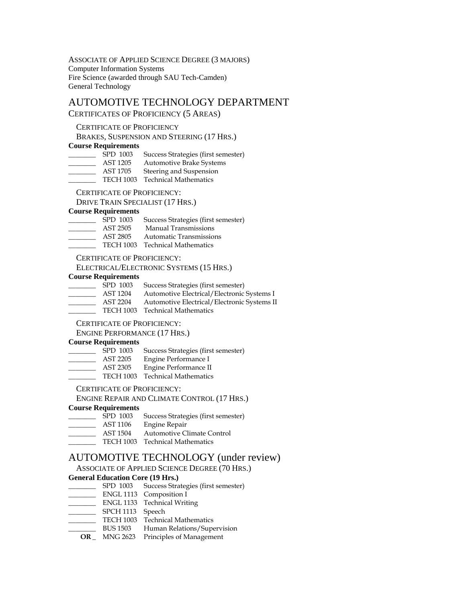ASSOCIATE OF APPLIED SCIENCE DEGREE (3 MAJORS) Computer Information Systems Fire Science (awarded through SAU Tech-Camden) General Technology

#### AUTOMOTIVE TECHNOLOGY DEPARTMENT CERTIFICATES OF PROFICIENCY (5 AREAS)

#### CERTIFICATE OF PROFICIENCY

BRAKES, SUSPENSION AND STEERING (17 HRS.)

#### **Course Requirements**

| SPD 1003 | Success Strategies (first semester) |
|----------|-------------------------------------|
| AST 1205 | <b>Automotive Brake Systems</b>     |
| AST 1705 | Steering and Suspension             |

TECH 1003 Technical Mathematics

CERTIFICATE OF PROFICIENCY:

DRIVE TRAIN SPECIALIST (17 HRS.)

### **Course Requirements**

- Success Strategies (first semester)
- \_\_\_\_\_\_ AST 2505 Manual Transmissions<br>\_\_\_\_\_ AST 2805 Automatic Transmission
- Automatic Transmissions
- \_\_\_\_\_\_\_\_ TECH 1003 Technical Mathematics

#### CERTIFICATE OF PROFICIENCY:

ELECTRICAL/ELECTRONIC SYSTEMS (15 HRS.)

#### **Course Requirements**

SPD 1003 Success Strategies (first semester)<br>AST 1204 Automotive Electrical/Electronic AST 1204 Automotive Electrical/Electronic Systems I<br>AST 2204 Automotive Electrical/Electronic Systems II Automotive Electrical/Electronic Systems II \_\_\_\_\_\_\_\_ TECH 1003 Technical Mathematics

#### CERTIFICATE OF PROFICIENCY:

ENGINE PERFORMANCE (17 HRS.)

#### **Course Requirements**

| SPD 1003 | Success Strategies (first semester) |  |
|----------|-------------------------------------|--|
|          |                                     |  |

- 
- AST 2205 Engine Performance I<br>AST 2305 Engine Performance II Engine Performance II
- TECH 1003 Technical Mathematics

CERTIFICATE OF PROFICIENCY:

#### ENGINE REPAIR AND CLIMATE CONTROL (17 HRS.)

### **Course Requirements**

- Success Strategies (first semester)
- 
- \_\_\_\_\_\_ AST 1106 Engine Repair<br>\_\_\_\_\_\_ AST 1504 Automotive Cl Automotive Climate Control
- \_\_\_\_\_\_\_\_ TECH 1003 Technical Mathematics

#### AUTOMOTIVE TECHNOLOGY (under review)

ASSOCIATE OF APPLIED SCIENCE DEGREE (70 HRS.)

## General Education Core (19 Hrs.)<br>
SPD 1003 Success Stra

- Success Strategies (first semester)
- ENGL 1113 Composition I
- **ENGL 1133** Technical Writing
- \_\_\_\_\_\_\_ SPCH 1113 Speech
- \_\_\_\_\_\_\_\_ TECH 1003 Technical Mathematics
- BUS 1503 Human Relations/Supervision
- **OR** \_ MNG 2623 Principles of Management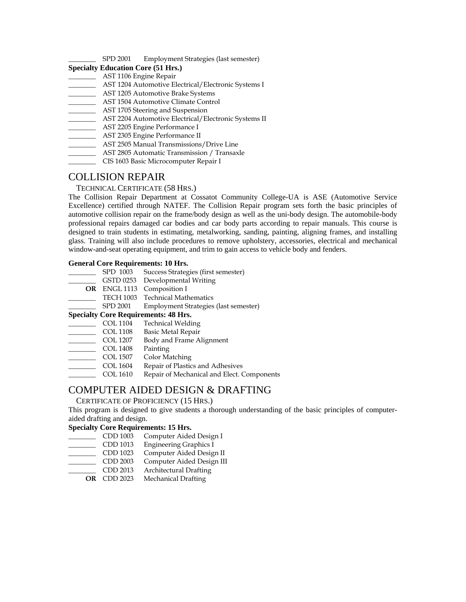SPD 2001 Employment Strategies (last semester)

#### **Specialty Education Core (51 Hrs.)**

- \_\_\_\_\_\_\_\_ AST 1106 Engine Repair
- \_\_\_\_\_\_\_\_ AST 1204 Automotive Electrical/Electronic Systems I
- \_\_\_\_\_\_\_\_ AST 1205 Automotive Brake Systems
- \_\_\_\_\_\_\_\_ AST 1504 Automotive Climate Control
- **AST 1705 Steering and Suspension**
- **AST 2204 Automotive Electrical/Electronic Systems II**
- AST 2205 Engine Performance I
- \_\_\_\_\_\_\_\_ AST 2305 Engine Performance II
- \_\_\_\_\_\_\_\_ AST 2505 Manual Transmissions/Drive Line
- \_\_\_\_\_\_\_\_ AST 2805 Automatic Transmission / Transaxle
- \_\_\_\_\_\_\_\_ CIS 1603 Basic Microcomputer Repair I

#### COLLISION REPAIR

#### TECHNICAL CERTIFICATE (58 HRS.)

The Collision Repair Department at Cossatot Community College-UA is ASE (Automotive Service Excellence) certified through NATEF. The Collision Repair program sets forth the basic principles of automotive collision repair on the frame/body design as well as the uni-body design. The automobile-body professional repairs damaged car bodies and car body parts according to repair manuals. This course is designed to train students in estimating, metalworking, sanding, painting, aligning frames, and installing glass. Training will also include procedures to remove upholstery, accessories, electrical and mechanical window-and-seat operating equipment, and trim to gain access to vehicle body and fenders.

#### **General Core Requirements: 10 Hrs.**

| SPD 1003 | Success Strategies (first semester)   |
|----------|---------------------------------------|
|          | GSTD 0253 Developmental Writing       |
|          | OR ENGL 1113 Composition I            |
|          | TECH 1003 Technical Mathematics       |
| SPD 2001 | Employment Strategies (last semester) |
|          |                                       |

#### **Specialty Core Requirements: 48 Hrs.**

- \_\_\_\_\_\_\_\_ COL 1104 Technical Welding
- COL 1108 Basic Metal Repair
- \_\_\_\_\_\_\_\_ COL 1207 Body and Frame Alignment
- \_\_\_\_\_\_\_\_ COL 1408 Painting
- \_\_\_\_\_\_\_\_ COL 1507 Color Matching
- \_\_\_\_\_\_\_\_ COL 1604 Repair of Plastics and Adhesives
- \_\_\_\_\_\_\_\_ COL 1610 Repair of Mechanical and Elect. Components

#### COMPUTER AIDED DESIGN & DRAFTING

#### CERTIFICATE OF PROFICIENCY (15 HRS.)

This program is designed to give students a thorough understanding of the basic principles of computeraided drafting and design.

#### **Specialty Core Requirements: 15 Hrs.**

- \_\_\_\_\_\_\_\_ CDD 1003 Computer Aided Design I
- \_\_\_\_\_\_\_\_ CDD 1013 Engineering Graphics I
- \_\_\_\_\_\_\_\_ CDD 1023 Computer Aided Design II
- CDD 2003 Computer Aided Design III<br>CDD 2013 Architectural Drafting
- Architectural Drafting
- **OR** CDD 2023 Mechanical Drafting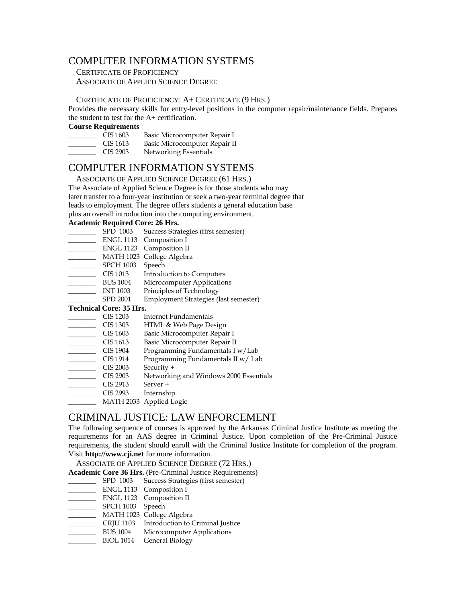#### COMPUTER INFORMATION SYSTEMS

 CERTIFICATE OF PROFICIENCY ASSOCIATE OF APPLIED SCIENCE DEGREE

#### CERTIFICATE OF PROFICIENCY: A+ CERTIFICATE (9 HRS.)

Provides the necessary skills for entry-level positions in the computer repair/maintenance fields. Prepares the student to test for the A+ certification.

#### **Course Requirements**

- CIS 1603 Basic Microcomputer Repair I CIS 1613 Basic Microcomputer Repair II CIS 2903 Networking Essentials
- 

#### COMPUTER INFORMATION SYSTEMS

ASSOCIATE OF APPLIED SCIENCE DEGREE (61 HRS.)

The Associate of Applied Science Degree is for those students who may

later transfer to a four-year institution or seek a two-year terminal degree that

leads to employment. The degree offers students a general education base

plus an overall introduction into the computing environment.

#### **Academic Required Core: 26 Hrs.**

- \_\_\_\_\_\_\_\_ SPD 1003 Success Strategies (first semester)
- \_\_\_\_\_\_\_\_ ENGL 1113 Composition I
- \_\_\_\_\_\_\_\_ ENGL 1123 Composition II
- \_\_\_\_\_\_\_\_ MATH 1023 College Algebra
- SPCH 1003 Speech<br>CIS 1013 Introdu
- CIS 1013 Introduction to Computers<br>BUS 1004 Microcomputer Application
- BUS 1004 Microcomputer Applications<br>INT 1003 Principles of Technology
- Principles of Technology
- \_\_\_\_\_\_\_\_ SPD 2001 Employment Strategies (last semester)

#### **Technical Core: 35 Hrs.**

- 
- CIS 1203 Internet Fundamentals<br>CIS 1303 HTML & Web Page De CIS 1303 HTML & Web Page Design<br>CIS 1603 Basic Microcomputer Repai
- CIS 1603 Basic Microcomputer Repair I<br>CIS 1613 Basic Microcomputer Repair I
- Basic Microcomputer Repair II
- CIS 1904 Programming Fundamentals I w/Lab<br>CIS 1914 Programming Fundamentals II w/Lab
- Programming Fundamentals II w/ Lab
- $\overline{\qquad}$  CIS 2003 Security +
- \_\_\_\_\_\_\_\_ CIS 2903 Networking and Windows 2000 Essentials
- $\qquad \qquad \text{CIS } 2913$  Server +
- CIS 2993 Internship
- \_\_\_\_\_\_\_\_ MATH 2033 Applied Logic

#### CRIMINAL JUSTICE: LAW ENFORCEMENT

The following sequence of courses is approved by the Arkansas Criminal Justice Institute as meeting the requirements for an AAS degree in Criminal Justice. Upon completion of the Pre-Criminal Justice requirements, the student should enroll with the Criminal Justice Institute for completion of the program. Visit **http://www.cji.net** for more information.

ASSOCIATE OF APPLIED SCIENCE DEGREE (72 HRS.)

**Academic Core 36 Hrs.** (Pre-Criminal Justice Requirements)

- \_\_\_\_\_\_\_\_ SPD 1003 Success Strategies (first semester)
- \_\_\_\_\_\_\_\_ ENGL 1113 Composition I
- \_\_\_\_\_\_\_\_ ENGL 1123 Composition II
- SPCH 1003 Speech
- \_\_\_\_\_\_\_\_ MATH 1023 College Algebra
- \_\_\_\_\_\_\_\_ CRJU 1103 Introduction to Criminal Justice
- BUS 1004 Microcomputer Applications
- BIOL 1014 General Biology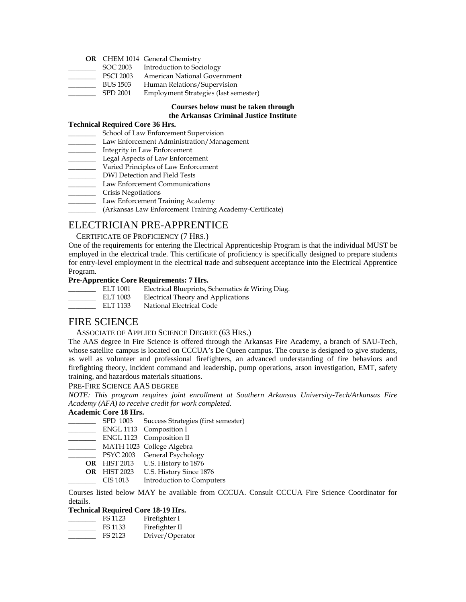#### **OR** CHEM 1014 General Chemistry

- SOC 2003 Introduction to Sociology
- PSCI 2003 American National Government
- BUS 1503 Human Relations/Supervision
- \_\_\_\_\_\_\_\_ SPD 2001 Employment Strategies (last semester)

#### **Courses below must be taken through the Arkansas Criminal Justice Institute**

#### **Technical Required Core 36 Hrs.**

- School of Law Enforcement Supervision
- \_\_\_\_\_\_\_\_ Law Enforcement Administration/Management
- \_\_\_\_\_\_\_\_ Integrity in Law Enforcement
- Legal Aspects of Law Enforcement
- \_\_\_\_\_\_\_\_ Varied Principles of Law Enforcement
- \_\_\_\_\_\_\_\_ DWI Detection and Field Tests
- \_\_\_\_\_\_\_\_ Law Enforcement Communications
- \_\_\_\_\_\_\_\_ Crisis Negotiations
- \_\_\_\_\_\_\_\_ Law Enforcement Training Academy
- \_\_\_\_\_\_\_\_ (Arkansas Law Enforcement Training Academy-Certificate)

#### ELECTRICIAN PRE-APPRENTICE

CERTIFICATE OF PROFICIENCY (7 HRS.)

One of the requirements for entering the Electrical Apprenticeship Program is that the individual MUST be employed in the electrical trade. This certificate of proficiency is specifically designed to prepare students for entry-level employment in the electrical trade and subsequent acceptance into the Electrical Apprentice Program.

#### **Pre-Apprentice Core Requirements: 7 Hrs.**

- ELT 1001 Electrical Blueprints, Schematics & Wiring Diag.<br>ELT 1003 Electrical Theory and Applications ELT 1003 Electrical Theory and Applications<br>ELT 1133 National Electrical Code
- National Electrical Code

#### FIRE SCIENCE

#### ASSOCIATE OF APPLIED SCIENCE DEGREE (63 HRS.)

The AAS degree in Fire Science is offered through the Arkansas Fire Academy, a branch of SAU-Tech, whose satellite campus is located on CCCUA's De Queen campus. The course is designed to give students, as well as volunteer and professional firefighters, an advanced understanding of fire behaviors and firefighting theory, incident command and leadership, pump operations, arson investigation, EMT, safety training, and hazardous materials situations.

#### PRE-FIRE SCIENCE AAS DEGREE

*NOTE: This program requires joint enrollment at Southern Arkansas University-Tech/Arkansas Fire Academy (AFA) to receive credit for work completed.* 

#### **Academic Core 18 Hrs.**

- \_\_\_\_\_\_\_\_ SPD 1003 Success Strategies (first semester)
- \_\_\_\_ ENGL 1113 Composition I
- \_\_\_\_\_\_\_\_ ENGL 1123 Composition II
- \_\_\_\_\_\_\_\_ MATH 1023 College Algebra
- psyc 2003 General Psychology
- **OR** HIST 2013 U.S. History to 1876
- **OR** HIST 2023 U.S. History Since 1876
	- \_\_\_\_\_\_\_\_ CIS 1013 Introduction to Computers

Courses listed below MAY be available from CCCUA. Consult CCCUA Fire Science Coordinator for details.

#### **Technical Required Core 18-19 Hrs.**

- \_\_\_\_\_\_\_\_ FS 1123 Firefighter I \_\_\_\_\_\_\_\_ FS 1133 Firefighter II
- 
- \_\_\_\_\_\_\_\_ FS 2123 Driver/Operator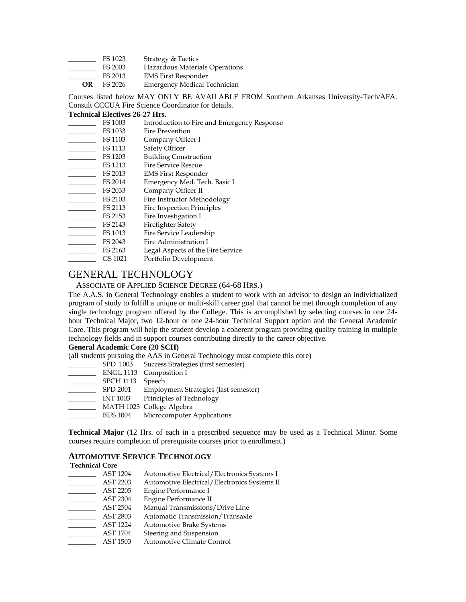- FS 1023 Strategy & Tactics
- FS 2003 Hazardous Materials Operations
- FS 2013 EMS First Responder
- **OR** FS 2026 Emergency Medical Technician

Courses listed below MAY ONLY BE AVAILABLE FROM Southern Arkansas University-Tech/AFA. Consult CCCUA Fire Science Coordinator for details.

#### **Technical Electives 26-27 Hrs.**

- \_\_\_\_\_\_\_\_ FS 1003 Introduction to Fire and Emergency Response
- FS 1033 Fire Prevention<br>FS 1103 Company Office
- Company Officer I
- FS 1113 Safety Officer<br>FS 1203 Building Cons
- FS 1203 Building Construction<br>FS 1213 Fire Service Rescue
- Fire Service Rescue
- FS 2013 EMS First Responder<br>FS 2014 Emergency Med. Tecl
- Emergency Med. Tech. Basic I
- FS 2033 Company Officer II<br>FS 2103 Fire Instructor Meth
- FS 2103 Fire Instructor Methodology<br>FS 2113 Fire Inspection Principles
- FS 2113 Fire Inspection Principles<br>FS 2153 Fire Investigation I Fire Investigation I
- 
- FS 2143 Firefighter Safety<br>FS 1013 Fire Service Leade
- Fire Service Leadership
- \_\_\_\_\_\_\_\_ FS 2043 Fire Administration I
- FS 2163 Legal Aspects of the Fire Service
- \_\_\_\_\_\_\_\_ GS 1021 Portfolio Development

### GENERAL TECHNOLOGY

#### ASSOCIATE OF APPLIED SCIENCE DEGREE (64-68 HRS.)

The A.A.S. in General Technology enables a student to work with an advisor to design an individualized program of study to fulfill a unique or multi-skill career goal that cannot be met through completion of any single technology program offered by the College. This is accomplished by selecting courses in one 24 hour Technical Major, two 12-hour or one 24-hour Technical Support option and the General Academic Core. This program will help the student develop a coherent program providing quality training in multiple technology fields and in support courses contributing directly to the career objective.

#### **General Academic Core (20 SCH)**

(all students pursuing the AAS in General Technology must complete this core)

- \_\_\_\_\_\_\_\_ SPD 1003 Success Strategies (first semester)
- \_\_\_\_\_\_\_\_ ENGL 1113 Composition I
- 
- SPCH 1113 Speech<br>SPD 2001 Employ Employment Strategies (last semester)
- \_\_\_\_\_\_\_\_ INT 1003 Principles of Technology
- \_\_\_\_\_\_\_\_ MATH 1023 College Algebra
- \_\_\_\_\_\_\_\_ BUS 1004 Microcomputer Applications

**Technical Major** (12 Hrs. of each in a prescribed sequence may be used as a Technical Minor. Some courses require completion of prerequisite courses prior to enrollment.)

#### **AUTOMOTIVE SERVICE TECHNOLOGY**

#### **Technical Core**

AST 1204 Automotive Electrical/Electronics Systems I<br>AST 2203 Automotive Electrical/Electronics Systems II Automotive Electrical/Electronics Systems II AST 2205 Engine Performance I<br>AST 2304 Engine Performance II \_\_\_\_\_\_\_\_ AST 2304 Engine Performance II<br>\_\_\_\_\_\_\_\_ AST 2504 Manual Transmissions \_\_\_\_\_\_\_\_ AST 2504 Manual Transmissions/Drive Line<br>\_\_\_\_\_\_\_ AST 2803 Automatic Transmission/Transaxle Automatic Transmission/Transaxle \_\_\_\_\_\_\_\_ AST 1224 Automotive Brake Systems \_\_\_\_\_\_\_\_ AST 1704 Steering and Suspension AST 1503 Automotive Climate Control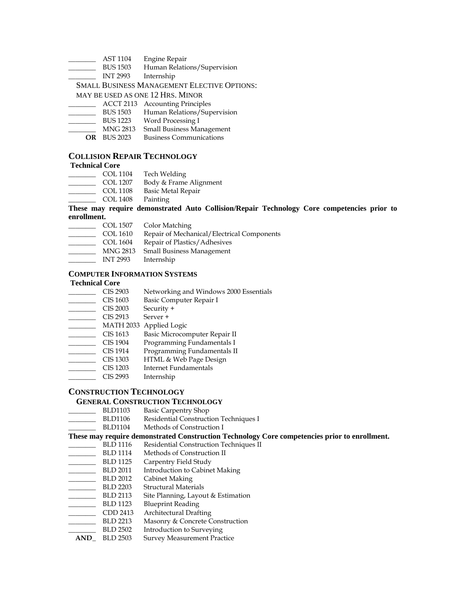- \_\_\_\_\_\_ AST 1104 Engine Repair<br>\_\_\_\_\_ BUS 1503 Human Relatio
- Human Relations/Supervision
- \_\_\_\_\_\_\_\_ INT 2993 Internship

#### SMALL BUSINESS MANAGEMENT ELECTIVE OPTIONS:

MAY BE USED AS ONE 12 HRS. MINOR

- \_\_\_\_\_\_\_\_ ACCT 2113 Accounting Principles
- \_\_\_\_\_\_\_\_ BUS 1503 Human Relations/Supervision
- \_\_\_\_\_\_\_\_ BUS 1223 Word Processing I
- \_\_\_\_\_\_\_\_ MNG 2813 Small Business Management
- **OR** BUS 2023 Business Communications

#### **COLLISION REPAIR TECHNOLOGY**

#### **Technical Core**

- \_\_\_\_\_\_\_\_ COL 1104 Tech Welding
- COL 1207 Body & Frame Alignment
- COL 1108 Basic Metal Repair
- \_\_\_\_\_\_\_\_ COL 1408 Painting

#### **These may require demonstrated Auto Collision/Repair Technology Core competencies prior to enrollment.**

- 
- COL 1507 Color Matching<br>COL 1610 Repair of Mecha COL 1610 Repair of Mechanical/Electrical Components<br>COL 1604 Repair of Plastics/Adhesives
- 
- COL 1604 Repair of Plastics/Adhesives<br>MNG 2813 Small Business Management Small Business Management
- \_\_\_\_\_\_\_\_ INT 2993 Internship

#### **COMPUTER INFORMATION SYSTEMS**

- **Technical Core**<br>CIS 2903 CIS 2903 Networking and Windows 2000 Essentials<br>CIS 1603 Basic Computer Repair I
- Basic Computer Repair I
- $\frac{1}{2}$  CIS 2003 Security +
- $\overline{\phantom{0}}$  CIS 2913 Server +
- 
- \_\_\_\_\_\_\_\_\_ MATH 2033 Applied Logic<br>CIS 1613 Basic Microcor Basic Microcomputer Repair II
- 
- CIS 1904 Programming Fundamentals I<br>CIS 1914 Programming Fundamentals II CIS 1914 Programming Fundamentals II<br>CIS 1303 HTML & Web Page Design
- CIS 1303 HTML & Web Page Design<br>CIS 1203 Internet Fundamentals
- \_\_\_\_\_\_\_\_ CIS 1203 Internet Fundamentals
- \_\_\_\_\_\_\_\_ CIS 2993 Internship

#### **CONSTRUCTION TECHNOLOGY**

### **GENERAL CONSTRUCTION TECHNOLOGY**<br>BLD1103 Basic Carpentry Shop

- Basic Carpentry Shop
- \_\_\_\_\_\_\_\_ BLD1106 Residential Construction Techniques I
- BLD1104 Methods of Construction I

#### **These may require demonstrated Construction Technology Core competencies prior to enrollment.**

- \_\_\_\_\_\_\_\_ BLD 1116 Residential Construction Techniques II
- ELD 1114 Methods of Construction II<br>BLD 1125 Carpentry Field Study
- 
- ELD 1125 Carpentry Field Study<br>BLD 2011 Introduction to Cabine \_\_\_\_\_\_\_\_ BLD 2011 Introduction to Cabinet Making
- \_\_\_\_\_\_\_\_ BLD 2012 Cabinet Making
- 
- BLD 2203 Structural Materials<br>BLD 2113 Site Planning, Layou Site Planning, Layout & Estimation
- BLD 1123 Blueprint Reading<br>CDD 2413 Architectural Draft
- Architectural Drafting
- BLD 2213 Masonry & Concrete Construction<br>BLD 2502 Introduction to Surveying
- Introduction to Surveying
- **AND\_** BLD 2503 Survey Measurement Practice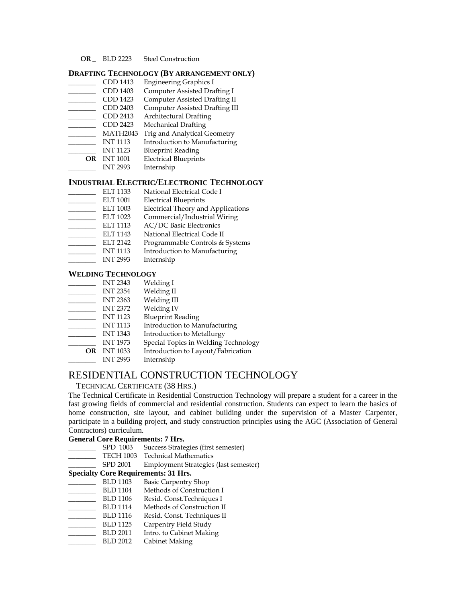**OR \_** BLD 2223 Steel Construction

#### **DRAFTING TECHNOLOGY (BY ARRANGEMENT ONLY)**

- \_\_\_\_\_\_\_\_ CDD 1413 Engineering Graphics I
- \_\_\_\_\_\_\_\_ CDD 1403 Computer Assisted Drafting I
- \_\_\_\_\_\_\_\_ CDD 1423 Computer Assisted Drafting II
- \_\_\_\_\_\_\_\_ CDD 2403 Computer Assisted Drafting III
- \_\_\_\_\_\_\_\_ CDD 2413 Architectural Drafting
- Mechanical Drafting
- \_\_\_\_\_\_\_\_ MATH2043 Trig and Analytical Geometry
- \_\_\_\_\_\_\_\_ INT 1113 Introduction to Manufacturing
- \_\_\_\_\_\_\_\_ INT 1123 Blueprint Reading
- **OR** INT 1001 Electrical Blueprints
- \_\_\_\_\_\_\_\_ INT 2993 Internship

### **INDUSTRIAL ELECTRIC/ELECTRONIC TECHNOLOGY**<br>ELT 1133 National Electrical Code I

- National Electrical Code I
- ELT 1001 Electrical Blueprints<br>ELT 1003 Electrical Theory and
- ELT 1003 Electrical Theory and Applications<br>ELT 1023 Commercial/Industrial Wiring
- Commercial/Industrial Wiring
- ELT 1113 AC/DC Basic Electronics
- ELT 1143 National Electrical Code II<br>ELT 2142 Programmable Controls &
- ELT 2142 Programmable Controls & Systems<br>INT 1113 Introduction to Manufacturing
- \_\_\_\_\_\_\_\_ INT 1113 Introduction to Manufacturing
- \_\_\_\_\_\_\_\_ INT 2993 Internship

#### **WELDING TECHNOLOGY**

- \_\_\_\_\_ INT 2343 Welding I<br>INT 2354 Welding II
- $\frac{1}{2}$  INT 2354
- \_\_\_\_\_\_\_\_ INT 2363 Welding III
- \_\_\_\_\_\_\_\_ INT 2372 Welding IV
- \_\_\_\_\_ INT 1123 Blueprint Reading<br>\_\_\_\_\_ INT 1113 Introduction to Ma
- \_\_\_\_\_\_\_\_ INT 1113 Introduction to Manufacturing
- \_\_\_\_\_\_\_\_ INT 1343 Introduction to Metallurgy
- INT 1973 Special Topics in Welding Technology
- **OR** INT 1033 Introduction to Layout/Fabrication
- \_\_\_\_\_\_\_\_ INT 2993 Internship

#### RESIDENTIAL CONSTRUCTION TECHNOLOGY

#### TECHNICAL CERTIFICATE (38 HRS.)

The Technical Certificate in Residential Construction Technology will prepare a student for a career in the fast growing fields of commercial and residential construction. Students can expect to learn the basics of home construction, site layout, and cabinet building under the supervision of a Master Carpenter, participate in a building project, and study construction principles using the AGC (Association of General Contractors) curriculum.

#### **General Core Requirements: 7 Hrs.**

- SPD 1003 Success Strategies (first semester)
- TECH 1003 Technical Mathematics
- SPD 2001 Employment Strategies (last semester)

#### **Specialty Core Requirements: 31 Hrs.**

- BLD 1103 Basic Carpentry Shop<br>BLD 1104 Methods of Construct
- Methods of Construction I
- BLD 1106 Resid. Const.Techniques I<br>BLD 1114 Methods of Construction I
- ELD 1114 Methods of Construction II<br>BLD 1116 Resid. Const. Techniques II
- BLD 1116 Resid. Const. Techniques II<br>BLD 1125 Carpentry Field Study
- Carpentry Field Study
- BLD 2011 Intro. to Cabinet Making
- \_\_\_\_\_\_\_\_ BLD 2012 Cabinet Making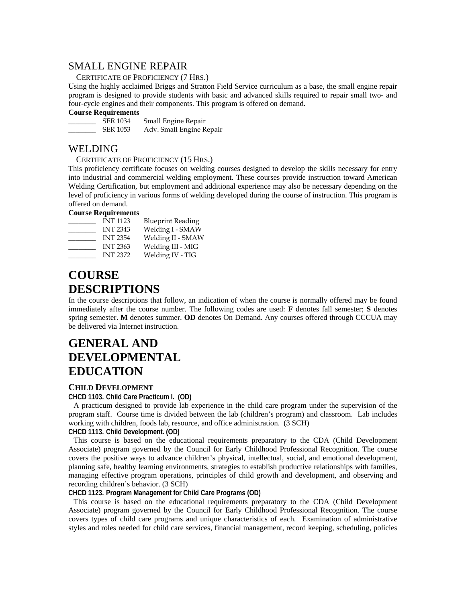#### SMALL ENGINE REPAIR

#### CERTIFICATE OF PROFICIENCY (7 HRS.)

Using the highly acclaimed Briggs and Stratton Field Service curriculum as a base, the small engine repair program is designed to provide students with basic and advanced skills required to repair small two- and four-cycle engines and their components. This program is offered on demand.

### **Course Requirements**

**ER 1034** Small Engine Repair<br>SER 1053 Adv. Small Engine R Adv. Small Engine Repair

#### WELDING

#### CERTIFICATE OF PROFICIENCY (15 HRS.)

This proficiency certificate focuses on welding courses designed to develop the skills necessary for entry into industrial and commercial welding employment. These courses provide instruction toward American Welding Certification, but employment and additional experience may also be necessary depending on the level of proficiency in various forms of welding developed during the course of instruction. This program is offered on demand.

#### **Course Requirements**

| <b>INT 1123</b> | <b>Blueprint Reading</b> |
|-----------------|--------------------------|
| <b>INT 2343</b> | Welding I - SMAW         |
| <b>INT 2354</b> | Welding II - SMAW        |
| <b>INT 2363</b> | Welding III - MIG        |
| <b>INT 2372</b> | Welding IV - TIG         |

### **COURSE DESCRIPTIONS**

In the course descriptions that follow, an indication of when the course is normally offered may be found immediately after the course number. The following codes are used: **F** denotes fall semester; **S** denotes spring semester. **M** denotes summer. **OD** denotes On Demand. Any courses offered through CCCUA may be delivered via Internet instruction.

### **GENERAL AND DEVELOPMENTAL EDUCATION**

#### **CHILD DEVELOPMENT**

#### **CHCD 1103. Child Care Practicum I. (OD)**

A practicum designed to provide lab experience in the child care program under the supervision of the program staff. Course time is divided between the lab (children's program) and classroom. Lab includes working with children, foods lab, resource, and office administration. (3 SCH)

#### **CHCD 1113. Child Development. (OD)**

This course is based on the educational requirements preparatory to the CDA (Child Development Associate) program governed by the Council for Early Childhood Professional Recognition. The course covers the positive ways to advance children's physical, intellectual, social, and emotional development, planning safe, healthy learning environments, strategies to establish productive relationships with families, managing effective program operations, principles of child growth and development, and observing and recording children's behavior. (3 SCH)

#### **CHCD 1123. Program Management for Child Care Programs (OD)**

This course is based on the educational requirements preparatory to the CDA (Child Development Associate) program governed by the Council for Early Childhood Professional Recognition. The course covers types of child care programs and unique characteristics of each. Examination of administrative styles and roles needed for child care services, financial management, record keeping, scheduling, policies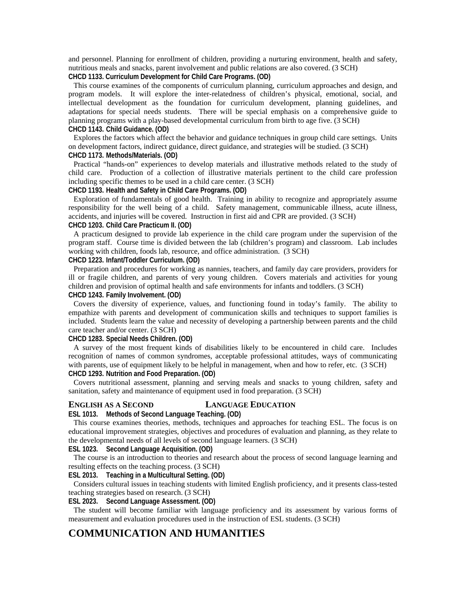and personnel. Planning for enrollment of children, providing a nurturing environment, health and safety, nutritious meals and snacks, parent involvement and public relations are also covered. (3 SCH)

**CHCD 1133. Curriculum Development for Child Care Programs. (OD)** 

This course examines of the components of curriculum planning, curriculum approaches and design, and program models. It will explore the inter-relatedness of children's physical, emotional, social, and intellectual development as the foundation for curriculum development, planning guidelines, and adaptations for special needs students. There will be special emphasis on a comprehensive guide to planning programs with a play-based developmental curriculum from birth to age five. (3 SCH)

#### **CHCD 1143. Child Guidance. (OD)**

Explores the factors which affect the behavior and guidance techniques in group child care settings. Units on development factors, indirect guidance, direct guidance, and strategies will be studied. (3 SCH) **CHCD 1173. Methods/Materials. (OD)** 

Practical "hands-on" experiences to develop materials and illustrative methods related to the study of child care. Production of a collection of illustrative materials pertinent to the child care profession including specific themes to be used in a child care center. (3 SCH)

**CHCD 1193. Health and Safety in Child Care Programs. (OD)** 

Exploration of fundamentals of good health. Training in ability to recognize and appropriately assume responsibility for the well being of a child. Safety management, communicable illness, acute illness, accidents, and injuries will be covered. Instruction in first aid and CPR are provided. (3 SCH)

#### **CHCD 1203. Child Care Practicum II. (OD)**

A practicum designed to provide lab experience in the child care program under the supervision of the program staff. Course time is divided between the lab (children's program) and classroom. Lab includes working with children, foods lab, resource, and office administration. (3 SCH)

#### **CHCD 1223. Infant/Toddler Curriculum. (OD)**

Preparation and procedures for working as nannies, teachers, and family day care providers, providers for ill or fragile children, and parents of very young children. Covers materials and activities for young children and provision of optimal health and safe environments for infants and toddlers. (3 SCH) **CHCD 1243. Family Involvement. (OD)** 

Covers the diversity of experience, values, and functioning found in today's family. The ability to empathize with parents and development of communication skills and techniques to support families is included. Students learn the value and necessity of developing a partnership between parents and the child care teacher and/or center. (3 SCH)

#### **CHCD 1283. Special Needs Children. (OD)**

A survey of the most frequent kinds of disabilities likely to be encountered in child care. Includes recognition of names of common syndromes, acceptable professional attitudes, ways of communicating with parents, use of equipment likely to be helpful in management, when and how to refer, etc. (3 SCH) **CHCD 1293. Nutrition and Food Preparation. (OD)** 

Covers nutritional assessment, planning and serving meals and snacks to young children, safety and sanitation, safety and maintenance of equipment used in food preparation. (3 SCH)

#### **ENGLISH AS A SECOND LANGUAGE EDUCATION**

#### **ESL 1013. Methods of Second Language Teaching. (OD)**

This course examines theories, methods, techniques and approaches for teaching ESL. The focus is on educational improvement strategies, objectives and procedures of evaluation and planning, as they relate to the developmental needs of all levels of second language learners. (3 SCH)

**ESL 1023. Second Language Acquisition. (OD)** 

The course is an introduction to theories and research about the process of second language learning and resulting effects on the teaching process. (3 SCH)

#### **ESL 2013. Teaching in a Multicultural Setting. (OD)**

Considers cultural issues in teaching students with limited English proficiency, and it presents class-tested teaching strategies based on research. (3 SCH)

#### **ESL 2023. Second Language Assessment. (OD)**

The student will become familiar with language proficiency and its assessment by various forms of measurement and evaluation procedures used in the instruction of ESL students. (3 SCH)

#### **COMMUNICATION AND HUMANITIES**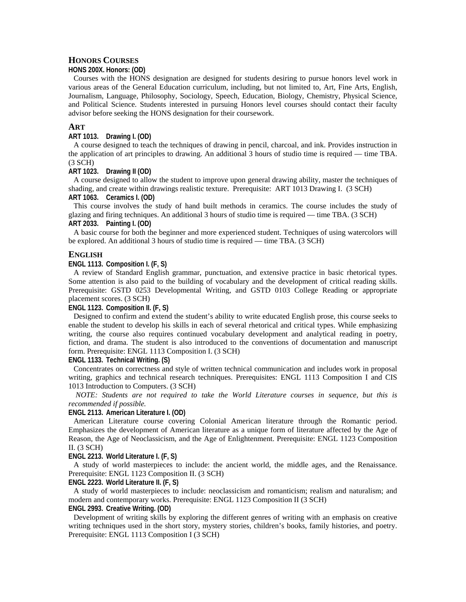#### **HONORS COURSES**

#### **HONS 200X. Honors: (OD)**

Courses with the HONS designation are designed for students desiring to pursue honors level work in various areas of the General Education curriculum, including, but not limited to, Art, Fine Arts, English, Journalism, Language, Philosophy, Sociology, Speech, Education, Biology, Chemistry, Physical Science, and Political Science. Students interested in pursuing Honors level courses should contact their faculty advisor before seeking the HONS designation for their coursework.

#### **ART**

#### **ART 1013. Drawing I. (OD)**

A course designed to teach the techniques of drawing in pencil, charcoal, and ink. Provides instruction in the application of art principles to drawing. An additional 3 hours of studio time is required — time TBA. (3 SCH)

#### **ART 1023. Drawing II (OD)**

A course designed to allow the student to improve upon general drawing ability, master the techniques of shading, and create within drawings realistic texture. Prerequisite: ART 1013 Drawing I. (3 SCH) **ART 1063. Ceramics I. (OD)** 

This course involves the study of hand built methods in ceramics. The course includes the study of glazing and firing techniques. An additional 3 hours of studio time is required — time TBA. (3 SCH) **ART 2033. Painting I. (OD)** 

A basic course for both the beginner and more experienced student. Techniques of using watercolors will be explored. An additional 3 hours of studio time is required — time TBA. (3 SCH)

#### **ENGLISH**

#### **ENGL 1113. Composition I. (F, S)**

A review of Standard English grammar, punctuation, and extensive practice in basic rhetorical types. Some attention is also paid to the building of vocabulary and the development of critical reading skills. Prerequisite: GSTD 0253 Developmental Writing, and GSTD 0103 College Reading or appropriate placement scores. (3 SCH)

#### **ENGL 1123. Composition II. (F, S)**

Designed to confirm and extend the student's ability to write educated English prose, this course seeks to enable the student to develop his skills in each of several rhetorical and critical types. While emphasizing writing, the course also requires continued vocabulary development and analytical reading in poetry, fiction, and drama. The student is also introduced to the conventions of documentation and manuscript form. Prerequisite: ENGL 1113 Composition I. (3 SCH)

#### **ENGL 1133. Technical Writing. (S)**

Concentrates on correctness and style of written technical communication and includes work in proposal writing, graphics and technical research techniques. Prerequisites: ENGL 1113 Composition I and CIS 1013 Introduction to Computers. (3 SCH)

*NOTE: Students are not required to take the World Literature courses in sequence, but this is recommended if possible.* 

#### **ENGL 2113. American Literature I. (OD)**

American Literature course covering Colonial American literature through the Romantic period. Emphasizes the development of American literature as a unique form of literature affected by the Age of Reason, the Age of Neoclassicism, and the Age of Enlightenment. Prerequisite: ENGL 1123 Composition II. (3 SCH)

**ENGL 2213. World Literature I. (F, S)** 

A study of world masterpieces to include: the ancient world, the middle ages, and the Renaissance. Prerequisite: ENGL 1123 Composition II. (3 SCH)

#### **ENGL 2223. World Literature II. (F, S)**

A study of world masterpieces to include: neoclassicism and romanticism; realism and naturalism; and modern and contemporary works. Prerequisite: ENGL 1123 Composition II (3 SCH)

#### **ENGL 2993. Creative Writing. (OD)**

Development of writing skills by exploring the different genres of writing with an emphasis on creative writing techniques used in the short story, mystery stories, children's books, family histories, and poetry. Prerequisite: ENGL 1113 Composition I (3 SCH)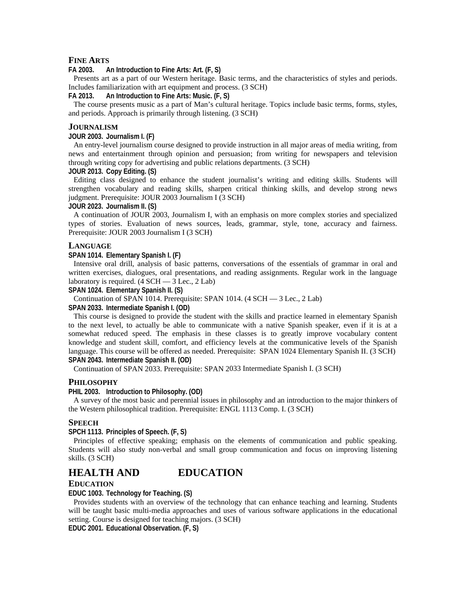#### **FINE ARTS**

**FA 2003. An Introduction to Fine Arts: Art. (F, S)** 

Presents art as a part of our Western heritage. Basic terms, and the characteristics of styles and periods. Includes familiarization with art equipment and process. (3 SCH)

**FA 2013. An Introduction to Fine Arts: Music. (F, S)** 

The course presents music as a part of Man's cultural heritage. Topics include basic terms, forms, styles, and periods. Approach is primarily through listening. (3 SCH)

#### **JOURNALISM**

#### **JOUR 2003. Journalism I. (F)**

An entry-level journalism course designed to provide instruction in all major areas of media writing, from news and entertainment through opinion and persuasion; from writing for newspapers and television through writing copy for advertising and public relations departments. (3 SCH)

#### **JOUR 2013. Copy Editing. (S)**

Editing class designed to enhance the student journalist's writing and editing skills. Students will strengthen vocabulary and reading skills, sharpen critical thinking skills, and develop strong news judgment. Prerequisite: JOUR 2003 Journalism I (3 SCH)

#### **JOUR 2023. Journalism II. (S)**

A continuation of JOUR 2003, Journalism I, with an emphasis on more complex stories and specialized types of stories. Evaluation of news sources, leads, grammar, style, tone, accuracy and fairness. Prerequisite: JOUR 2003 Journalism I (3 SCH)

#### **LANGUAGE**

#### **SPAN 1014. Elementary Spanish I. (F)**

Intensive oral drill, analysis of basic patterns, conversations of the essentials of grammar in oral and written exercises, dialogues, oral presentations, and reading assignments. Regular work in the language laboratory is required.  $(4 \text{ SCH} - 3 \text{ Lec.}, 2 \text{ Lab})$ 

**SPAN 1024. Elementary Spanish II. (S)** 

Continuation of SPAN 1014. Prerequisite: SPAN 1014. (4 SCH — 3 Lec., 2 Lab)

**SPAN 2033. Intermediate Spanish I. (OD)** 

This course is designed to provide the student with the skills and practice learned in elementary Spanish to the next level, to actually be able to communicate with a native Spanish speaker, even if it is at a somewhat reduced speed. The emphasis in these classes is to greatly improve vocabulary content knowledge and student skill, comfort, and efficiency levels at the communicative levels of the Spanish language. This course will be offered as needed. Prerequisite: SPAN 1024 Elementary Spanish II. (3 SCH) **SPAN 2043. Intermediate Spanish II. (OD)** 

Continuation of SPAN 2033. Prerequisite: SPAN 2033 Intermediate Spanish I. (3 SCH)

#### **PHILOSOPHY**

#### **PHIL 2003. Introduction to Philosophy. (OD)**

A survey of the most basic and perennial issues in philosophy and an introduction to the major thinkers of the Western philosophical tradition. Prerequisite: ENGL 1113 Comp. I. (3 SCH)

#### **SPEECH**

**SPCH 1113. Principles of Speech. (F, S)** 

Principles of effective speaking; emphasis on the elements of communication and public speaking. Students will also study non-verbal and small group communication and focus on improving listening skills. (3 SCH)

#### **HEALTH AND EDUCATION**

#### **EDUCATION**

**EDUC 1003. Technology for Teaching. (S)** 

Provides students with an overview of the technology that can enhance teaching and learning. Students will be taught basic multi-media approaches and uses of various software applications in the educational setting. Course is designed for teaching majors. (3 SCH)

**EDUC 2001. Educational Observation. (F, S)**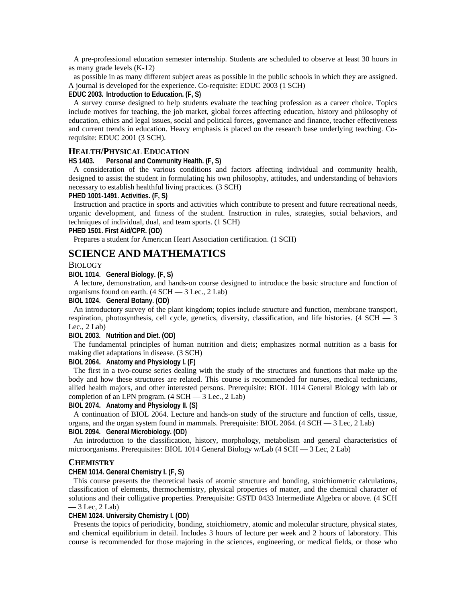A pre-professional education semester internship. Students are scheduled to observe at least 30 hours in as many grade levels (K-12)

as possible in as many different subject areas as possible in the public schools in which they are assigned. A journal is developed for the experience. Co-requisite: EDUC 2003 (1 SCH)

#### **EDUC 2003. Introduction to Education. (F, S)**

A survey course designed to help students evaluate the teaching profession as a career choice. Topics include motives for teaching, the job market, global forces affecting education, history and philosophy of education, ethics and legal issues, social and political forces, governance and finance, teacher effectiveness and current trends in education. Heavy emphasis is placed on the research base underlying teaching. Corequisite: EDUC 2001 (3 SCH).

#### **HEALTH/PHYSICAL EDUCATION**

**HS 1403. Personal and Community Health. (F, S)** 

A consideration of the various conditions and factors affecting individual and community health, designed to assist the student in formulating his own philosophy, attitudes, and understanding of behaviors necessary to establish healthful living practices. (3 SCH)

#### **PHED 1001-1491. Activities. (F, S)**

Instruction and practice in sports and activities which contribute to present and future recreational needs, organic development, and fitness of the student. Instruction in rules, strategies, social behaviors, and techniques of individual, dual, and team sports. (1 SCH)

#### **PHED 1501. First Aid/CPR. (OD)**

Prepares a student for American Heart Association certification. (1 SCH)

#### **SCIENCE AND MATHEMATICS**

#### BIOLOGY

**BIOL 1014. General Biology. (F, S)** 

A lecture, demonstration, and hands-on course designed to introduce the basic structure and function of organisms found on earth. (4 SCH — 3 Lec., 2 Lab)

#### **BIOL 1024. General Botany. (OD)**

An introductory survey of the plant kingdom; topics include structure and function, membrane transport, respiration, photosynthesis, cell cycle, genetics, diversity, classification, and life histories. (4 SCH — 3 Lec.,  $2$  Lab)

#### **BIOL 2003. Nutrition and Diet. (OD)**

The fundamental principles of human nutrition and diets; emphasizes normal nutrition as a basis for making diet adaptations in disease. (3 SCH)

#### **BIOL 2064. Anatomy and Physiology I. (F)**

The first in a two-course series dealing with the study of the structures and functions that make up the body and how these structures are related. This course is recommended for nurses, medical technicians, allied health majors, and other interested persons. Prerequisite: BIOL 1014 General Biology with lab or completion of an LPN program.  $(4 \text{ SCH} - 3 \text{ Lee}, 2 \text{ Lab})$ 

#### **BIOL 2074. Anatomy and Physiology II. (S)**

A continuation of BIOL 2064. Lecture and hands-on study of the structure and function of cells, tissue, organs, and the organ system found in mammals. Prerequisite: BIOL 2064. (4 SCH — 3 Lec, 2 Lab) **BIOL 2094. General Microbiology. (OD)** 

An introduction to the classification, history, morphology, metabolism and general characteristics of microorganisms. Prerequisites: BIOL 1014 General Biology w/Lab (4 SCH — 3 Lec, 2 Lab)

#### **CHEMISTRY**

#### **CHEM 1014. General Chemistry I. (F, S)**

This course presents the theoretical basis of atomic structure and bonding, stoichiometric calculations, classification of elements, thermochemistry, physical properties of matter, and the chemical character of solutions and their colligative properties. Prerequisite: GSTD 0433 Intermediate Algebra or above. (4 SCH  $-3$  Lec, 2 Lab)

#### **CHEM 1024. University Chemistry I. (OD)**

Presents the topics of periodicity, bonding, stoichiometry, atomic and molecular structure, physical states, and chemical equilibrium in detail. Includes 3 hours of lecture per week and 2 hours of laboratory. This course is recommended for those majoring in the sciences, engineering, or medical fields, or those who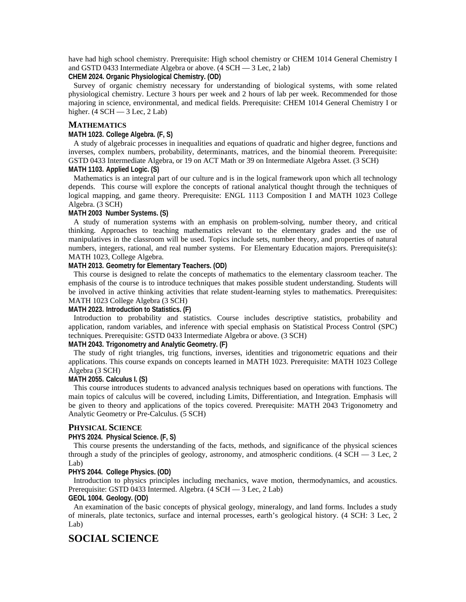have had high school chemistry. Prerequisite: High school chemistry or CHEM 1014 General Chemistry I and GSTD 0433 Intermediate Algebra or above. (4 SCH — 3 Lec, 2 lab)

**CHEM 2024. Organic Physiological Chemistry. (OD)** 

Survey of organic chemistry necessary for understanding of biological systems, with some related physiological chemistry. Lecture 3 hours per week and 2 hours of lab per week. Recommended for those majoring in science, environmental, and medical fields. Prerequisite: CHEM 1014 General Chemistry I or higher.  $(4 \text{ SCH} - 3 \text{ Lee}, 2 \text{ Lab})$ 

#### **MATHEMATICS**

#### **MATH 1023. College Algebra. (F, S)**

A study of algebraic processes in inequalities and equations of quadratic and higher degree, functions and inverses, complex numbers, probability, determinants, matrices, and the binomial theorem. Prerequisite: GSTD 0433 Intermediate Algebra, or 19 on ACT Math or 39 on Intermediate Algebra Asset. (3 SCH) **MATH 1103. Applied Logic. (S)** 

Mathematics is an integral part of our culture and is in the logical framework upon which all technology depends. This course will explore the concepts of rational analytical thought through the techniques of logical mapping, and game theory. Prerequisite: ENGL 1113 Composition I and MATH 1023 College Algebra. (3 SCH)

#### **MATH 2003 Number Systems. (S)**

A study of numeration systems with an emphasis on problem-solving, number theory, and critical thinking. Approaches to teaching mathematics relevant to the elementary grades and the use of manipulatives in the classroom will be used. Topics include sets, number theory, and properties of natural numbers, integers, rational, and real number systems. For Elementary Education majors. Prerequisite(s): MATH 1023, College Algebra.

#### **MATH 2013. Geometry for Elementary Teachers. (OD)**

This course is designed to relate the concepts of mathematics to the elementary classroom teacher. The emphasis of the course is to introduce techniques that makes possible student understanding. Students will be involved in active thinking activities that relate student-learning styles to mathematics. Prerequisites: MATH 1023 College Algebra (3 SCH)

#### **MATH 2023. Introduction to Statistics. (F)**

Introduction to probability and statistics. Course includes descriptive statistics, probability and application, random variables, and inference with special emphasis on Statistical Process Control (SPC) techniques. Prerequisite: GSTD 0433 Intermediate Algebra or above. (3 SCH)

#### **MATH 2043. Trigonometry and Analytic Geometry. (F)**

The study of right triangles, trig functions, inverses, identities and trigonometric equations and their applications. This course expands on concepts learned in MATH 1023. Prerequisite: MATH 1023 College Algebra (3 SCH)

#### **MATH 2055. Calculus I. (S)**

This course introduces students to advanced analysis techniques based on operations with functions. The main topics of calculus will be covered, including Limits, Differentiation, and Integration. Emphasis will be given to theory and applications of the topics covered. Prerequisite: MATH 2043 Trigonometry and Analytic Geometry or Pre-Calculus. (5 SCH)

#### **PHYSICAL SCIENCE**

#### **PHYS 2024. Physical Science. (F, S)**

This course presents the understanding of the facts, methods, and significance of the physical sciences through a study of the principles of geology, astronomy, and atmospheric conditions. (4 SCH  $-$  3 Lec, 2 Lab)

#### **PHYS 2044. College Physics. (OD)**

Introduction to physics principles including mechanics, wave motion, thermodynamics, and acoustics. Prerequisite: GSTD 0433 Intermed. Algebra. (4 SCH — 3 Lec, 2 Lab)

#### **GEOL 1004. Geology. (OD)**

An examination of the basic concepts of physical geology, mineralogy, and land forms. Includes a study of minerals, plate tectonics, surface and internal processes, earth's geological history. (4 SCH: 3 Lec, 2 Lab)

#### **SOCIAL SCIENCE**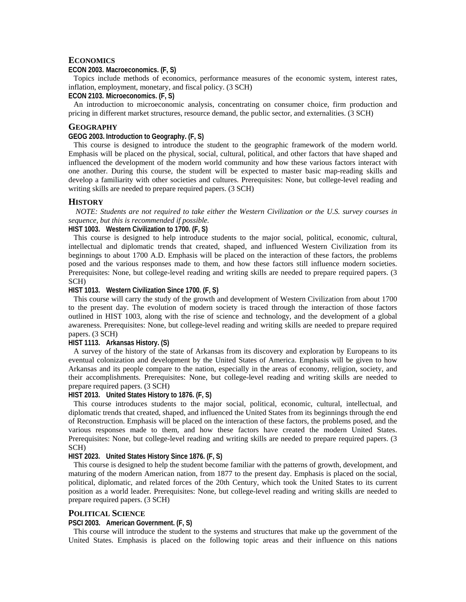#### **ECONOMICS**

#### **ECON 2003. Macroeconomics. (F, S)**

Topics include methods of economics, performance measures of the economic system, interest rates, inflation, employment, monetary, and fiscal policy. (3 SCH)

#### **ECON 2103. Microeconomics. (F, S)**

An introduction to microeconomic analysis, concentrating on consumer choice, firm production and pricing in different market structures, resource demand, the public sector, and externalities. (3 SCH)

#### **GEOGRAPHY**

#### **GEOG 2003. Introduction to Geography. (F, S)**

This course is designed to introduce the student to the geographic framework of the modern world. Emphasis will be placed on the physical, social, cultural, political, and other factors that have shaped and influenced the development of the modern world community and how these various factors interact with one another. During this course, the student will be expected to master basic map-reading skills and develop a familiarity with other societies and cultures. Prerequisites: None, but college-level reading and writing skills are needed to prepare required papers. (3 SCH)

#### **HISTORY**

*NOTE: Students are not required to take either the Western Civilization or the U.S. survey courses in sequence, but this is recommended if possible.* 

#### **HIST 1003. Western Civilization to 1700. (F, S)**

This course is designed to help introduce students to the major social, political, economic, cultural, intellectual and diplomatic trends that created, shaped, and influenced Western Civilization from its beginnings to about 1700 A.D. Emphasis will be placed on the interaction of these factors, the problems posed and the various responses made to them, and how these factors still influence modern societies. Prerequisites: None, but college-level reading and writing skills are needed to prepare required papers. (3 SCH)

#### **HIST 1013. Western Civilization Since 1700. (F, S)**

This course will carry the study of the growth and development of Western Civilization from about 1700 to the present day. The evolution of modern society is traced through the interaction of those factors outlined in HIST 1003, along with the rise of science and technology, and the development of a global awareness. Prerequisites: None, but college-level reading and writing skills are needed to prepare required papers. (3 SCH)

#### **HIST 1113. Arkansas History. (S)**

A survey of the history of the state of Arkansas from its discovery and exploration by Europeans to its eventual colonization and development by the United States of America. Emphasis will be given to how Arkansas and its people compare to the nation, especially in the areas of economy, religion, society, and their accomplishments. Prerequisites: None, but college-level reading and writing skills are needed to prepare required papers. (3 SCH)

#### **HIST 2013. United States History to 1876. (F, S)**

This course introduces students to the major social, political, economic, cultural, intellectual, and diplomatic trends that created, shaped, and influenced the United States from its beginnings through the end of Reconstruction. Emphasis will be placed on the interaction of these factors, the problems posed, and the various responses made to them, and how these factors have created the modern United States. Prerequisites: None, but college-level reading and writing skills are needed to prepare required papers. (3 SCH)

#### **HIST 2023. United States History Since 1876. (F, S)**

This course is designed to help the student become familiar with the patterns of growth, development, and maturing of the modern American nation, from 1877 to the present day. Emphasis is placed on the social, political, diplomatic, and related forces of the 20th Century, which took the United States to its current position as a world leader. Prerequisites: None, but college-level reading and writing skills are needed to prepare required papers. (3 SCH)

#### **POLITICAL SCIENCE**

#### **PSCI 2003. American Government. (F, S)**

This course will introduce the student to the systems and structures that make up the government of the United States. Emphasis is placed on the following topic areas and their influence on this nations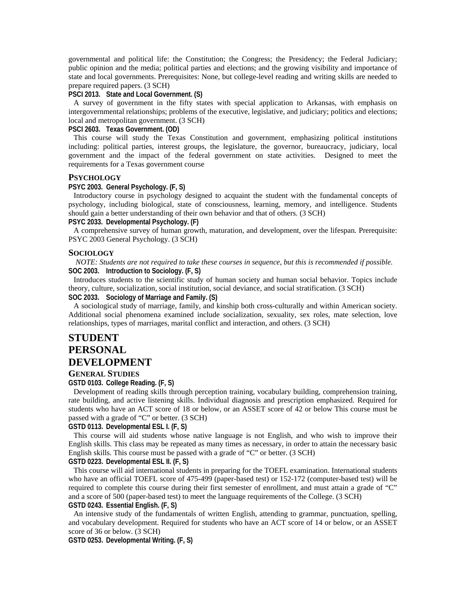governmental and political life: the Constitution; the Congress; the Presidency; the Federal Judiciary; public opinion and the media; political parties and elections; and the growing visibility and importance of state and local governments. Prerequisites: None, but college-level reading and writing skills are needed to prepare required papers. (3 SCH)

#### **PSCI 2013. State and Local Government. (S)**

A survey of government in the fifty states with special application to Arkansas, with emphasis on intergovernmental relationships; problems of the executive, legislative, and judiciary; politics and elections; local and metropolitan government. (3 SCH)

#### **PSCI 2603. Texas Government. (OD)**

This course will study the Texas Constitution and government, emphasizing political institutions including: political parties, interest groups, the legislature, the governor, bureaucracy, judiciary, local government and the impact of the federal government on state activities. Designed to meet the requirements for a Texas government course

#### **PSYCHOLOGY**

#### **PSYC 2003. General Psychology. (F, S)**

Introductory course in psychology designed to acquaint the student with the fundamental concepts of psychology, including biological, state of consciousness, learning, memory, and intelligence. Students should gain a better understanding of their own behavior and that of others. (3 SCH)

**PSYC 2033. Developmental Psychology. (F)** 

A comprehensive survey of human growth, maturation, and development, over the lifespan. Prerequisite: PSYC 2003 General Psychology. (3 SCH)

#### **SOCIOLOGY**

*NOTE: Students are not required to take these courses in sequence, but this is recommended if possible.*  **SOC 2003. Introduction to Sociology. (F, S)** 

Introduces students to the scientific study of human society and human social behavior. Topics include theory, culture, socialization, social institution, social deviance, and social stratification. (3 SCH) **SOC 2033. Sociology of Marriage and Family. (S)** 

A sociological study of marriage, family, and kinship both cross-culturally and within American society. Additional social phenomena examined include socialization, sexuality, sex roles, mate selection, love relationships, types of marriages, marital conflict and interaction, and others. (3 SCH)

### **STUDENT PERSONAL DEVELOPMENT**

#### **GENERAL STUDIES**

**GSTD 0103. College Reading. (F, S)** 

Development of reading skills through perception training, vocabulary building, comprehension training, rate building, and active listening skills. Individual diagnosis and prescription emphasized. Required for students who have an ACT score of 18 or below, or an ASSET score of 42 or below This course must be passed with a grade of "C" or better. (3 SCH)

#### **GSTD 0113. Developmental ESL I. (F, S)**

This course will aid students whose native language is not English, and who wish to improve their English skills. This class may be repeated as many times as necessary, in order to attain the necessary basic English skills. This course must be passed with a grade of "C" or better. (3 SCH)

#### **GSTD 0223. Developmental ESL II. (F, S)**

This course will aid international students in preparing for the TOEFL examination. International students who have an official TOEFL score of 475-499 (paper-based test) or 152-172 (computer-based test) will be required to complete this course during their first semester of enrollment, and must attain a grade of "C" and a score of 500 (paper-based test) to meet the language requirements of the College. (3 SCH)

#### **GSTD 0243. Essential English. (F, S)**

An intensive study of the fundamentals of written English, attending to grammar, punctuation, spelling, and vocabulary development. Required for students who have an ACT score of 14 or below, or an ASSET score of 36 or below. (3 SCH)

**GSTD 0253. Developmental Writing. (F, S)**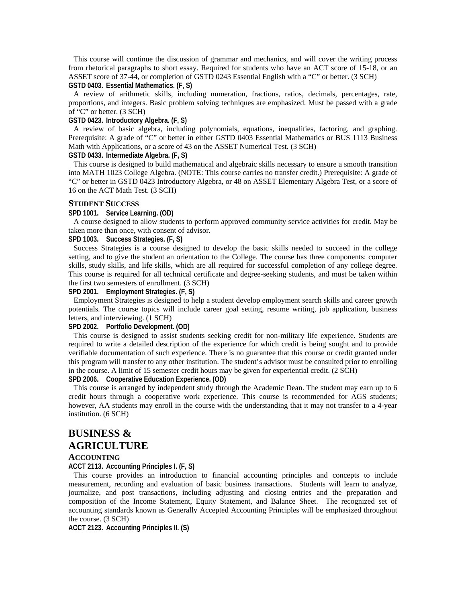This course will continue the discussion of grammar and mechanics, and will cover the writing process from rhetorical paragraphs to short essay. Required for students who have an ACT score of 15-18, or an ASSET score of 37-44, or completion of GSTD 0243 Essential English with a "C" or better. (3 SCH) **GSTD 0403. Essential Mathematics. (F, S)** 

A review of arithmetic skills, including numeration, fractions, ratios, decimals, percentages, rate, proportions, and integers. Basic problem solving techniques are emphasized. Must be passed with a grade of "C" or better. (3 SCH)

#### **GSTD 0423. Introductory Algebra. (F, S)**

A review of basic algebra, including polynomials, equations, inequalities, factoring, and graphing. Prerequisite: A grade of "C" or better in either GSTD 0403 Essential Mathematics or BUS 1113 Business Math with Applications, or a score of 43 on the ASSET Numerical Test. (3 SCH)

#### **GSTD 0433. Intermediate Algebra. (F, S)**

This course is designed to build mathematical and algebraic skills necessary to ensure a smooth transition into MATH 1023 College Algebra. (NOTE: This course carries no transfer credit.) Prerequisite: A grade of "C" or better in GSTD 0423 Introductory Algebra, or 48 on ASSET Elementary Algebra Test, or a score of 16 on the ACT Math Test. (3 SCH)

#### **STUDENT SUCCESS**

#### **SPD 1001. Service Learning. (OD)**

A course designed to allow students to perform approved community service activities for credit. May be taken more than once, with consent of advisor.

#### **SPD 1003. Success Strategies. (F, S)**

Success Strategies is a course designed to develop the basic skills needed to succeed in the college setting, and to give the student an orientation to the College. The course has three components: computer skills, study skills, and life skills, which are all required for successful completion of any college degree. This course is required for all technical certificate and degree-seeking students, and must be taken within the first two semesters of enrollment. (3 SCH)

#### **SPD 2001. Employment Strategies. (F, S)**

Employment Strategies is designed to help a student develop employment search skills and career growth potentials. The course topics will include career goal setting, resume writing, job application, business letters, and interviewing. (1 SCH)

#### **SPD 2002. Portfolio Development. (OD)**

This course is designed to assist students seeking credit for non-military life experience. Students are required to write a detailed description of the experience for which credit is being sought and to provide verifiable documentation of such experience. There is no guarantee that this course or credit granted under this program will transfer to any other institution. The student's advisor must be consulted prior to enrolling in the course. A limit of 15 semester credit hours may be given for experiential credit. (2 SCH)

#### **SPD 2006. Cooperative Education Experience. (OD)**

This course is arranged by independent study through the Academic Dean. The student may earn up to 6 credit hours through a cooperative work experience. This course is recommended for AGS students; however, AA students may enroll in the course with the understanding that it may not transfer to a 4-year institution. (6 SCH)

### **BUSINESS & AGRICULTURE**

#### **ACCOUNTING**

**ACCT 2113. Accounting Principles I. (F, S)** 

This course provides an introduction to financial accounting principles and concepts to include measurement, recording and evaluation of basic business transactions. Students will learn to analyze, journalize, and post transactions, including adjusting and closing entries and the preparation and composition of the Income Statement, Equity Statement, and Balance Sheet. The recognized set of accounting standards known as Generally Accepted Accounting Principles will be emphasized throughout the course. (3 SCH)

**ACCT 2123. Accounting Principles II. (S)**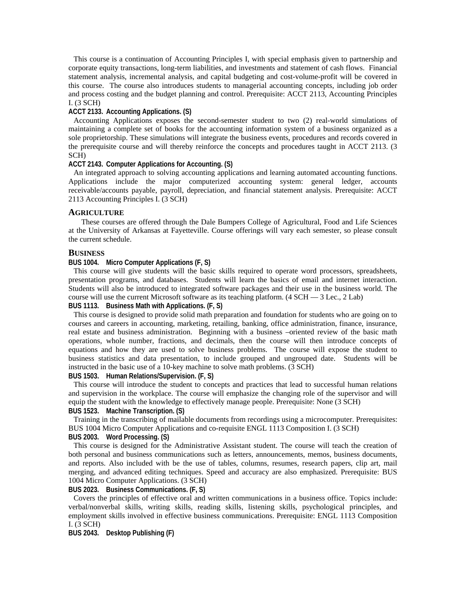This course is a continuation of Accounting Principles I, with special emphasis given to partnership and corporate equity transactions, long-term liabilities, and investments and statement of cash flows. Financial statement analysis, incremental analysis, and capital budgeting and cost-volume-profit will be covered in this course. The course also introduces students to managerial accounting concepts, including job order and process costing and the budget planning and control. Prerequisite: ACCT 2113, Accounting Principles I. (3 SCH)

#### **ACCT 2133. Accounting Applications. (S)**

Accounting Applications exposes the second-semester student to two (2) real-world simulations of maintaining a complete set of books for the accounting information system of a business organized as a sole proprietorship. These simulations will integrate the business events, procedures and records covered in the prerequisite course and will thereby reinforce the concepts and procedures taught in ACCT 2113. (3 SCH)

#### **ACCT 2143. Computer Applications for Accounting. (S)**

An integrated approach to solving accounting applications and learning automated accounting functions. Applications include the major computerized accounting system: general ledger, accounts receivable/accounts payable, payroll, depreciation, and financial statement analysis. Prerequisite: ACCT 2113 Accounting Principles I. (3 SCH)

#### **AGRICULTURE**

 These courses are offered through the Dale Bumpers College of Agricultural, Food and Life Sciences at the University of Arkansas at Fayetteville. Course offerings will vary each semester, so please consult the current schedule.

#### **BUSINESS**

#### **BUS 1004. Micro Computer Applications (F, S)**

This course will give students will the basic skills required to operate word processors, spreadsheets, presentation programs, and databases. Students will learn the basics of email and internet interaction. Students will also be introduced to integrated software packages and their use in the business world. The course will use the current Microsoft software as its teaching platform. (4 SCH — 3 Lec., 2 Lab)

#### **BUS 1113. Business Math with Applications. (F, S)**

This course is designed to provide solid math preparation and foundation for students who are going on to courses and careers in accounting, marketing, retailing, banking, office administration, finance, insurance, real estate and business administration. Beginning with a business –oriented review of the basic math operations, whole number, fractions, and decimals, then the course will then introduce concepts of equations and how they are used to solve business problems. The course will expose the student to business statistics and data presentation, to include grouped and ungrouped date. Students will be instructed in the basic use of a 10-key machine to solve math problems. (3 SCH)

#### **BUS 1503. Human Relations/Supervision. (F, S)**

This course will introduce the student to concepts and practices that lead to successful human relations and supervision in the workplace. The course will emphasize the changing role of the supervisor and will equip the student with the knowledge to effectively manage people. Prerequisite: None (3 SCH) **BUS 1523. Machine Transcription. (S)** 

Training in the transcribing of mailable documents from recordings using a microcomputer. Prerequisites: BUS 1004 Micro Computer Applications and co-requisite ENGL 1113 Composition I. (3 SCH) **BUS 2003. Word Processing. (S)** 

This course is designed for the Administrative Assistant student. The course will teach the creation of both personal and business communications such as letters, announcements, memos, business documents, and reports. Also included with be the use of tables, columns, resumes, research papers, clip art, mail merging, and advanced editing techniques. Speed and accuracy are also emphasized. Prerequisite: BUS 1004 Micro Computer Applications. (3 SCH)

#### **BUS 2023. Business Communications. (F, S)**

Covers the principles of effective oral and written communications in a business office. Topics include: verbal/nonverbal skills, writing skills, reading skills, listening skills, psychological principles, and employment skills involved in effective business communications. Prerequisite: ENGL 1113 Composition I. (3 SCH)

**BUS 2043. Desktop Publishing (F)**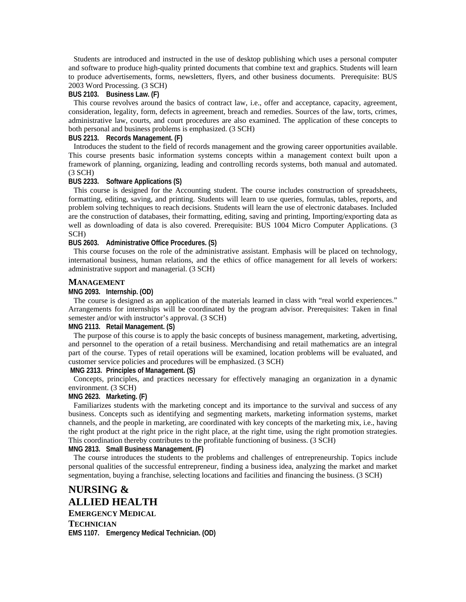Students are introduced and instructed in the use of desktop publishing which uses a personal computer and software to produce high-quality printed documents that combine text and graphics. Students will learn to produce advertisements, forms, newsletters, flyers, and other business documents. Prerequisite: BUS 2003 Word Processing. (3 SCH)

#### **BUS 2103. Business Law. (F)**

This course revolves around the basics of contract law, i.e., offer and acceptance, capacity, agreement, consideration, legality, form, defects in agreement, breach and remedies. Sources of the law, torts, crimes, administrative law, courts, and court procedures are also examined. The application of these concepts to both personal and business problems is emphasized. (3 SCH)

#### **BUS 2213. Records Management. (F)**

Introduces the student to the field of records management and the growing career opportunities available. This course presents basic information systems concepts within a management context built upon a framework of planning, organizing, leading and controlling records systems, both manual and automated. (3 SCH)

#### **BUS 2233. Software Applications (S)**

This course is designed for the Accounting student. The course includes construction of spreadsheets, formatting, editing, saving, and printing. Students will learn to use queries, formulas, tables, reports, and problem solving techniques to reach decisions. Students will learn the use of electronic databases. Included are the construction of databases, their formatting, editing, saving and printing, Importing/exporting data as well as downloading of data is also covered. Prerequisite: BUS 1004 Micro Computer Applications. (3) SCH)

#### **BUS 2603. Administrative Office Procedures. (S)**

This course focuses on the role of the administrative assistant. Emphasis will be placed on technology, international business, human relations, and the ethics of office management for all levels of workers: administrative support and managerial. (3 SCH)

#### **MANAGEMENT**

#### **MNG 2093. Internship. (OD)**

The course is designed as an application of the materials learned in class with "real world experiences." Arrangements for internships will be coordinated by the program advisor. Prerequisites: Taken in final semester and/or with instructor's approval. (3 SCH)

#### **MNG 2113. Retail Management. (S)**

The purpose of this course is to apply the basic concepts of business management, marketing, advertising, and personnel to the operation of a retail business. Merchandising and retail mathematics are an integral part of the course. Types of retail operations will be examined, location problems will be evaluated, and customer service policies and procedures will be emphasized. (3 SCH)

 **MNG 2313. Principles of Management. (S)** 

Concepts, principles, and practices necessary for effectively managing an organization in a dynamic environment. (3 SCH)

#### **MNG 2623. Marketing. (F)**

Familiarizes students with the marketing concept and its importance to the survival and success of any business. Concepts such as identifying and segmenting markets, marketing information systems, market channels, and the people in marketing, are coordinated with key concepts of the marketing mix, i.e., having the right product at the right price in the right place, at the right time, using the right promotion strategies. This coordination thereby contributes to the profitable functioning of business. (3 SCH)

#### **MNG 2813. Small Business Management. (F)**

The course introduces the students to the problems and challenges of entrepreneurship. Topics include personal qualities of the successful entrepreneur, finding a business idea, analyzing the market and market segmentation, buying a franchise, selecting locations and facilities and financing the business. (3 SCH)

**NURSING & ALLIED HEALTH EMERGENCY MEDICAL TECHNICIAN EMS 1107. Emergency Medical Technician. (OD)**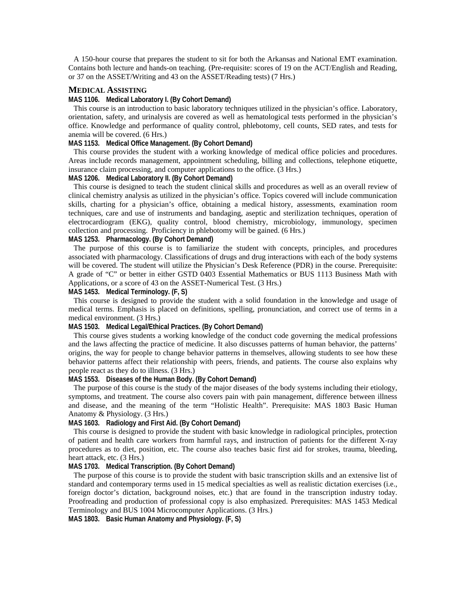A 150-hour course that prepares the student to sit for both the Arkansas and National EMT examination. Contains both lecture and hands-on teaching. (Pre-requisite: scores of 19 on the ACT/English and Reading, or 37 on the ASSET/Writing and 43 on the ASSET/Reading tests) (7 Hrs.)

#### **MEDICAL ASSISTING**

#### **MAS 1106. Medical Laboratory I. (By Cohort Demand)**

This course is an introduction to basic laboratory techniques utilized in the physician's office. Laboratory, orientation, safety, and urinalysis are covered as well as hematological tests performed in the physician's office. Knowledge and performance of quality control, phlebotomy, cell counts, SED rates, and tests for anemia will be covered. (6 Hrs.)

#### **MAS 1153. Medical Office Management. (By Cohort Demand)**

This course provides the student with a working knowledge of medical office policies and procedures. Areas include records management, appointment scheduling, billing and collections, telephone etiquette, insurance claim processing, and computer applications to the office. (3 Hrs.)

#### **MAS 1206. Medical Laboratory II. (By Cohort Demand)**

This course is designed to teach the student clinical skills and procedures as well as an overall review of clinical chemistry analysis as utilized in the physician's office. Topics covered will include communication skills, charting for a physician's office, obtaining a medical history, assessments, examination room techniques, care and use of instruments and bandaging, aseptic and sterilization techniques, operation of electrocardiogram (EKG), quality control, blood chemistry, microbiology, immunology, specimen collection and processing. Proficiency in phlebotomy will be gained. (6 Hrs.)

#### **MAS 1253. Pharmacology. (By Cohort Demand)**

The purpose of this course is to familiarize the student with concepts, principles, and procedures associated with pharmacology. Classifications of drugs and drug interactions with each of the body systems will be covered. The student will utilize the Physician's Desk Reference (PDR) in the course. Prerequisite: A grade of "C" or better in either GSTD 0403 Essential Mathematics or BUS 1113 Business Math with Applications, or a score of 43 on the ASSET-Numerical Test. (3 Hrs.)

#### **MAS 1453. Medical Terminology. (F, S)**

This course is designed to provide the student with a solid foundation in the knowledge and usage of medical terms. Emphasis is placed on definitions, spelling, pronunciation, and correct use of terms in a medical environment. (3 Hrs.)

#### **MAS 1503. Medical Legal/Ethical Practices. (By Cohort Demand)**

This course gives students a working knowledge of the conduct code governing the medical professions and the laws affecting the practice of medicine. It also discusses patterns of human behavior, the patterns' origins, the way for people to change behavior patterns in themselves, allowing students to see how these behavior patterns affect their relationship with peers, friends, and patients. The course also explains why people react as they do to illness. (3 Hrs.)

#### **MAS 1553. Diseases of the Human Body. (By Cohort Demand)**

The purpose of this course is the study of the major diseases of the body systems including their etiology, symptoms, and treatment. The course also covers pain with pain management, difference between illness and disease, and the meaning of the term "Holistic Health". Prerequisite: MAS 1803 Basic Human Anatomy & Physiology. (3 Hrs.)

#### **MAS 1603. Radiology and First Aid. (By Cohort Demand)**

This course is designed to provide the student with basic knowledge in radiological principles, protection of patient and health care workers from harmful rays, and instruction of patients for the different X-ray procedures as to diet, position, etc. The course also teaches basic first aid for strokes, trauma, bleeding, heart attack, etc. (3 Hrs.)

#### **MAS 1703. Medical Transcription. (By Cohort Demand)**

The purpose of this course is to provide the student with basic transcription skills and an extensive list of standard and contemporary terms used in 15 medical specialties as well as realistic dictation exercises (i.e., foreign doctor's dictation, background noises, etc.) that are found in the transcription industry today. Proofreading and production of professional copy is also emphasized. Prerequisites: MAS 1453 Medical Terminology and BUS 1004 Microcomputer Applications. (3 Hrs.)

**MAS 1803. Basic Human Anatomy and Physiology. (F, S)**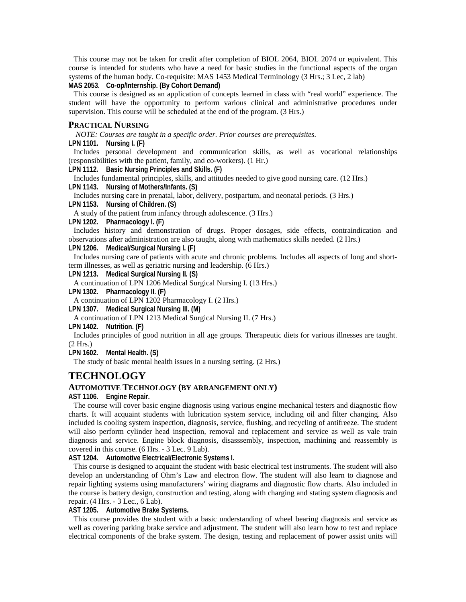This course may not be taken for credit after completion of BIOL 2064, BIOL 2074 or equivalent. This course is intended for students who have a need for basic studies in the functional aspects of the organ systems of the human body. Co-requisite: MAS 1453 Medical Terminology (3 Hrs.; 3 Lec, 2 lab) **MAS 2053. Co-op/Internship. (By Cohort Demand)** 

This course is designed as an application of concepts learned in class with "real world" experience. The student will have the opportunity to perform various clinical and administrative procedures under supervision. This course will be scheduled at the end of the program. (3 Hrs.)

#### **PRACTICAL NURSING**

*NOTE: Courses are taught in a specific order. Prior courses are prerequisites.* 

**LPN 1101. Nursing I. (F)** 

Includes personal development and communication skills, as well as vocational relationships (responsibilities with the patient, family, and co-workers). (1 Hr.)

**LPN 1112. Basic Nursing Principles and Skills. (F)** 

Includes fundamental principles, skills, and attitudes needed to give good nursing care. (12 Hrs.) **LPN 1143. Nursing of Mothers/Infants. (S)** 

Includes nursing care in prenatal, labor, delivery, postpartum, and neonatal periods. (3 Hrs.)

**LPN 1153. Nursing of Children. (S)** 

A study of the patient from infancy through adolescence. (3 Hrs.)

**LPN 1202. Pharmacology I. (F)** 

Includes history and demonstration of drugs. Proper dosages, side effects, contraindication and observations after administration are also taught, along with mathematics skills needed. (2 Hrs.)

**LPN 1206. Medical/Surgical Nursing I. (F)** 

Includes nursing care of patients with acute and chronic problems. Includes all aspects of long and shortterm illnesses, as well as geriatric nursing and leadership. (6 Hrs.)

**LPN 1213. Medical Surgical Nursing II. (S)** 

A continuation of LPN 1206 Medical Surgical Nursing I. (13 Hrs.)

**LPN 1302. Pharmacology II. (F)** 

A continuation of LPN 1202 Pharmacology I. (2 Hrs.)

**LPN 1307. Medical Surgical Nursing III. (M)** 

A continuation of LPN 1213 Medical Surgical Nursing II. (7 Hrs.)

**LPN 1402. Nutrition. (F)** 

Includes principles of good nutrition in all age groups. Therapeutic diets for various illnesses are taught. (2 Hrs.)

**LPN 1602. Mental Health. (S)** 

The study of basic mental health issues in a nursing setting. (2 Hrs.)

## **TECHNOLOGY**

#### **AUTOMOTIVE TECHNOLOGY (BY ARRANGEMENT ONLY)**

**AST 1106. Engine Repair.** 

The course will cover basic engine diagnosis using various engine mechanical testers and diagnostic flow charts. It will acquaint students with lubrication system service, including oil and filter changing. Also included is cooling system inspection, diagnosis, service, flushing, and recycling of antifreeze. The student will also perform cylinder head inspection, removal and replacement and service as well as vale train diagnosis and service. Engine block diagnosis, disasssembly, inspection, machining and reassembly is covered in this course. (6 Hrs. - 3 Lec. 9 Lab).

**AST 1204. Automotive Electrical/Electronic Systems I.** 

This course is designed to acquaint the student with basic electrical test instruments. The student will also develop an understanding of Ohm's Law and electron flow. The student will also learn to diagnose and repair lighting systems using manufacturers' wiring diagrams and diagnostic flow charts. Also included in the course is battery design, construction and testing, along with charging and stating system diagnosis and repair. (4 Hrs. - 3 Lec., 6 Lab).

**AST 1205. Automotive Brake Systems.** 

This course provides the student with a basic understanding of wheel bearing diagnosis and service as well as covering parking brake service and adjustment. The student will also learn how to test and replace electrical components of the brake system. The design, testing and replacement of power assist units will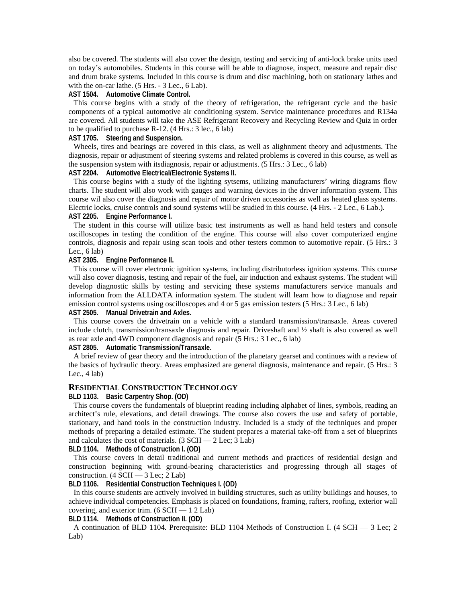also be covered. The students will also cover the design, testing and servicing of anti-lock brake units used on today's automobiles. Students in this course will be able to diagnose, inspect, measure and repair disc and drum brake systems. Included in this course is drum and disc machining, both on stationary lathes and with the on-car lathe. (5 Hrs. - 3 Lec., 6 Lab).

#### **AST 1504. Automotive Climate Control.**

This course begins with a study of the theory of refrigeration, the refrigerant cycle and the basic components of a typical automotive air conditioning system. Service maintenance procedures and R134a are covered. All students will take the ASE Refrigerant Recovery and Recycling Review and Quiz in order to be qualified to purchase R-12. (4 Hrs.: 3 lec., 6 lab)

## **AST 1705. Steering and Suspension.**

Wheels, tires and bearings are covered in this class, as well as alighnment theory and adjustments. The diagnosis, repair or adjustment of steering systems and related problems is covered in this course, as well as the suspension system with itsdiagnosis, repair or adjustments. (5 Hrs.: 3 Lec., 6 lab)

### **AST 2204. Automotive Electrical/Electronic Systems II.**

This course begins with a study of the lighting sytsems, utilizing manufacturers' wiring diagrams flow charts. The student will also work with gauges and warning devices in the driver information system. This course wil also cover the diagnosis and repair of motor driven accessories as well as heated glass systems. Electric locks, cruise controls and sound systems will be studied in this course. (4 Hrs. - 2 Lec., 6 Lab.). **AST 2205. Engine Performance I.** 

The student in this course will utilize basic test instruments as well as hand held testers and console oscilloscopes in testing the condition of the engine. This course will also cover computerized engine controls, diagnosis and repair using scan tools and other testers common to automotive repair. (5 Hrs.: 3 Lec.,  $6$  lab)

#### **AST 2305. Engine Performance II.**

This course will cover electronic ignition systems, including distributorless ignition systems. This course will also cover diagnosis, testing and repair of the fuel, air induction and exhaust systems. The student will develop diagnostic skills by testing and servicing these systems manufacturers service manuals and information from the ALLDATA information system. The student will learn how to diagnose and repair emission control systems using oscilloscopes and 4 or 5 gas emission testers (5 Hrs.: 3 Lec., 6 lab)

## **AST 2505. Manual Drivetrain and Axles.**

This course covers the drivetrain on a vehicle with a standard transmission/transaxle. Areas covered include clutch, transmission/transaxle diagnosis and repair. Driveshaft and ½ shaft is also covered as well as rear axle and 4WD component diagnosis and repair (5 Hrs.: 3 Lec., 6 lab)

**AST 2805. Automatic Transmission/Transaxle.** 

A brief review of gear theory and the introduction of the planetary gearset and continues with a review of the basics of hydraulic theory. Areas emphasized are general diagnosis, maintenance and repair. (5 Hrs.: 3 Lec.,  $4$  lab)

#### **RESIDENTIAL CONSTRUCTION TECHNOLOGY**

#### **BLD 1103. Basic Carpentry Shop. (OD)**

This course covers the fundamentals of blueprint reading including alphabet of lines, symbols, reading an architect's rule, elevations, and detail drawings. The course also covers the use and safety of portable, stationary, and hand tools in the construction industry. Included is a study of the techniques and proper methods of preparing a detailed estimate. The student prepares a material take-off from a set of blueprints and calculates the cost of materials.  $(3 \text{ SCH} - 2 \text{ Lee}; 3 \text{ Lab})$ 

**BLD 1104. Methods of Construction I. (OD)** 

This course covers in detail traditional and current methods and practices of residential design and construction beginning with ground-bearing characteristics and progressing through all stages of construction.  $(4 \text{ SCH} - 3 \text{ Lee}; 2 \text{ Lab})$ 

**BLD 1106. Residential Construction Techniques I. (OD)** 

In this course students are actively involved in building structures, such as utility buildings and houses, to achieve individual competencies. Emphasis is placed on foundations, framing, rafters, roofing, exterior wall covering, and exterior trim.  $(6 SCH - 1 2 Lab)$ 

**BLD 1114. Methods of Construction II. (OD)** 

A continuation of BLD 1104. Prerequisite: BLD 1104 Methods of Construction I. (4 SCH — 3 Lec; 2 Lab)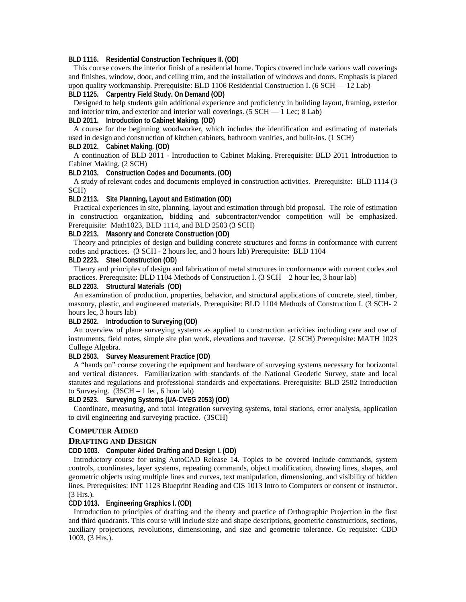**BLD 1116. Residential Construction Techniques II. (OD)** 

This course covers the interior finish of a residential home. Topics covered include various wall coverings and finishes, window, door, and ceiling trim, and the installation of windows and doors. Emphasis is placed upon quality workmanship. Prerequisite: BLD 1106 Residential Construction I. (6 SCH  $-$  12 Lab) **BLD 1125. Carpentry Field Study. On Demand (OD)** 

Designed to help students gain additional experience and proficiency in building layout, framing, exterior and interior trim, and exterior and interior wall coverings. (5 SCH — 1 Lec; 8 Lab)

**BLD 2011. Introduction to Cabinet Making. (OD)** 

A course for the beginning woodworker, which includes the identification and estimating of materials used in design and construction of kitchen cabinets, bathroom vanities, and built-ins. (1 SCH) **BLD 2012. Cabinet Making. (OD)** 

A continuation of BLD 2011 - Introduction to Cabinet Making. Prerequisite: BLD 2011 Introduction to Cabinet Making. (2 SCH)

**BLD 2103. Construction Codes and Documents. (OD)** 

A study of relevant codes and documents employed in construction activities. Prerequisite: BLD 1114 (3 SCH)

**BLD 2113. Site Planning, Layout and Estimation (OD)** 

Practical experiences in site, planning, layout and estimation through bid proposal. The role of estimation in construction organization, bidding and subcontractor/vendor competition will be emphasized. Prerequisite: Math1023, BLD 1114, and BLD 2503 (3 SCH)

## **BLD 2213. Masonry and Concrete Construction (OD)**

Theory and principles of design and building concrete structures and forms in conformance with current codes and practices. (3 SCH - 2 hours lec, and 3 hours lab) Prerequisite: BLD 1104

## **BLD 2223. Steel Construction (OD)**

Theory and principles of design and fabrication of metal structures in conformance with current codes and practices. Prerequisite: BLD 1104 Methods of Construction I. (3 SCH – 2 hour lec, 3 hour lab)

#### **BLD 2203. Structural Materials (OD)**

An examination of production, properties, behavior, and structural applications of concrete, steel, timber, masonry, plastic, and engineered materials. Prerequisite: BLD 1104 Methods of Construction I. (3 SCH- 2 hours lec, 3 hours lab)

**BLD 2502. Introduction to Surveying (OD)** 

An overview of plane surveying systems as applied to construction activities including care and use of instruments, field notes, simple site plan work, elevations and traverse. (2 SCH) Prerequisite: MATH 1023 College Algebra.

**BLD 2503. Survey Measurement Practice (OD)** 

A "hands on" course covering the equipment and hardware of surveying systems necessary for horizontal and vertical distances. Familiarization with standards of the National Geodetic Survey, state and local statutes and regulations and professional standards and expectations. Prerequisite: BLD 2502 Introduction to Surveying.  $(3SCH - 1 \text{ lec}, 6 \text{ hour lab})$ 

#### **BLD 2523. Surveying Systems (UA-CVEG 2053) (OD)**

Coordinate, measuring, and total integration surveying systems, total stations, error analysis, application to civil engineering and surveying practice. (3SCH)

#### **COMPUTER AIDED**

#### **DRAFTING AND DESIGN**

**CDD 1003. Computer Aided Drafting and Design I. (OD)** 

Introductory course for using AutoCAD Release 14. Topics to be covered include commands, system controls, coordinates, layer systems, repeating commands, object modification, drawing lines, shapes, and geometric objects using multiple lines and curves, text manipulation, dimensioning, and visibility of hidden lines. Prerequisites: INT 1123 Blueprint Reading and CIS 1013 Intro to Computers or consent of instructor. (3 Hrs.).

#### **CDD 1013. Engineering Graphics I. (OD)**

Introduction to principles of drafting and the theory and practice of Orthographic Projection in the first and third quadrants. This course will include size and shape descriptions, geometric constructions, sections, auxiliary projections, revolutions, dimensioning, and size and geometric tolerance. Co requisite: CDD 1003. (3 Hrs.).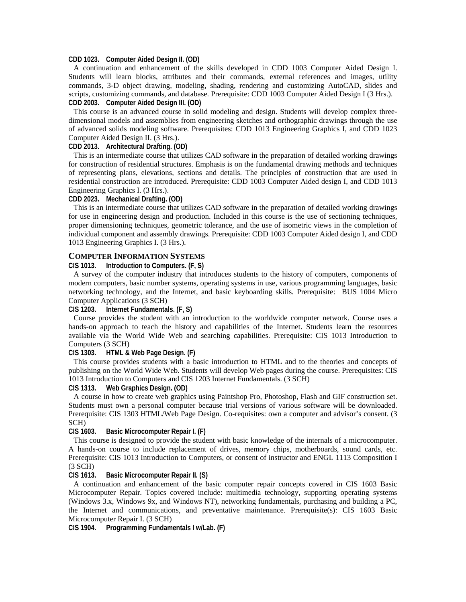#### **CDD 1023. Computer Aided Design II. (OD)**

A continuation and enhancement of the skills developed in CDD 1003 Computer Aided Design I. Students will learn blocks, attributes and their commands, external references and images, utility commands, 3-D object drawing, modeling, shading, rendering and customizing AutoCAD, slides and scripts, customizing commands, and database. Prerequisite: CDD 1003 Computer Aided Design I (3 Hrs.). **CDD 2003. Computer Aided Design III. (OD)** 

This course is an advanced course in solid modeling and design. Students will develop complex threedimensional models and assemblies from engineering sketches and orthographic drawings through the use of advanced solids modeling software. Prerequisites: CDD 1013 Engineering Graphics I, and CDD 1023 Computer Aided Design II. (3 Hrs.).

#### **CDD 2013. Architectural Drafting. (OD)**

This is an intermediate course that utilizes CAD software in the preparation of detailed working drawings for construction of residential structures. Emphasis is on the fundamental drawing methods and techniques of representing plans, elevations, sections and details. The principles of construction that are used in residential construction are introduced. Prerequisite: CDD 1003 Computer Aided design I, and CDD 1013 Engineering Graphics I. (3 Hrs.).

#### **CDD 2023. Mechanical Drafting. (OD)**

This is an intermediate course that utilizes CAD software in the preparation of detailed working drawings for use in engineering design and production. Included in this course is the use of sectioning techniques, proper dimensioning techniques, geometric tolerance, and the use of isometric views in the completion of individual component and assembly drawings. Prerequisite: CDD 1003 Computer Aided design I, and CDD 1013 Engineering Graphics I. (3 Hrs.).

#### **COMPUTER INFORMATION SYSTEMS**

**CIS 1013. Introduction to Computers. (F, S)** 

A survey of the computer industry that introduces students to the history of computers, components of modern computers, basic number systems, operating systems in use, various programming languages, basic networking technology, and the Internet, and basic keyboarding skills. Prerequisite: BUS 1004 Micro Computer Applications (3 SCH)

#### **CIS 1203. Internet Fundamentals. (F, S)**

Course provides the student with an introduction to the worldwide computer network. Course uses a hands-on approach to teach the history and capabilities of the Internet. Students learn the resources available via the World Wide Web and searching capabilities. Prerequisite: CIS 1013 Introduction to Computers (3 SCH)

### **CIS 1303. HTML & Web Page Design. (F)**

This course provides students with a basic introduction to HTML and to the theories and concepts of publishing on the World Wide Web. Students will develop Web pages during the course. Prerequisites: CIS 1013 Introduction to Computers and CIS 1203 Internet Fundamentals. (3 SCH)

#### **CIS 1313. Web Graphics Design. (OD)**

A course in how to create web graphics using Paintshop Pro, Photoshop, Flash and GIF construction set. Students must own a personal computer because trial versions of various software will be downloaded. Prerequisite: CIS 1303 HTML/Web Page Design. Co-requisites: own a computer and advisor's consent. (3 SCH)

#### **CIS 1603. Basic Microcomputer Repair I. (F)**

This course is designed to provide the student with basic knowledge of the internals of a microcomputer. A hands-on course to include replacement of drives, memory chips, motherboards, sound cards, etc. Prerequisite: CIS 1013 Introduction to Computers, or consent of instructor and ENGL 1113 Composition I (3 SCH)

#### **CIS 1613. Basic Microcomputer Repair II. (S)**

A continuation and enhancement of the basic computer repair concepts covered in CIS 1603 Basic Microcomputer Repair. Topics covered include: multimedia technology, supporting operating systems (Windows 3.x, Windows 9x, and Windows NT), networking fundamentals, purchasing and building a PC, the Internet and communications, and preventative maintenance. Prerequisite(s): CIS 1603 Basic Microcomputer Repair I. (3 SCH)

**CIS 1904. Programming Fundamentals I w/Lab. (F)**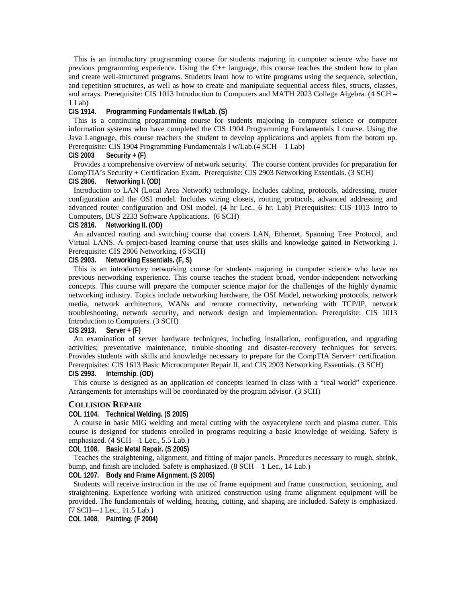This is an introductory programming course for students majoring in computer science who have no previous programming experience. Using the C++ language, this course teaches the student how to plan and create well-structured programs. Students learn how to write programs using the sequence, selection, and repetition structures, as well as how to create and manipulate sequential access files, structs, classes, and arrays. Prerequisite: CIS 1013 Introduction to Computers and MATH 2023 College Algebra. (4 SCH – 1 Lab)

#### **CIS 1914. Programming Fundamentals II w/Lab. (S)**

This is a continuing programming course for students majoring in computer science or computer information systems who have completed the CIS 1904 Programming Fundamentals I course. Using the Java Language, this course teachers the student to develop applications and applets from the botom up. Prerequisite: CIS 1904 Programming Fundamentals I w/Lab.(4 SCH – 1 Lab)

#### **CIS 2003 Security + (F)**

Provides a comprehensive overview of network security. The course content provides for preparation for CompTIA's Security + Certification Exam. Prerequisite: CIS 2903 Networking Essentials. (3 SCH) **CIS 2806. Networking I. (OD)** 

Introduction to LAN (Local Area Network) technology. Includes cabling, protocols, addressing, router configuration and the OSI model. Includes wiring closets, routing protocols, advanced addressing and advanced router configuration and OSI model. (4 hr Lec., 6 hr. Lab) Prerequisites: CIS 1013 Intro to Computers, BUS 2233 Software Applications. (6 SCH)

### **CIS 2816. Networking II. (OD)**

An advanced routing and switching course that covers LAN, Ethernet, Spanning Tree Protocol, and Virtual LANS. A project-based learning course that uses skills and knowledge gained in Networking I. Prerequisite: CIS 2806 Networking. (6 SCH)

#### **CIS 2903. Networking Essentials. (F, S)**

This is an introductory networking course for students majoring in computer science who have no previous networking experience. This course teaches the student broad, vendor-independent networking concepts. This course will prepare the computer science major for the challenges of the highly dynamic networking industry. Topics include networking hardware, the OSI Model, networking protocols, network media, network architecture, WANs and remote connectivity, networking with TCP/IP, network troubleshooting, network security, and network design and implementation. Prerequisite: CIS 1013 Introduction to Computers. (3 SCH)

#### **CIS 2913. Server + (F)**

An examination of server hardware techniques, including installation, configuration, and upgrading activities; preventative maintenance, trouble-shooting and disaster-recovery techniques for servers. Provides students with skills and knowledge necessary to prepare for the CompTIA Server+ certification. Prerequisites: CIS 1613 Basic Microcomputer Repair II, and CIS 2903 Networking Essentials. (3 SCH) **CIS 2993. Internship. (OD)** 

This course is designed as an application of concepts learned in class with a "real world" experience. Arrangements for internships will be coordinated by the program advisor. (3 SCH)

#### **COLLISION REPAIR**

## **COL 1104. Technical Welding. (S 2005)**

A course in basic MIG welding and metal cutting with the oxyacetylene torch and plasma cutter. This course is designed for students enrolled in programs requiring a basic knowledge of welding. Safety is emphasized. (4 SCH—1 Lec., 5.5 Lab.)

**COL 1108. Basic Metal Repair. (S 2005)** 

Teaches the straightening, alignment, and fitting of major panels. Procedures necessary to rough, shrink, bump, and finish are included. Safety is emphasized. (8 SCH—1 Lec., 14 Lab.)

### **COL 1207. Body and Frame Alignment. (S 2005)**

Students will receive instruction in the use of frame equipment and frame construction, sectioning, and straightening. Experience working with unitized construction using frame alignment equipment will be provided. The fundamentals of welding, heating, cutting, and shaping are included. Safety is emphasized. (7 SCH—1 Lec., 11.5 Lab.)

**COL 1408. Painting. (F 2004)**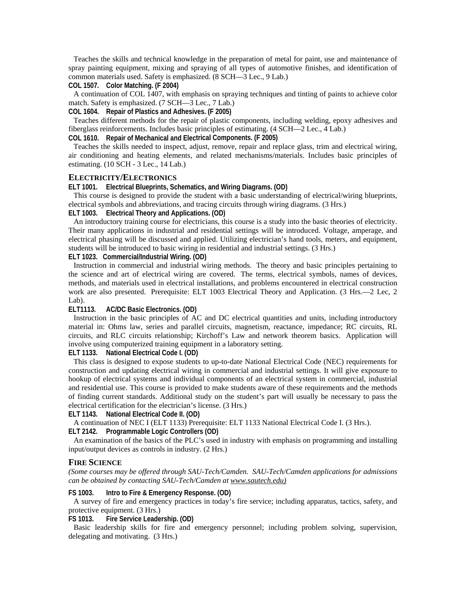Teaches the skills and technical knowledge in the preparation of metal for paint, use and maintenance of spray painting equipment, mixing and spraying of all types of automotive finishes, and identification of common materials used. Safety is emphasized. (8 SCH—3 Lec., 9 Lab.)

## **COL 1507. Color Matching. (F 2004)**

A continuation of COL 1407, with emphasis on spraying techniques and tinting of paints to achieve color match. Safety is emphasized. (7 SCH—3 Lec., 7 Lab.)

**COL 1604. Repair of Plastics and Adhesives. (F 2005)** 

Teaches different methods for the repair of plastic components, including welding, epoxy adhesives and fiberglass reinforcements. Includes basic principles of estimating. (4 SCH—2 Lec., 4 Lab.)

## **COL 1610. Repair of Mechanical and Electrical Components. (F 2005)**

Teaches the skills needed to inspect, adjust, remove, repair and replace glass, trim and electrical wiring, air conditioning and heating elements, and related mechanisms/materials. Includes basic principles of estimating. (10 SCH - 3 Lec., 14 Lab.)

## **ELECTRICITY/ELECTRONICS**

#### **ELT 1001. Electrical Blueprints, Schematics, and Wiring Diagrams. (OD)**

This course is designed to provide the student with a basic understanding of electrical/wiring blueprints, electrical symbols and abbreviations, and tracing circuits through wiring diagrams. (3 Hrs.)

## **ELT 1003. Electrical Theory and Applications. (OD)**

An introductory training course for electricians, this course is a study into the basic theories of electricity. Their many applications in industrial and residential settings will be introduced. Voltage, amperage, and electrical phasing will be discussed and applied. Utilizing electrician's hand tools, meters, and equipment, students will be introduced to basic wiring in residential and industrial settings. (3 Hrs.)

#### **ELT 1023. Commercial/Industrial Wiring. (OD)**

Instruction in commercial and industrial wiring methods. The theory and basic principles pertaining to the science and art of electrical wiring are covered. The terms, electrical symbols, names of devices, methods, and materials used in electrical installations, and problems encountered in electrical construction work are also presented. Prerequisite: ELT 1003 Electrical Theory and Application. (3 Hrs.—2 Lec, 2 Lab).

## **ELT1113. AC/DC Basic Electronics. (OD)**

Instruction in the basic principles of AC and DC electrical quantities and units, including introductory material in: Ohms law, series and parallel circuits, magnetism, reactance, impedance; RC circuits, RL circuits, and RLC circuits relationship; Kirchoff's Law and network theorem basics. Application will involve using computerized training equipment in a laboratory setting.

**ELT 1133. National Electrical Code I. (OD)** 

This class is designed to expose students to up-to-date National Electrical Code (NEC) requirements for construction and updating electrical wiring in commercial and industrial settings. It will give exposure to hookup of electrical systems and individual components of an electrical system in commercial, industrial and residential use. This course is provided to make students aware of these requirements and the methods of finding current standards. Additional study on the student's part will usually be necessary to pass the electrical certification for the electrician's license. (3 Hrs.)

#### **ELT 1143. National Electrical Code II. (OD)**

A continuation of NEC I (ELT 1133) Prerequisite: ELT 1133 National Electrical Code I. (3 Hrs.).

## **ELT 2142. Programmable Logic Controllers (OD)**

An examination of the basics of the PLC's used in industry with emphasis on programming and installing input/output devices as controls in industry. (2 Hrs.)

#### **FIRE SCIENCE**

*(Some courses may be offered through SAU-Tech/Camden. SAU-Tech/Camden applications for admissions can be obtained by contacting SAU-Tech/Camden at www.sautech.edu)*

#### **FS 1003. Intro to Fire & Emergency Response. (OD)**

A survey of fire and emergency practices in today's fire service; including apparatus, tactics, safety, and protective equipment. (3 Hrs.)

#### **FS 1013. Fire Service Leadership. (OD)**

Basic leadership skills for fire and emergency personnel; including problem solving, supervision, delegating and motivating. (3 Hrs.)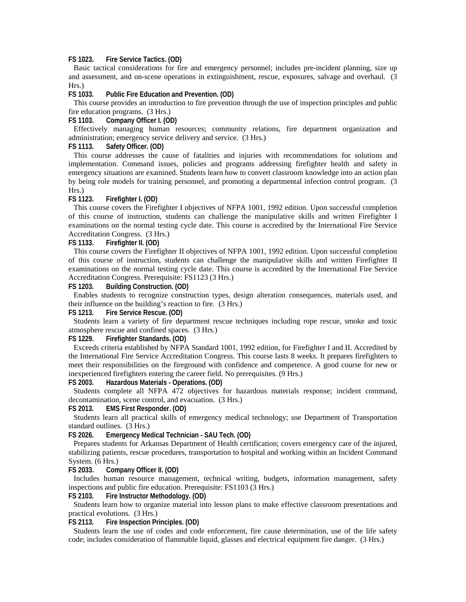### **FS 1023. Fire Service Tactics. (OD)**

Basic tactical considerations for fire and emergency personnel; includes pre-incident planning, size up and assessment, and on-scene operations in extinguishment, rescue, exposures, salvage and overhaul. (3 Hrs.)

**FS 1033. Public Fire Education and Prevention. (OD)** 

This course provides an introduction to fire prevention through the use of inspection principles and public fire education programs. (3 Hrs.)

**FS 1103. Company Officer I. (OD)** 

Effectively managing human resources; community relations, fire department organization and administration; emergency service delivery and service. (3 Hrs.)

#### **FS 1113. Safety Officer. (OD)**

This course addresses the cause of fatalities and injuries with recommendations for solutions and implementation. Command issues, policies and programs addressing firefighter health and safety in emergency situations are examined. Students learn how to convert classroom knowledge into an action plan by being role models for training personnel, and promoting a departmental infection control program. (3 Hrs.)

#### **FS 1123. Firefighter I. (OD)**

This course covers the Firefighter I objectives of NFPA 1001, 1992 edition. Upon successful completion of this course of instruction, students can challenge the manipulative skills and written Firefighter I examinations on the normal testing cycle date. This course is accredited by the International Fire Service Accreditation Congress. (3 Hrs.)

#### **FS 1133. Firefighter II. (OD)**

This course covers the Firefighter II objectives of NFPA 1001, 1992 edition. Upon successful completion of this course of instruction, students can challenge the manipulative skills and written Firefighter II examinations on the normal testing cycle date. This course is accredited by the International Fire Service Accreditation Congress. Prerequisite: FS1123 (3 Hrs.)

## **FS 1203. Building Construction. (OD)**

Enables students to recognize construction types, design alteration consequences, materials used, and their influence on the building's reaction to fire. (3 Hrs.)

#### **FS 1213. Fire Service Rescue. (OD)**

Students learn a variety of fire department rescue techniques including rope rescue, smoke and toxic atmosphere rescue and confined spaces. (3 Hrs.)

#### **FS 1229. Firefighter Standards. (OD)**

Exceeds criteria established by NFPA Standard 1001, 1992 edition, for Firefighter I and II. Accredited by the International Fire Service Accreditation Congress. This course lasts 8 weeks. It prepares firefighters to meet their responsibilities on the fireground with confidence and competence. A good course for new or inexperienced firefighters entering the career field. No prerequisites. (9 Hrs.)

#### **FS 2003. Hazardous Materials - Operations. (OD)**

Students complete all NFPA 472 objectives for hazardous materials response; incident command, decontamination, scene control, and evacuation. (3 Hrs.)

#### **FS 2013. EMS First Responder. (OD)**

Students learn all practical skills of emergency medical technology; use Department of Transportation standard outlines. (3 Hrs.)

**FS 2026. Emergency Medical Technician - SAU Tech. (OD)** 

Prepares students for Arkansas Department of Health certification; covers emergency care of the injured, stabilizing patients, rescue procedures, transportation to hospital and working within an Incident Command System. (6 Hrs.)

#### **FS 2033. Company Officer II. (OD)**

Includes human resource management, technical writing, budgets, information management, safety inspections and public fire education. Prerequisite: FS1103 (3 Hrs.)

## **FS 2103. Fire Instructor Methodology. (OD)**

Students learn how to organize material into lesson plans to make effective classroom presentations and practical evolutions. (3 Hrs.)

**FS 2113. Fire Inspection Principles. (OD)** 

Students learn the use of codes and code enforcement, fire cause determination, use of the life safety code; includes consideration of flammable liquid, glasses and electrical equipment fire danger. (3 Hrs.)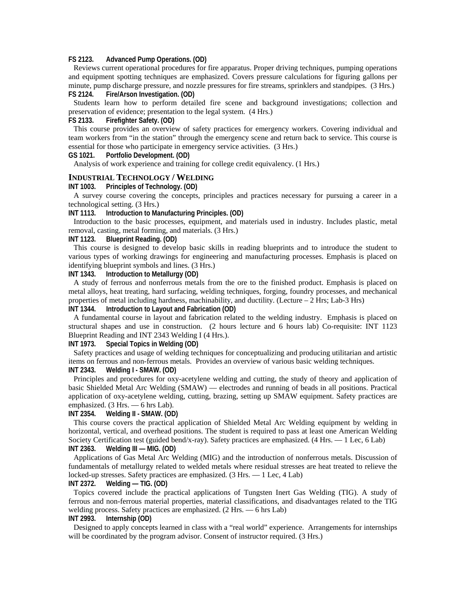#### **FS 2123. Advanced Pump Operations. (OD)**

Reviews current operational procedures for fire apparatus. Proper driving techniques, pumping operations and equipment spotting techniques are emphasized. Covers pressure calculations for figuring gallons per minute, pump discharge pressure, and nozzle pressures for fire streams, sprinklers and standpipes. (3 Hrs.) **FS 2124. Fire/Arson Investigation. (OD)** 

Students learn how to perform detailed fire scene and background investigations; collection and preservation of evidence; presentation to the legal system. (4 Hrs.)

#### **FS 2133. Firefighter Safety. (OD)**

This course provides an overview of safety practices for emergency workers. Covering individual and team workers from "in the station" through the emergency scene and return back to service. This course is essential for those who participate in emergency service activities. (3 Hrs.)

#### **GS 1021. Portfolio Development. (OD)**

Analysis of work experience and training for college credit equivalency. (1 Hrs.)

#### **INDUSTRIAL TECHNOLOGY / WELDING**

#### **INT 1003. Principles of Technology. (OD)**

A survey course covering the concepts, principles and practices necessary for pursuing a career in a technological setting. (3 Hrs.)

#### **INT 1113. Introduction to Manufacturing Principles. (OD)**

Introduction to the basic processes, equipment, and materials used in industry. Includes plastic, metal removal, casting, metal forming, and materials. (3 Hrs.)

#### **INT 1123. Blueprint Reading. (OD)**

This course is designed to develop basic skills in reading blueprints and to introduce the student to various types of working drawings for engineering and manufacturing processes. Emphasis is placed on identifying blueprint symbols and lines. (3 Hrs.)

## **INT 1343. Introduction to Metallurgy (OD)**

A study of ferrous and nonferrous metals from the ore to the finished product. Emphasis is placed on metal alloys, heat treating, hard surfacing, welding techniques, forging, foundry processes, and mechanical properties of metal including hardness, machinability, and ductility. (Lecture – 2 Hrs; Lab-3 Hrs)

## **INT 1344. Introduction to Layout and Fabrication (OD)**

A fundamental course in layout and fabrication related to the welding industry. Emphasis is placed on structural shapes and use in construction. (2 hours lecture and 6 hours lab) Co-requisite: INT 1123 Blueprint Reading and INT 2343 Welding I (4 Hrs.).

#### **INT 1973. Special Topics in Welding (OD)**

Safety practices and usage of welding techniques for conceptualizing and producing utilitarian and artistic items on ferrous and non-ferrous metals. Provides an overview of various basic welding techniques.

#### **INT 2343. Welding I - SMAW. (OD)**

Principles and procedures for oxy-acetylene welding and cutting, the study of theory and application of basic Shielded Metal Arc Welding (SMAW) — electrodes and running of beads in all positions. Practical application of oxy-acetylene welding, cutting, brazing, setting up SMAW equipment. Safety practices are emphasized. (3 Hrs. — 6 hrs Lab).

## **INT 2354. Welding II - SMAW. (OD)**

This course covers the practical application of Shielded Metal Arc Welding equipment by welding in horizontal, vertical, and overhead positions. The student is required to pass at least one American Welding Society Certification test (guided bend/x-ray). Safety practices are emphasized. (4 Hrs.  $-1$  Lec, 6 Lab) **INT 2363. Welding III — MIG. (OD)** 

Applications of Gas Metal Arc Welding (MIG) and the introduction of nonferrous metals. Discussion of fundamentals of metallurgy related to welded metals where residual stresses are heat treated to relieve the locked-up stresses. Safety practices are emphasized. (3 Hrs. — 1 Lec, 4 Lab)

### **INT 2372. Welding — TIG. (OD)**

Topics covered include the practical applications of Tungsten Inert Gas Welding (TIG). A study of ferrous and non-ferrous material properties, material classifications, and disadvantages related to the TIG welding process. Safety practices are emphasized. (2 Hrs. — 6 hrs Lab)

## **INT 2993. Internship (OD)**

Designed to apply concepts learned in class with a "real world" experience. Arrangements for internships will be coordinated by the program advisor. Consent of instructor required.  $(3 Hrs.)$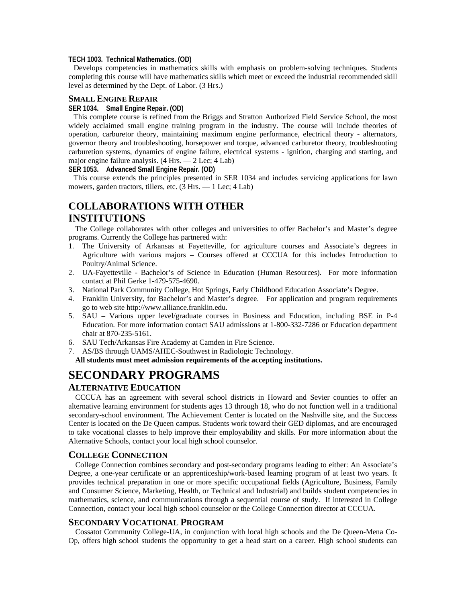#### **TECH 1003. Technical Mathematics. (OD)**

Develops competencies in mathematics skills with emphasis on problem-solving techniques. Students completing this course will have mathematics skills which meet or exceed the industrial recommended skill level as determined by the Dept. of Labor. (3 Hrs.)

#### **SMALL ENGINE REPAIR**

### **SER 1034. Small Engine Repair. (OD)**

This complete course is refined from the Briggs and Stratton Authorized Field Service School, the most widely acclaimed small engine training program in the industry. The course will include theories of operation, carburetor theory, maintaining maximum engine performance, electrical theory - alternators, governor theory and troubleshooting, horsepower and torque, advanced carburetor theory, troubleshooting carburetion systems, dynamics of engine failure, electrical systems - ignition, charging and starting, and major engine failure analysis. (4 Hrs. — 2 Lec; 4 Lab)

**SER 1053. Advanced Small Engine Repair. (OD)** 

This course extends the principles presented in SER 1034 and includes servicing applications for lawn mowers, garden tractors, tillers, etc. (3 Hrs. — 1 Lec; 4 Lab)

# **COLLABORATIONS WITH OTHER INSTITUTIONS**

 The College collaborates with other colleges and universities to offer Bachelor's and Master's degree programs. Currently the College has partnered with:

- 1. The University of Arkansas at Fayetteville, for agriculture courses and Associate's degrees in Agriculture with various majors – Courses offered at CCCUA for this includes Introduction to Poultry/Animal Science.
- 2. UA-Fayetteville Bachelor's of Science in Education (Human Resources). For more information contact at Phil Gerke 1-479-575-4690.
- 3. National Park Community College, Hot Springs, Early Childhood Education Associate's Degree.
- 4. Franklin University, for Bachelor's and Master's degree. For application and program requirements go to web site http://www.alliance.franklin.edu.
- 5. SAU Various upper level/graduate courses in Business and Education, including BSE in P-4 Education. For more information contact SAU admissions at 1-800-332-7286 or Education department chair at 870-235-5161.
- 6. SAU Tech/Arkansas Fire Academy at Camden in Fire Science.
- 7. AS/BS through UAMS/AHEC-Southwest in Radiologic Technology.

**All students must meet admission requirements of the accepting institutions.** 

# **SECONDARY PROGRAMS**

## **ALTERNATIVE EDUCATION**

 CCCUA has an agreement with several school districts in Howard and Sevier counties to offer an alternative learning environment for students ages 13 through 18, who do not function well in a traditional secondary-school environment. The Achievement Center is located on the Nashville site, and the Success Center is located on the De Queen campus. Students work toward their GED diplomas, and are encouraged to take vocational classes to help improve their employability and skills. For more information about the Alternative Schools, contact your local high school counselor.

### **COLLEGE CONNECTION**

 College Connection combines secondary and post-secondary programs leading to either: An Associate's Degree, a one-year certificate or an apprenticeship/work-based learning program of at least two years. It provides technical preparation in one or more specific occupational fields (Agriculture, Business, Family and Consumer Science, Marketing, Health, or Technical and Industrial) and builds student competencies in mathematics, science, and communications through a sequential course of study. If interested in College Connection, contact your local high school counselor or the College Connection director at CCCUA.

## **SECONDARY VOCATIONAL PROGRAM**

 Cossatot Community College-UA, in conjunction with local high schools and the De Queen-Mena Co-Op, offers high school students the opportunity to get a head start on a career. High school students can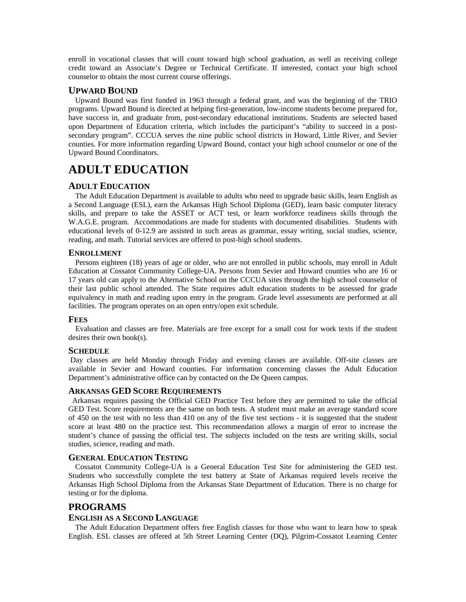enroll in vocational classes that will count toward high school graduation, as well as receiving college credit toward an Associate's Degree or Technical Certificate. If interested, contact your high school counselor to obtain the most current course offerings.

## **UPWARD BOUND**

 Upward Bound was first funded in 1963 through a federal grant, and was the beginning of the TRIO programs. Upward Bound is directed at helping first-generation, low-income students become prepared for, have success in, and graduate from, post-secondary educational institutions. Students are selected based upon Department of Education criteria, which includes the participant's "ability to succeed in a postsecondary program". CCCUA serves the nine public school districts in Howard, Little River, and Sevier counties. For more information regarding Upward Bound, contact your high school counselor or one of the Upward Bound Coordinators.

# **ADULT EDUCATION**

## **ADULT EDUCATION**

 The Adult Education Department is available to adults who need to upgrade basic skills, learn English as a Second Language (ESL), earn the Arkansas High School Diploma (GED), learn basic computer literacy skills, and prepare to take the ASSET or ACT test, or learn workforce readiness skills through the W.A.G.E. program. Accommodations are made for students with documented disabilities. Students with educational levels of 0-12.9 are assisted in such areas as grammar, essay writing, social studies, science, reading, and math. Tutorial services are offered to post-high school students.

## **ENROLLMENT**

 Persons eighteen (18) years of age or older, who are not enrolled in public schools, may enroll in Adult Education at Cossatot Community College-UA. Persons from Sevier and Howard counties who are 16 or 17 years old can apply to the Alternative School on the CCCUA sites through the high school counselor of their last public school attended. The State requires adult education students to be assessed for grade equivalency in math and reading upon entry in the program. Grade level assessments are performed at all facilities. The program operates on an open entry/open exit schedule.

## **FEES**

 Evaluation and classes are free. Materials are free except for a small cost for work texts if the student desires their own book(s).

## **SCHEDULE**

 Day classes are held Monday through Friday and evening classes are available. Off-site classes are available in Sevier and Howard counties. For information concerning classes the Adult Education Department's administrative office can by contacted on the De Queen campus.

## **ARKANSAS GED SCORE REQUIREMENTS**

 Arkansas requires passing the Official GED Practice Test before they are permitted to take the official GED Test. Score requirements are the same on both tests. A student must make an average standard score of 450 on the test with no less than 410 on any of the five test sections - it is suggested that the student score at least 480 on the practice test. This recommendation allows a margin of error to increase the student's chance of passing the official test. The subjects included on the tests are writing skills, social studies, science, reading and math.

## **GENERAL EDUCATION TESTING**

 Cossatot Community College-UA is a General Education Test Site for administering the GED test. Students who successfully complete the test battery at State of Arkansas required levels receive the Arkansas High School Diploma from the Arkansas State Department of Education. There is no charge for testing or for the diploma.

## **PROGRAMS**

## **ENGLISH AS A SECOND LANGUAGE**

 The Adult Education Department offers free English classes for those who want to learn how to speak English. ESL classes are offered at 5th Street Learning Center (DQ), Pilgrim-Cossatot Learning Center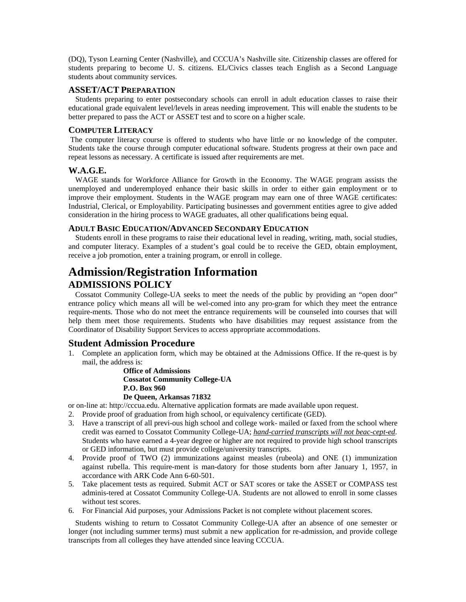(DQ), Tyson Learning Center (Nashville), and CCCUA's Nashville site. Citizenship classes are offered for students preparing to become U. S. citizens. EL/Civics classes teach English as a Second Language students about community services.

## **ASSET/ACT PREPARATION**

 Students preparing to enter postsecondary schools can enroll in adult education classes to raise their educational grade equivalent level/levels in areas needing improvement. This will enable the students to be better prepared to pass the ACT or ASSET test and to score on a higher scale.

## **COMPUTER LITERACY**

 The computer literacy course is offered to students who have little or no knowledge of the computer. Students take the course through computer educational software. Students progress at their own pace and repeat lessons as necessary. A certificate is issued after requirements are met.

## **W.A.G.E.**

 WAGE stands for Workforce Alliance for Growth in the Economy. The WAGE program assists the unemployed and underemployed enhance their basic skills in order to either gain employment or to improve their employment. Students in the WAGE program may earn one of three WAGE certificates: Industrial, Clerical, or Employability. Participating businesses and government entities agree to give added consideration in the hiring process to WAGE graduates, all other qualifications being equal.

### **ADULT BASIC EDUCATION/ADVANCED SECONDARY EDUCATION**

 Students enroll in these programs to raise their educational level in reading, writing, math, social studies, and computer literacy. Examples of a student's goal could be to receive the GED, obtain employment, receive a job promotion, enter a training program, or enroll in college.

# **Admission/Registration Information ADMISSIONS POLICY**

 Cossatot Community College-UA seeks to meet the needs of the public by providing an "open door" entrance policy which means all will be wel-comed into any pro-gram for which they meet the entrance require-ments. Those who do not meet the entrance requirements will be counseled into courses that will help them meet those requirements. Students who have disabilities may request assistance from the Coordinator of Disability Support Services to access appropriate accommodations.

## **Student Admission Procedure**

1. Complete an application form, which may be obtained at the Admissions Office. If the re-quest is by mail, the address is:

> **Office of Admissions Cossatot Community College-UA P.O. Box 960**

## **De Queen, Arkansas 71832**

or on-line at: http://cccua.edu. Alternative application formats are made available upon request.

- 2. Provide proof of graduation from high school, or equivalency certificate (GED).
- 3. Have a transcript of all previ-ous high school and college work- mailed or faxed from the school where credit was earned to Cossatot Community College-UA; *hand-carried transcripts will not beac-cept-ed*. Students who have earned a 4-year degree or higher are not required to provide high school transcripts or GED information, but must provide college/university transcripts.
- 4. Provide proof of TWO (2) immunizations against measles (rubeola) and ONE (1) immunization against rubella. This require-ment is man-datory for those students born after January 1, 1957, in accordance with ARK Code Ann 6-60-501.
- 5. Take placement tests as required. Submit ACT or SAT scores or take the ASSET or COMPASS test adminis-tered at Cossatot Community College-UA. Students are not allowed to enroll in some classes without test scores.
- 6. For Financial Aid purposes, your Admissions Packet is not complete without placement scores.

 Students wishing to return to Cossatot Community College-UA after an absence of one semester or longer (not including summer terms) must submit a new application for re-admission, and provide college transcripts from all colleges they have attended since leaving CCCUA.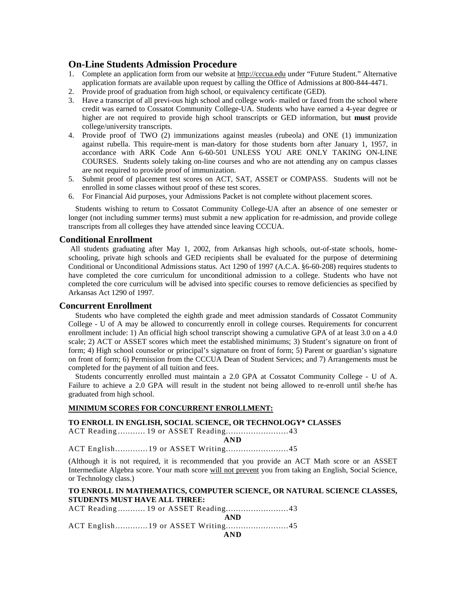## **On-Line Students Admission Procedure**

- 1. Complete an application form from our website at http://cccua.edu under "Future Student." Alternative application formats are available upon request by calling the Office of Admissions at 800-844-4471.
- 2. Provide proof of graduation from high school, or equivalency certificate (GED).
- 3. Have a transcript of all previ-ous high school and college work- mailed or faxed from the school where credit was earned to Cossatot Community College-UA. Students who have earned a 4-year degree or higher are not required to provide high school transcripts or GED information, but **must** provide college/university transcripts.
- 4. Provide proof of TWO (2) immunizations against measles (rubeola) and ONE (1) immunization against rubella. This require-ment is man-datory for those students born after January 1, 1957, in accordance with ARK Code Ann 6-60-501 UNLESS YOU ARE ONLY TAKING ON-LINE COURSES. Students solely taking on-line courses and who are not attending any on campus classes are not required to provide proof of immunization.
- 5. Submit proof of placement test scores on ACT, SAT, ASSET or COMPASS. Students will not be enrolled in some classes without proof of these test scores.
- 6. For Financial Aid purposes, your Admissions Packet is not complete without placement scores.

 Students wishing to return to Cossatot Community College-UA after an absence of one semester or longer (not including summer terms) must submit a new application for re-admission, and provide college transcripts from all colleges they have attended since leaving CCCUA.

## **Conditional Enrollment**

 All students graduating after May 1, 2002, from Arkansas high schools, out-of-state schools, homeschooling, private high schools and GED recipients shall be evaluated for the purpose of determining Conditional or Unconditional Admissions status. Act 1290 of 1997 (A.C.A. §6-60-208) requires students to have completed the core curriculum for unconditional admission to a college. Students who have not completed the core curriculum will be advised into specific courses to remove deficiencies as specified by Arkansas Act 1290 of 1997.

## **Concurrent Enrollment**

 Students who have completed the eighth grade and meet admission standards of Cossatot Community College - U of A may be allowed to concurrently enroll in college courses. Requirements for concurrent enrollment include: 1) An official high school transcript showing a cumulative GPA of at least 3.0 on a 4.0 scale; 2) ACT or ASSET scores which meet the established minimums; 3) Student's signature on front of form; 4) High school counselor or principal's signature on front of form; 5) Parent or guardian's signature on front of form; 6) Permission from the CCCUA Dean of Student Services; and 7) Arrangements must be completed for the payment of all tuition and fees.

 Students concurrently enrolled must maintain a 2.0 GPA at Cossatot Community College - U of A. Failure to achieve a 2.0 GPA will result in the student not being allowed to re-enroll until she/he has graduated from high school.

## **MINIMUM SCORES FOR CONCURRENT ENROLLMENT:**

## **TO ENROLL IN ENGLISH, SOCIAL SCIENCE, OR TECHNOLOGY\* CLASSES**

ACT Reading........... 19 or ASSET Reading.........................43

**AND** 

ACT English.............19 or ASSET Writing.........................45

(Although it is not required, it is recommended that you provide an ACT Math score or an ASSET Intermediate Algebra score. Your math score will not prevent you from taking an English, Social Science, or Technology class.)

### **TO ENROLL IN MATHEMATICS, COMPUTER SCIENCE, OR NATURAL SCIENCE CLASSES, STUDENTS MUST HAVE ALL THREE:**

ACT Reading........... 19 or ASSET Reading.........................43 **AND** 

ACT English.............19 or ASSET Writing.........................45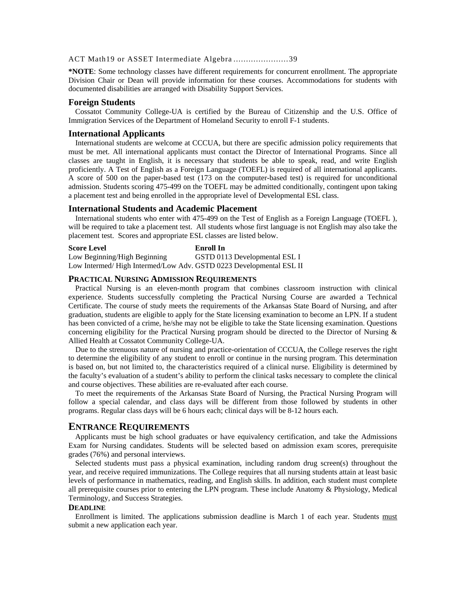#### ACT Math19 or ASSET Intermediate Algebra ......................39

**\*NOTE**: Some technology classes have different requirements for concurrent enrollment. The appropriate Division Chair or Dean will provide information for these courses. Accommodations for students with documented disabilities are arranged with Disability Support Services.

#### **Foreign Students**

Cossatot Community College-UA is certified by the Bureau of Citizenship and the U.S. Office of Immigration Services of the Department of Homeland Security to enroll F-1 students.

#### **International Applicants**

 International students are welcome at CCCUA, but there are specific admission policy requirements that must be met. All international applicants must contact the Director of International Programs. Since all classes are taught in English, it is necessary that students be able to speak, read, and write English proficiently. A Test of English as a Foreign Language (TOEFL) is required of all international applicants. A score of 500 on the paper-based test (173 on the computer-based test) is required for unconditional admission. Students scoring 475-499 on the TOEFL may be admitted conditionally, contingent upon taking a placement test and being enrolled in the appropriate level of Developmental ESL class.

#### **International Students and Academic Placement**

 International students who enter with 475-499 on the Test of English as a Foreign Language (TOEFL ), will be required to take a placement test. All students whose first language is not English may also take the placement test. Scores and appropriate ESL classes are listed below.

**Score Level Enroll In**  Low Beginning/High Beginning GSTD 0113 Developmental ESL I Low Intermed/ High Intermed/Low Adv. GSTD 0223 Developmental ESL II

#### **PRACTICAL NURSING ADMISSION REQUIREMENTS**

 Practical Nursing is an eleven-month program that combines classroom instruction with clinical experience. Students successfully completing the Practical Nursing Course are awarded a Technical Certificate. The course of study meets the requirements of the Arkansas State Board of Nursing, and after graduation, students are eligible to apply for the State licensing examination to become an LPN. If a student has been convicted of a crime, he/she may not be eligible to take the State licensing examination. Questions concerning eligibility for the Practical Nursing program should be directed to the Director of Nursing & Allied Health at Cossatot Community College-UA.

 Due to the strenuous nature of nursing and practice-orientation of CCCUA, the College reserves the right to determine the eligibility of any student to enroll or continue in the nursing program. This determination is based on, but not limited to, the characteristics required of a clinical nurse. Eligibility is determined by the faculty's evaluation of a student's ability to perform the clinical tasks necessary to complete the clinical and course objectives. These abilities are re-evaluated after each course.

 To meet the requirements of the Arkansas State Board of Nursing, the Practical Nursing Program will follow a special calendar, and class days will be different from those followed by students in other programs. Regular class days will be 6 hours each; clinical days will be 8-12 hours each.

## **ENTRANCE REQUIREMENTS**

 Applicants must be high school graduates or have equivalency certification, and take the Admissions Exam for Nursing candidates. Students will be selected based on admission exam scores, prerequisite grades (76%) and personal interviews.

 Selected students must pass a physical examination, including random drug screen(s) throughout the year, and receive required immunizations. The College requires that all nursing students attain at least basic levels of performance in mathematics, reading, and English skills. In addition, each student must complete all prerequisite courses prior to entering the LPN program. These include Anatomy & Physiology, Medical Terminology, and Success Strategies.

#### **DEADLINE**

 Enrollment is limited. The applications submission deadline is March 1 of each year. Students must submit a new application each year.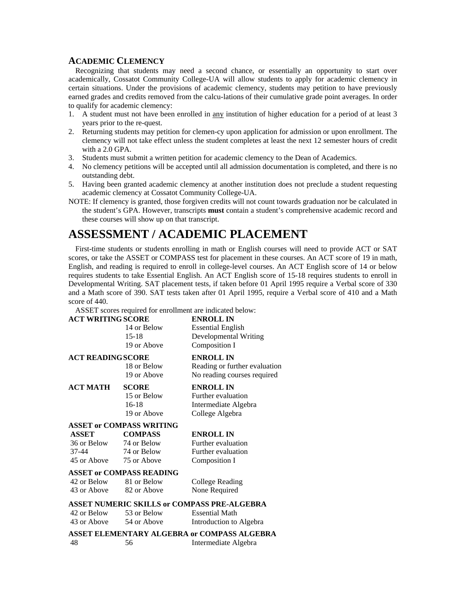## **ACADEMIC CLEMENCY**

 Recognizing that students may need a second chance, or essentially an opportunity to start over academically, Cossatot Community College-UA will allow students to apply for academic clemency in certain situations. Under the provisions of academic clemency, students may petition to have previously earned grades and credits removed from the calcu-lations of their cumulative grade point averages. In order to qualify for academic clemency:

- 1. A student must not have been enrolled in any institution of higher education for a period of at least 3 years prior to the re-quest.
- 2. Returning students may petition for clemen-cy upon application for admission or upon enrollment. The clemency will not take effect unless the student completes at least the next 12 semester hours of credit with a 2.0 GPA.
- 3. Students must submit a written petition for academic clemency to the Dean of Academics.
- 4. No clemency petitions will be accepted until all admission documentation is completed, and there is no outstanding debt.
- 5. Having been granted academic clemency at another institution does not preclude a student requesting academic clemency at Cossatot Community College-UA.
- NOTE: If clemency is granted, those forgiven credits will not count towards graduation nor be calculated in the student's GPA. However, transcripts **must** contain a student's comprehensive academic record and these courses will show up on that transcript.

# **ASSESSMENT / ACADEMIC PLACEMENT**

 First-time students or students enrolling in math or English courses will need to provide ACT or SAT scores, or take the ASSET or COMPASS test for placement in these courses. An ACT score of 19 in math, English, and reading is required to enroll in college-level courses. An ACT English score of 14 or below requires students to take Essential English. An ACT English score of 15-18 requires students to enroll in Developmental Writing. SAT placement tests, if taken before 01 April 1995 require a Verbal score of 330 and a Math score of 390. SAT tests taken after 01 April 1995, require a Verbal score of 410 and a Math score of 440.

ASSET scores required for enrollment are indicated below:

| <b>ACT WRITING SCORE</b> |                                 | <b>ENROLL IN</b>                                   |
|--------------------------|---------------------------------|----------------------------------------------------|
|                          | 14 or Below                     | <b>Essential English</b>                           |
|                          | $15 - 18$                       | Developmental Writing                              |
|                          | 19 or Above                     | Composition I                                      |
| <b>ACT READING SCORE</b> |                                 | <b>ENROLL IN</b>                                   |
|                          | 18 or Below                     | Reading or further evaluation                      |
|                          | 19 or Above                     | No reading courses required                        |
| АСТ МАТН                 | <b>SCORE</b>                    | <b>ENROLL IN</b>                                   |
|                          | 15 or Below                     | Further evaluation                                 |
|                          | $16-18$                         | Intermediate Algebra                               |
|                          | 19 or Above                     | College Algebra                                    |
|                          | <b>ASSET or COMPASS WRITING</b> |                                                    |
| ASSET                    | <b>COMPASS</b>                  | <b>ENROLL IN</b>                                   |
| 36 or Below              | 74 or Below                     | Further evaluation                                 |
| 37-44                    | 74 or Below                     | Further evaluation                                 |
| 45 or Above 75 or Above  |                                 | Composition I                                      |
|                          | <b>ASSET or COMPASS READING</b> |                                                    |
| 42 or Below              | 81 or Below                     | <b>College Reading</b>                             |
|                          | 43 or Above 82 or Above         | None Required                                      |
|                          |                                 | <b>ASSET NUMERIC SKILLS or COMPASS PRE-ALGEBRA</b> |
| 42 or Below              | 53 or Below                     | <b>Essential Math</b>                              |
| 43 or Above              | 54 or Above                     | Introduction to Algebra                            |
|                          |                                 | ASSET ELEMENTARY ALGEBRA or COMPASS ALGEBRA        |
| 48                       | 56                              | Intermediate Algebra                               |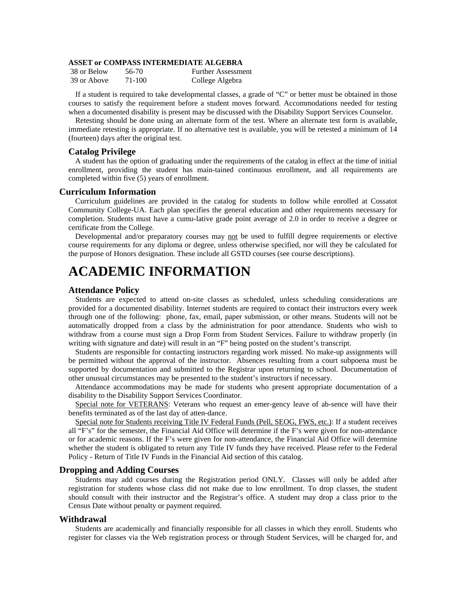### **ASSET or COMPASS INTERMEDIATE ALGEBRA**

| 38 or Below | 56-70  | <b>Further Assessment</b> |
|-------------|--------|---------------------------|
| 39 or Above | 71-100 | College Algebra           |

 If a student is required to take developmental classes, a grade of "C" or better must be obtained in those courses to satisfy the requirement before a student moves forward. Accommodations needed for testing when a documented disability is present may be discussed with the Disability Support Services Counselor.

 Retesting should be done using an alternate form of the test. Where an alternate test form is available, immediate retesting is appropriate. If no alternative test is available, you will be retested a minimum of 14 (fourteen) days after the original test.

#### **Catalog Privilege**

A student has the option of graduating under the requirements of the catalog in effect at the time of initial enrollment, providing the student has main-tained continuous enrollment, and all requirements are completed within five (5) years of enrollment.

### **Curriculum Information**

Curriculum guidelines are provided in the catalog for students to follow while enrolled at Cossatot Community College-UA. Each plan specifies the general education and other requirements necessary for completion. Students must have a cumu-lative grade point average of 2.0 in order to receive a degree or certificate from the College.

 Developmental and/or preparatory courses may not be used to fulfill degree requirements or elective course requirements for any diploma or degree, unless otherwise specified, nor will they be calculated for the purpose of Honors designation. These include all GSTD courses (see course descriptions).

# **ACADEMIC INFORMATION**

### **Attendance Policy**

 Students are expected to attend on-site classes as scheduled, unless scheduling considerations are provided for a documented disability. Internet students are required to contact their instructors every week through one of the following: phone, fax, email, paper submission, or other means. Students will not be automatically dropped from a class by the administration for poor attendance. Students who wish to withdraw from a course must sign a Drop Form from Student Services. Failure to withdraw properly (in writing with signature and date) will result in an "F" being posted on the student's transcript.

 Students are responsible for contacting instructors regarding work missed. No make-up assignments will be permitted without the approval of the instructor. Absences resulting from a court subpoena must be supported by documentation and submitted to the Registrar upon returning to school. Documentation of other unusual circumstances may be presented to the student's instructors if necessary.

 Attendance accommodations may be made for students who present appropriate documentation of a disability to the Disability Support Services Coordinator.

Special note for VETERANS: Veterans who request an emer-gency leave of ab-sence will have their benefits terminated as of the last day of atten-dance.

Special note for Students receiving Title IV Federal Funds (Pell, SEOG, FWS, etc.): If a student receives all "F's" for the semester, the Financial Aid Office will determine if the F's were given for non-attendance or for academic reasons. If the F's were given for non-attendance, the Financial Aid Office will determine whether the student is obligated to return any Title IV funds they have received. Please refer to the Federal Policy - Return of Title IV Funds in the Financial Aid section of this catalog.

#### **Dropping and Adding Courses**

Students may add courses during the Registration period ONLY. Classes will only be added after registration for students whose class did not make due to low enrollment. To drop classes, the student should consult with their instructor and the Registrar's office. A student may drop a class prior to the Census Date without penalty or payment required.

#### **Withdrawal**

Students are academically and financially responsible for all classes in which they enroll. Students who register for classes via the Web registration process or through Student Services, will be charged for, and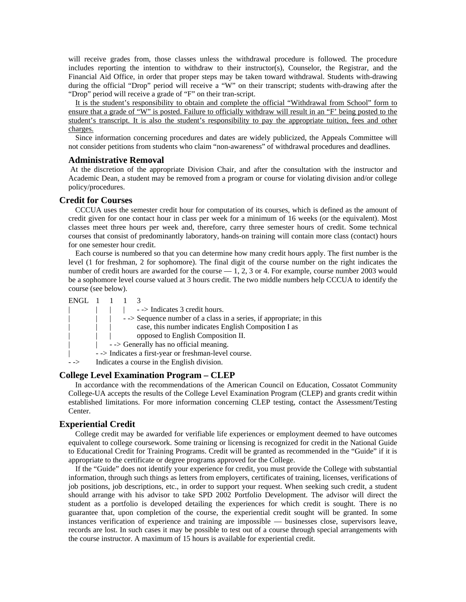will receive grades from, those classes unless the withdrawal procedure is followed. The procedure includes reporting the intention to withdraw to their instructor(s), Counselor, the Registrar, and the Financial Aid Office, in order that proper steps may be taken toward withdrawal. Students with-drawing during the official "Drop" period will receive a "W" on their transcript; students with-drawing after the "Drop" period will receive a grade of "F" on their tran-script.

It is the student's responsibility to obtain and complete the official "Withdrawal from School" form to ensure that a grade of "W" is posted. Failure to officially withdraw will result in an "F' being posted to the student's transcript. It is also the student's responsibility to pay the appropriate tuition, fees and other charges.

 Since information concerning procedures and dates are widely publicized, the Appeals Committee will not consider petitions from students who claim "non-awareness" of withdrawal procedures and deadlines.

#### **Administrative Removal**

 At the discretion of the appropriate Division Chair, and after the consultation with the instructor and Academic Dean, a student may be removed from a program or course for violating division and/or college policy/procedures.

#### **Credit for Courses**

CCCUA uses the semester credit hour for computation of its courses, which is defined as the amount of credit given for one contact hour in class per week for a minimum of 16 weeks (or the equivalent). Most classes meet three hours per week and, therefore, carry three semester hours of credit. Some technical courses that consist of predominantly laboratory, hands-on training will contain more class (contact) hours for one semester hour credit.

 Each course is numbered so that you can determine how many credit hours apply. The first number is the level (1 for freshman, 2 for sophomore). The final digit of the course number on the right indicates the number of credit hours are awarded for the course  $-1$ , 2, 3 or 4. For example, course number 2003 would be a sophomore level course valued at 3 hours credit. The two middle numbers help CCCUA to identify the course (see below).

| ENGL 1 1 |  |                                                                          |
|----------|--|--------------------------------------------------------------------------|
|          |  | $\sim$ > Indicates 3 credit hours.                                       |
|          |  | $\sim$ > Sequence number of a class in a series, if appropriate; in this |
|          |  | case, this number indicates English Composition I as                     |
|          |  | opposed to English Composition II.                                       |
|          |  | $\sim$ > Generally has no official meaning.                              |
|          |  | - -> Indicates a first-year or freshman-level course.                    |
|          |  | Indicates a course in the English division.                              |

## **College Level Examination Program – CLEP**

In accordance with the recommendations of the American Council on Education, Cossatot Community College-UA accepts the results of the College Level Examination Program (CLEP) and grants credit within established limitations. For more information concerning CLEP testing, contact the Assessment/Testing Center.

#### **Experiential Credit**

College credit may be awarded for verifiable life experiences or employment deemed to have outcomes equivalent to college coursework. Some training or licensing is recognized for credit in the National Guide to Educational Credit for Training Programs. Credit will be granted as recommended in the "Guide" if it is appropriate to the certificate or degree programs approved for the College.

 If the "Guide" does not identify your experience for credit, you must provide the College with substantial information, through such things as letters from employers, certificates of training, licenses, verifications of job positions, job descriptions, etc., in order to support your request. When seeking such credit, a student should arrange with his advisor to take SPD 2002 Portfolio Development. The advisor will direct the student as a portfolio is developed detailing the experiences for which credit is sought. There is no guarantee that, upon completion of the course, the experiential credit sought will be granted. In some instances verification of experience and training are impossible — businesses close, supervisors leave, records are lost. In such cases it may be possible to test out of a course through special arrangements with the course instructor. A maximum of 15 hours is available for experiential credit.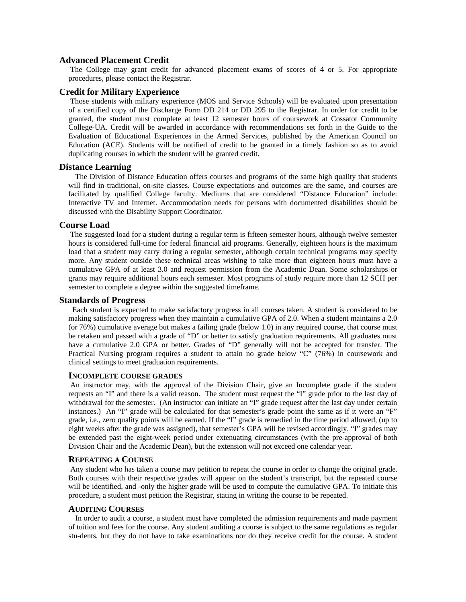## **Advanced Placement Credit**

The College may grant credit for advanced placement exams of scores of 4 or 5. For appropriate procedures, please contact the Registrar.

## **Credit for Military Experience**

Those students with military experience (MOS and Service Schools) will be evaluated upon presentation of a certified copy of the Discharge Form DD 214 or DD 295 to the Registrar. In order for credit to be granted, the student must complete at least 12 semester hours of coursework at Cossatot Community College-UA. Credit will be awarded in accordance with recommendations set forth in the Guide to the Evaluation of Educational Experiences in the Armed Services, published by the American Council on Education (ACE). Students will be notified of credit to be granted in a timely fashion so as to avoid duplicating courses in which the student will be granted credit.

#### **Distance Learning**

The Division of Distance Education offers courses and programs of the same high quality that students will find in traditional, on-site classes. Course expectations and outcomes are the same, and courses are facilitated by qualified College faculty. Mediums that are considered "Distance Education" include: Interactive TV and Internet. Accommodation needs for persons with documented disabilities should be discussed with the Disability Support Coordinator.

#### **Course Load**

The suggested load for a student during a regular term is fifteen semester hours, although twelve semester hours is considered full-time for federal financial aid programs. Generally, eighteen hours is the maximum load that a student may carry during a regular semester, although certain technical programs may specify more. Any student outside these technical areas wishing to take more than eighteen hours must have a cumulative GPA of at least 3.0 and request permission from the Academic Dean. Some scholarships or grants may require additional hours each semester. Most programs of study require more than 12 SCH per semester to complete a degree within the suggested timeframe.

## **Standards of Progress**

Each student is expected to make satisfactory progress in all courses taken. A student is considered to be making satisfactory progress when they maintain a cumulative GPA of 2.0. When a student maintains a 2.0 (or 76%) cumulative average but makes a failing grade (below 1.0) in any required course, that course must be retaken and passed with a grade of "D" or better to satisfy graduation requirements. All graduates must have a cumulative 2.0 GPA or better. Grades of "D" generally will not be accepted for transfer. The Practical Nursing program requires a student to attain no grade below "C" (76%) in coursework and clinical settings to meet graduation requirements.

#### **INCOMPLETE COURSE GRADES**

 An instructor may, with the approval of the Division Chair, give an Incomplete grade if the student requests an "I" and there is a valid reason. The student must request the "I" grade prior to the last day of withdrawal for the semester. (An instructor can initiate an "I" grade request after the last day under certain instances.) An "I" grade will be calculated for that semester's grade point the same as if it were an "F" grade, i.e., zero quality points will be earned. If the "I" grade is remedied in the time period allowed, (up to eight weeks after the grade was assigned), that semester's GPA will be revised accordingly. "I" grades may be extended past the eight-week period under extenuating circumstances (with the pre-approval of both Division Chair and the Academic Dean), but the extension will not exceed one calendar year.

#### **REPEATING A COURSE**

 Any student who has taken a course may petition to repeat the course in order to change the original grade. Both courses with their respective grades will appear on the student's transcript, but the repeated course will be identified, and -only the higher grade will be used to compute the cumulative GPA. To initiate this procedure, a student must petition the Registrar, stating in writing the course to be repeated.

#### **AUDITING COURSES**

 In order to audit a course, a student must have completed the admission requirements and made payment of tuition and fees for the course. Any student auditing a course is subject to the same regulations as regular stu-dents, but they do not have to take examinations nor do they receive credit for the course. A student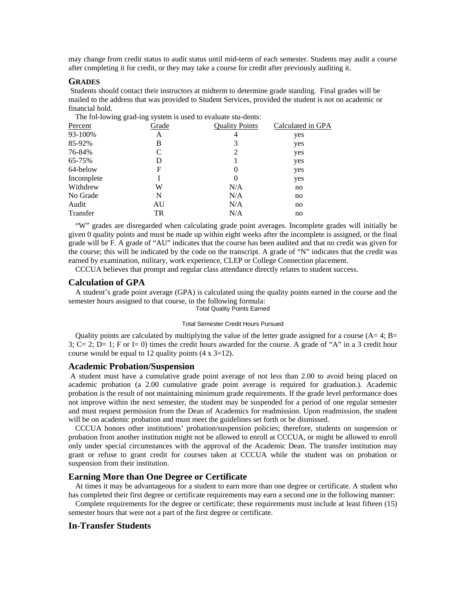may change from credit status to audit status until mid-term of each semester. Students may audit a course after completing it for credit, or they may take a course for credit after previously auditing it.

#### **GRADES**

Students should contact their instructors at midterm to determine grade standing. Final grades will be mailed to the address that was provided to Student Services, provided the student is not on academic or financial hold.

The fol-lowing grad-ing system is used to evaluate stu-dents:

| Percent    | Grade       | <b>Quality Points</b> | Calculated in GPA |
|------------|-------------|-----------------------|-------------------|
| 93-100%    | A           | 4                     | yes               |
| 85-92%     | В           | 3                     | yes               |
| 76-84%     | C           | 2                     | yes               |
| 65-75%     | D           |                       | yes               |
| 64-below   | $\mathbf F$ | $\theta$              | yes               |
| Incomplete |             | $\Omega$              | yes               |
| Withdrew   | W           | N/A                   | no                |
| No Grade   | N           | N/A                   | no                |
| Audit      | AU          | N/A                   | no                |
| Transfer   | TR          | N/A                   | no                |

 "W" grades are disregarded when calculating grade point averages. Incomplete grades will initially be given 0 quality points and must be made up within eight weeks after the incomplete is assigned, or the final grade will be F. A grade of "AU" indicates that the course has been audited and that no credit was given for the course; this will be indicated by the code on the transcript. A grade of "N" indicates that the credit was earned by examination, military, work experience, CLEP or College Connection placement.

CCCUA believes that prompt and regular class attendance directly relates to student success.

#### **Calculation of GPA**

 A student's grade point average (GPA) is calculated using the quality points earned in the course and the semester hours assigned to that course, in the following formula:

Total Quality Points Earned

#### Total Semester Credit Hours Pursued

Quality points are calculated by multiplying the value of the letter grade assigned for a course  $(A=4; B=$ 3;  $C = 2$ ;  $D = 1$ ; F or I= 0) times the credit hours awarded for the course. A grade of "A" in a 3 credit hour course would be equal to 12 quality points  $(4 \times 3=12)$ .

#### **Academic Probation/Suspension**

A student must have a cumulative grade point average of not less than 2.00 to avoid being placed on academic probation (a 2.00 cumulative grade point average is required for graduation.). Academic probation is the result of not maintaining minimum grade requirements. If the grade level performance does not improve within the next semester, the student may be suspended for a period of one regular semester and must request permission from the Dean of Academics for readmission. Upon readmission, the student will be on academic probation and must meet the guidelines set forth or be dismissed.

 CCCUA honors other institutions' probation/suspension policies; therefore, students on suspension or probation from another institution might not be allowed to enroll at CCCUA, or might be allowed to enroll only under special circumstances with the approval of the Academic Dean. The transfer institution may grant or refuse to grant credit for courses taken at CCCUA while the student was on probation or suspension from their institution.

## **Earning More than One Degree or Certificate**

 At times it may be advantageous for a student to earn more than one degree or certificate. A student who has completed their first degree or certificate requirements may earn a second one in the following manner:

 Complete requirements for the degree or certificate; these requirements must include at least fifteen (15) semester hours that were not a part of the first degree or certificate.

## **In-Transfer Students**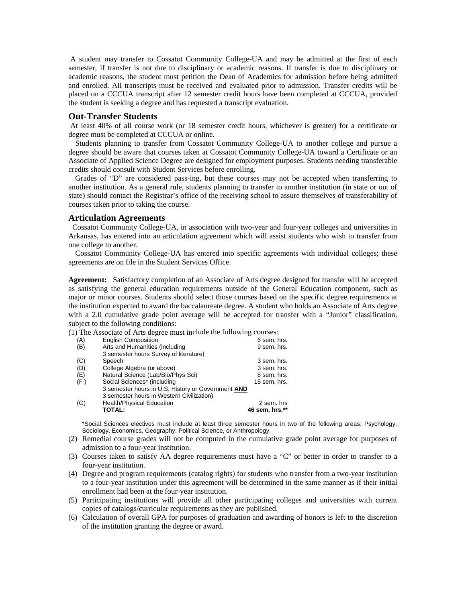A student may transfer to Cossatot Community College-UA and may be admitted at the first of each semester, if transfer is not due to disciplinary or academic reasons. If transfer is due to disciplinary or academic reasons, the student must petition the Dean of Academics for admission before being admitted and enrolled. All transcripts must be received and evaluated prior to admission. Transfer credits will be placed on a CCCUA transcript after 12 semester credit hours have been completed at CCCUA, provided the student is seeking a degree and has requested a transcript evaluation.

#### **Out-Transfer Students**

At least 40% of all course work (or 18 semester credit hours, whichever is greater) for a certificate or degree must be completed at CCCUA or online.

 Students planning to transfer from Cossatot Community College-UA to another college and pursue a degree should be aware that courses taken at Cossatot Community College-UA toward a Certificate or an Associate of Applied Science Degree are designed for employment purposes. Students needing transferable credits should consult with Student Services before enrolling.

 Grades of "D" are considered pass-ing, but these courses may not be accepted when transferring to another institution. As a general rule, students planning to transfer to another institution (in state or out of state) should contact the Registrar's office of the receiving school to assure themselves of transferability of courses taken prior to taking the course.

#### **Articulation Agreements**

Cossatot Community College-UA, in association with two-year and four-year colleges and universities in Arkansas, has entered into an articulation agreement which will assist students who wish to transfer from one college to another.

 Cossatot Community College-UA has entered into specific agreements with individual colleges; these agreements are on file in the Student Services Office.

**Agreement:** Satisfactory completion of an Associate of Arts degree designed for transfer will be accepted as satisfying the general education requirements outside of the General Education component, such as major or minor courses. Students should select those courses based on the specific degree requirements at the institution expected to award the baccalaureate degree. A student who holds an Associate of Arts degree with a 2.0 cumulative grade point average will be accepted for transfer with a "Junior" classification, subject to the following conditions:

(1) The Associate of Arts degree must include the following courses:

| <b>English Composition</b><br>(A)                  | 6 sem. hrs.    |
|----------------------------------------------------|----------------|
| Arts and Humanities (including<br>(B)              | 9 sem. hrs.    |
| 3 semester hours Survey of literature)             |                |
| Speech<br>(C)                                      | 3 sem. hrs.    |
| (D)<br>College Algebra (or above)                  | 3 sem. hrs.    |
| Natural Science (Lab/Bio/Phys Sci)<br>(E)          | 8 sem. hrs.    |
| Social Sciences* (including<br>(F)                 | 15 sem. hrs.   |
| 3 semester hours in U.S. History or Government AND |                |
| 3 semester hours in Western Civilization)          |                |
| <b>Health/Physical Education</b><br>(G)            | 2 sem. hrs     |
| TOTAL:                                             | 46 sem. hrs.** |

\*Social Sciences electives must include at least three semester hours in two of the following areas: Psychology, Sociology, Economics, Geography, Political Science, or Anthropology.

- (2) Remedial course grades will not be computed in the cumulative grade point average for purposes of admission to a four-year institution.
- (3) Courses taken to satisfy AA degree requirements must have a "C" or better in order to transfer to a four-year institution.
- (4) Degree and program requirements (catalog rights) for students who transfer from a two-year institution to a four-year institution under this agreement will be determined in the same manner as if their initial enrollment had been at the four-year institution.
- (5) Participating institutions will provide all other participating colleges and universities with current copies of catalogs/curricular requirements as they are published.
- (6) Calculation of overall GPA for purposes of graduation and awarding of honors is left to the discretion of the institution granting the degree or award.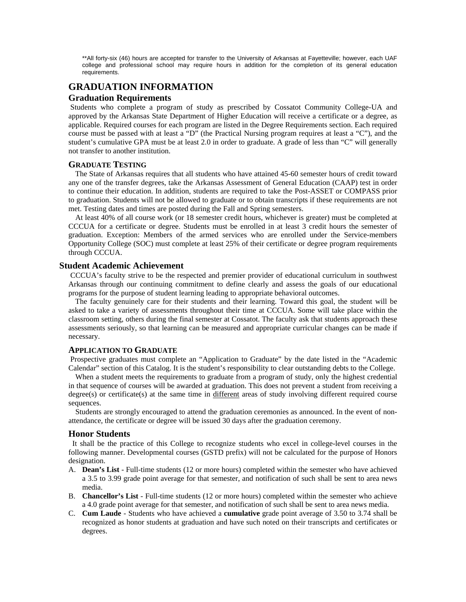\*\*All forty-six (46) hours are accepted for transfer to the University of Arkansas at Fayetteville; however, each UAF college and professional school may require hours in addition for the completion of its general education requirements.

## **GRADUATION INFORMATION**

## **Graduation Requirements**

Students who complete a program of study as prescribed by Cossatot Community College-UA and approved by the Arkansas State Department of Higher Education will receive a certificate or a degree, as applicable. Required courses for each program are listed in the Degree Requirements section. Each required course must be passed with at least a "D" (the Practical Nursing program requires at least a "C"), and the student's cumulative GPA must be at least 2.0 in order to graduate. A grade of less than "C" will generally not transfer to another institution.

#### **GRADUATE TESTING**

 The State of Arkansas requires that all students who have attained 45-60 semester hours of credit toward any one of the transfer degrees, take the Arkansas Assessment of General Education (CAAP) test in order to continue their education. In addition, students are required to take the Post-ASSET or COMPASS prior to graduation. Students will not be allowed to graduate or to obtain transcripts if these requirements are not met. Testing dates and times are posted during the Fall and Spring semesters.

 At least 40% of all course work (or 18 semester credit hours, whichever is greater) must be completed at CCCUA for a certificate or degree. Students must be enrolled in at least 3 credit hours the semester of graduation. Exception: Members of the armed services who are enrolled under the Service-members Opportunity College (SOC) must complete at least 25% of their certificate or degree program requirements through CCCUA.

#### **Student Academic Achievement**

CCCUA's faculty strive to be the respected and premier provider of educational curriculum in southwest Arkansas through our continuing commitment to define clearly and assess the goals of our educational programs for the purpose of student learning leading to appropriate behavioral outcomes.

 The faculty genuinely care for their students and their learning. Toward this goal, the student will be asked to take a variety of assessments throughout their time at CCCUA. Some will take place within the classroom setting, others during the final semester at Cossatot. The faculty ask that students approach these assessments seriously, so that learning can be measured and appropriate curricular changes can be made if necessary.

#### **APPLICATION TO GRADUATE**

 Prospective graduates must complete an "Application to Graduate" by the date listed in the "Academic Calendar" section of this Catalog. It is the student's responsibility to clear outstanding debts to the College.

 When a student meets the requirements to graduate from a program of study, only the highest credential in that sequence of courses will be awarded at graduation. This does not prevent a student from receiving a degree(s) or certificate(s) at the same time in different areas of study involving different required course sequences.

 Students are strongly encouraged to attend the graduation ceremonies as announced. In the event of nonattendance, the certificate or degree will be issued 30 days after the graduation ceremony.

#### **Honor Students**

 It shall be the practice of this College to recognize students who excel in college-level courses in the following manner. Developmental courses (GSTD prefix) will not be calculated for the purpose of Honors designation.

- A. **Dean's List** Full-time students (12 or more hours) completed within the semester who have achieved a 3.5 to 3.99 grade point average for that semester, and notification of such shall be sent to area news media.
- B. **Chancellor's List** Full-time students (12 or more hours) completed within the semester who achieve a 4.0 grade point average for that semester, and notification of such shall be sent to area news media.
- C. **Cum Laude** Students who have achieved a **cumulative** grade point average of 3.50 to 3.74 shall be recognized as honor students at graduation and have such noted on their transcripts and certificates or degrees.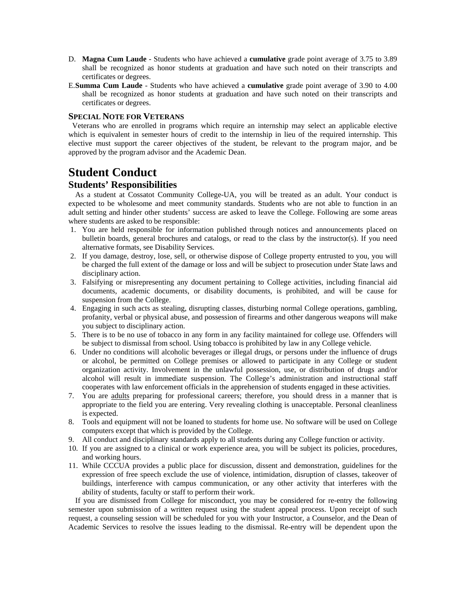- D. **Magna Cum Laude** Students who have achieved a **cumulative** grade point average of 3.75 to 3.89 shall be recognized as honor students at graduation and have such noted on their transcripts and certificates or degrees.
- E. **Summa Cum Laude** Students who have achieved a **cumulative** grade point average of 3.90 to 4.00 shall be recognized as honor students at graduation and have such noted on their transcripts and certificates or degrees.

### **SPECIAL NOTE FOR VETERANS**

 Veterans who are enrolled in programs which require an internship may select an applicable elective which is equivalent in semester hours of credit to the internship in lieu of the required internship. This elective must support the career objectives of the student, be relevant to the program major, and be approved by the program advisor and the Academic Dean.

# **Student Conduct**

## **Students' Responsibilities**

 As a student at Cossatot Community College-UA, you will be treated as an adult. Your conduct is expected to be wholesome and meet community standards. Students who are not able to function in an adult setting and hinder other students' success are asked to leave the College. Following are some areas where students are asked to be responsible:

- 1. You are held responsible for information published through notices and announcements placed on bulletin boards, general brochures and catalogs, or read to the class by the instructor(s). If you need alternative formats, see Disability Services.
- 2. If you damage, destroy, lose, sell, or otherwise dispose of College property entrusted to you, you will be charged the full extent of the damage or loss and will be subject to prosecution under State laws and disciplinary action.
- 3. Falsifying or misrepresenting any document pertaining to College activities, including financial aid documents, academic documents, or disability documents, is prohibited, and will be cause for suspension from the College.
- 4. Engaging in such acts as stealing, disrupting classes, disturbing normal College operations, gambling, profanity, verbal or physical abuse, and possession of firearms and other dangerous weapons will make you subject to disciplinary action.
- 5. There is to be no use of tobacco in any form in any facility maintained for college use. Offenders will be subject to dismissal from school. Using tobacco is prohibited by law in any College vehicle.
- 6. Under no conditions will alcoholic beverages or illegal drugs, or persons under the influence of drugs or alcohol, be permitted on College premises or allowed to participate in any College or student organization activity. Involvement in the unlawful possession, use, or distribution of drugs and/or alcohol will result in immediate suspension. The College's administration and instructional staff cooperates with law enforcement officials in the apprehension of students engaged in these activities.
- 7. You are adults preparing for professional careers; therefore, you should dress in a manner that is appropriate to the field you are entering. Very revealing clothing is unacceptable. Personal cleanliness is expected.
- 8. Tools and equipment will not be loaned to students for home use. No software will be used on College computers except that which is provided by the College.
- 9. All conduct and disciplinary standards apply to all students during any College function or activity.
- 10. If you are assigned to a clinical or work experience area, you will be subject its policies, procedures, and working hours.
- 11. While CCCUA provides a public place for discussion, dissent and demonstration, guidelines for the expression of free speech exclude the use of violence, intimidation, disruption of classes, takeover of buildings, interference with campus communication, or any other activity that interferes with the ability of students, faculty or staff to perform their work.

 If you are dismissed from College for misconduct, you may be considered for re-entry the following semester upon submission of a written request using the student appeal process. Upon receipt of such request, a counseling session will be scheduled for you with your Instructor, a Counselor, and the Dean of Academic Services to resolve the issues leading to the dismissal. Re-entry will be dependent upon the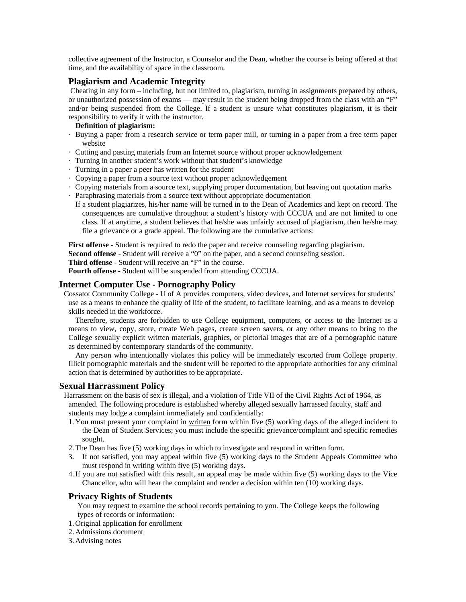collective agreement of the Instructor, a Counselor and the Dean, whether the course is being offered at that time, and the availability of space in the classroom.

## **Plagiarism and Academic Integrity**

Cheating in any form – including, but not limited to, plagiarism, turning in assignments prepared by others, or unauthorized possession of exams — may result in the student being dropped from the class with an "F" and/or being suspended from the College. If a student is unsure what constitutes plagiarism, it is their responsibility to verify it with the instructor.

#### **Definition of plagiarism:**

- · Buying a paper from a research service or term paper mill, or turning in a paper from a free term paper website
- · Cutting and pasting materials from an Internet source without proper acknowledgement
- · Turning in another student's work without that student's knowledge
- · Turning in a paper a peer has written for the student
- · Copying a paper from a source text without proper acknowledgement
- · Copying materials from a source text, supplying proper documentation, but leaving out quotation marks
- · Paraphrasing materials from a source text without appropriate documentation
- If a student plagiarizes, his/her name will be turned in to the Dean of Academics and kept on record. The consequences are cumulative throughout a student's history with CCCUA and are not limited to one class. If at anytime, a student believes that he/she was unfairly accused of plagiarism, then he/she may file a grievance or a grade appeal. The following are the cumulative actions:

**First offense** - Student is required to redo the paper and receive counseling regarding plagiarism.

**Second offense** - Student will receive a "0" on the paper, and a second counseling session.

**Third offense** - Student will receive an "F" in the course.

**Fourth offense** - Student will be suspended from attending CCCUA.

## **Internet Computer Use - Pornography Policy**

Cossatot Community College - U of A provides computers, video devices, and Internet services for students' use as a means to enhance the quality of life of the student, to facilitate learning, and as a means to develop skills needed in the workforce.

 Therefore, students are forbidden to use College equipment, computers, or access to the Internet as a means to view, copy, store, create Web pages, create screen savers, or any other means to bring to the College sexually explicit written materials, graphics, or pictorial images that are of a pornographic nature as determined by contemporary standards of the community.

 Any person who intentionally violates this policy will be immediately escorted from College property. Illicit pornographic materials and the student will be reported to the appropriate authorities for any criminal action that is determined by authorities to be appropriate.

## **Sexual Harrassment Policy**

Harrassment on the basis of sex is illegal, and a violation of Title VII of the Civil Rights Act of 1964, as amended. The following procedure is established whereby alleged sexually harrassed faculty, staff and students may lodge a complaint immediately and confidentially:

- 1. You must present your complaint in written form within five (5) working days of the alleged incident to the Dean of Student Services; you must include the specific grievance/complaint and specific remedies sought.
- 2. The Dean has five (5) working days in which to investigate and respond in written form.
- 3. If not satisfied, you may appeal within five (5) working days to the Student Appeals Committee who must respond in writing within five (5) working days.
- 4. If you are not satisfied with this result, an appeal may be made within five (5) working days to the Vice Chancellor, who will hear the complaint and render a decision within ten (10) working days.

## **Privacy Rights of Students**

You may request to examine the school records pertaining to you. The College keeps the following types of records or information:

- 1. Original application for enrollment
- 2. Admissions document

## 3. Advising notes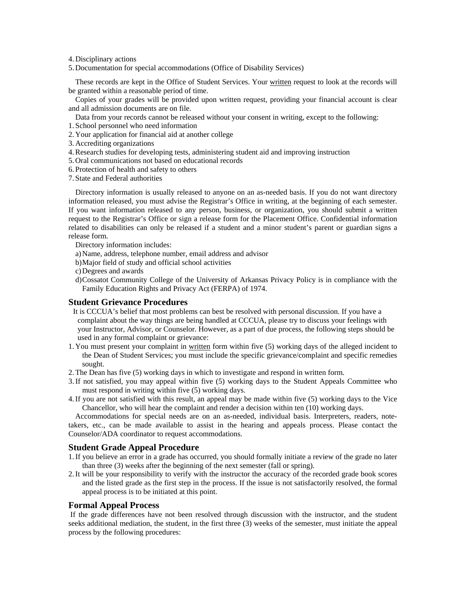4. Disciplinary actions

5. Documentation for special accommodations (Office of Disability Services)

 These records are kept in the Office of Student Services. Your written request to look at the records will be granted within a reasonable period of time.

 Copies of your grades will be provided upon written request, providing your financial account is clear and all admission documents are on file.

Data from your records cannot be released without your consent in writing, except to the following:

1. School personnel who need information

2. Your application for financial aid at another college

- 3. Accrediting organizations
- 4. Research studies for developing tests, administering student aid and improving instruction
- 5. Oral communications not based on educational records
- 6. Protection of health and safety to others

7. State and Federal authorities

 Directory information is usually released to anyone on an as-needed basis. If you do not want directory information released, you must advise the Registrar's Office in writing, at the beginning of each semester. If you want information released to any person, business, or organization, you should submit a written request to the Registrar's Office or sign a release form for the Placement Office. Confidential information related to disabilities can only be released if a student and a minor student's parent or guardian signs a release form.

Directory information includes:

- a) Name, address, telephone number, email address and advisor
- b) Major field of study and official school activities
- c) Degrees and awards
- d) Cossatot Community College of the University of Arkansas Privacy Policy is in compliance with the Family Education Rights and Privacy Act (FERPA) of 1974.

## **Student Grievance Procedures**

- It is CCCUA's belief that most problems can best be resolved with personal discussion. If you have a complaint about the way things are being handled at CCCUA, please try to discuss your feelings with your Instructor, Advisor, or Counselor. However, as a part of due process, the following steps should be used in any formal complaint or grievance:
- 1. You must present your complaint in written form within five (5) working days of the alleged incident to the Dean of Student Services; you must include the specific grievance/complaint and specific remedies sought.
- 2. The Dean has five (5) working days in which to investigate and respond in written form.
- 3. If not satisfied, you may appeal within five (5) working days to the Student Appeals Committee who must respond in writing within five (5) working days.
- 4. If you are not satisfied with this result, an appeal may be made within five (5) working days to the Vice Chancellor, who will hear the complaint and render a decision within ten (10) working days.

 Accommodations for special needs are on an as-needed, individual basis. Interpreters, readers, notetakers, etc., can be made available to assist in the hearing and appeals process. Please contact the Counselor/ADA coordinator to request accommodations.

## **Student Grade Appeal Procedure**

- 1. If you believe an error in a grade has occurred, you should formally initiate a review of the grade no later than three (3) weeks after the beginning of the next semester (fall or spring).
- 2. It will be your responsibility to verify with the instructor the accuracy of the recorded grade book scores and the listed grade as the first step in the process. If the issue is not satisfactorily resolved, the formal appeal process is to be initiated at this point.

## **Formal Appeal Process**

If the grade differences have not been resolved through discussion with the instructor, and the student seeks additional mediation, the student, in the first three (3) weeks of the semester, must initiate the appeal process by the following procedures: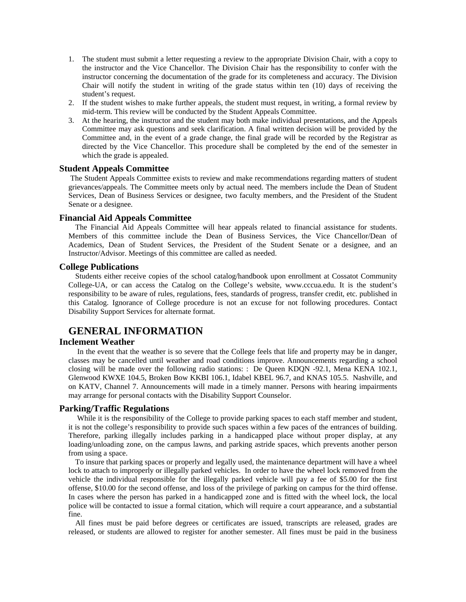- 1. The student must submit a letter requesting a review to the appropriate Division Chair, with a copy to the instructor and the Vice Chancellor. The Division Chair has the responsibility to confer with the instructor concerning the documentation of the grade for its completeness and accuracy. The Division Chair will notify the student in writing of the grade status within ten (10) days of receiving the student's request.
- 2. If the student wishes to make further appeals, the student must request, in writing, a formal review by mid-term. This review will be conducted by the Student Appeals Committee.
- 3. At the hearing, the instructor and the student may both make individual presentations, and the Appeals Committee may ask questions and seek clarification. A final written decision will be provided by the Committee and, in the event of a grade change, the final grade will be recorded by the Registrar as directed by the Vice Chancellor. This procedure shall be completed by the end of the semester in which the grade is appealed.

### **Student Appeals Committee**

The Student Appeals Committee exists to review and make recommendations regarding matters of student grievances/appeals. The Committee meets only by actual need. The members include the Dean of Student Services, Dean of Business Services or designee, two faculty members, and the President of the Student Senate or a designee.

## **Financial Aid Appeals Committee**

The Financial Aid Appeals Committee will hear appeals related to financial assistance for students. Members of this committee include the Dean of Business Services, the Vice Chancellor/Dean of Academics, Dean of Student Services, the President of the Student Senate or a designee, and an Instructor/Advisor. Meetings of this committee are called as needed.

## **College Publications**

Students either receive copies of the school catalog/handbook upon enrollment at Cossatot Community College-UA, or can access the Catalog on the College's website, www.cccua.edu. It is the student's responsibility to be aware of rules, regulations, fees, standards of progress, transfer credit, etc. published in this Catalog. Ignorance of College procedure is not an excuse for not following procedures. Contact Disability Support Services for alternate format.

## **GENERAL INFORMATION**

## **Inclement Weather**

 In the event that the weather is so severe that the College feels that life and property may be in danger, classes may be cancelled until weather and road conditions improve. Announcements regarding a school closing will be made over the following radio stations: : De Queen KDQN -92.1, Mena KENA 102.1, Glenwood KWXE 104.5, Broken Bow KKBI 106.1, Idabel KBEL 96.7, and KNAS 105.5. Nashville, and on KATV, Channel 7. Announcements will made in a timely manner. Persons with hearing impairments may arrange for personal contacts with the Disability Support Counselor.

#### **Parking/Traffic Regulations**

While it is the responsibility of the College to provide parking spaces to each staff member and student, it is not the college's responsibility to provide such spaces within a few paces of the entrances of building. Therefore, parking illegally includes parking in a handicapped place without proper display, at any loading/unloading zone, on the campus lawns, and parking astride spaces, which prevents another person from using a space.

 To insure that parking spaces or properly and legally used, the maintenance department will have a wheel lock to attach to improperly or illegally parked vehicles. In order to have the wheel lock removed from the vehicle the individual responsible for the illegally parked vehicle will pay a fee of \$5.00 for the first offense, \$10.00 for the second offense, and loss of the privilege of parking on campus for the third offense. In cases where the person has parked in a handicapped zone and is fitted with the wheel lock, the local police will be contacted to issue a formal citation, which will require a court appearance, and a substantial fine.

 All fines must be paid before degrees or certificates are issued, transcripts are released, grades are released, or students are allowed to register for another semester. All fines must be paid in the business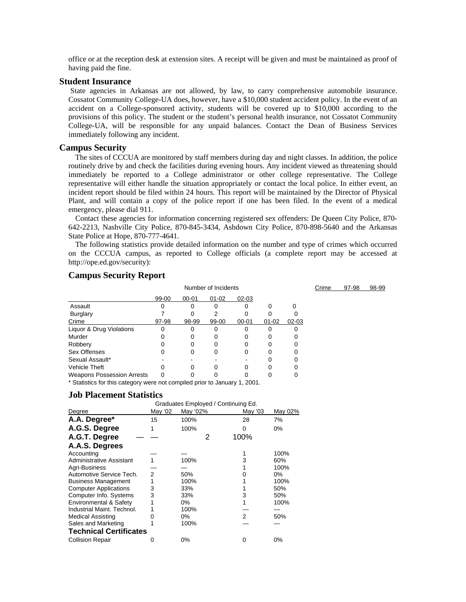office or at the reception desk at extension sites. A receipt will be given and must be maintained as proof of having paid the fine.

#### **Student Insurance**

 State agencies in Arkansas are not allowed, by law, to carry comprehensive automobile insurance. Cossatot Community College-UA does, however, have a \$10,000 student accident policy. In the event of an accident on a College-sponsored activity, students will be covered up to \$10,000 according to the provisions of this policy. The student or the student's personal health insurance, not Cossatot Community College-UA, will be responsible for any unpaid balances. Contact the Dean of Business Services immediately following any incident.

#### **Campus Security**

The sites of CCCUA are monitored by staff members during day and night classes. In addition, the police routinely drive by and check the facilities during evening hours. Any incident viewed as threatening should immediately be reported to a College administrator or other college representative. The College representative will either handle the situation appropriately or contact the local police. In either event, an incident report should be filed within 24 hours. This report will be maintained by the Director of Physical Plant, and will contain a copy of the police report if one has been filed. In the event of a medical emergency, please dial 911.

 Contact these agencies for information concerning registered sex offenders: De Queen City Police, 870- 642-2213, Nashville City Police, 870-845-3434, Ashdown City Police, 870-898-5640 and the Arkansas State Police at Hope, 870-777-4641.

 The following statistics provide detailed information on the number and type of crimes which occurred on the CCCUA campus, as reported to College officials (a complete report may be accessed at http://ope.ed.gov/security):

Crime 97-98 98-99

## **Campus Security Report**

|                                   | Number of Incidents |           |           |           |           |           |
|-----------------------------------|---------------------|-----------|-----------|-----------|-----------|-----------|
|                                   | 99-00               | $00 - 01$ | $01 - 02$ | $02 - 03$ |           |           |
| Assault                           |                     |           |           |           |           |           |
| <b>Burglary</b>                   |                     |           |           |           |           |           |
| Crime                             | 97-98               | 98-99     | 99-00     | $00 - 01$ | $01 - 02$ | $02 - 03$ |
| Liquor & Drug Violations          |                     |           |           |           |           |           |
| Murder                            |                     |           |           |           |           |           |
| Robbery                           |                     |           |           |           |           |           |
| Sex Offenses                      |                     |           |           |           |           |           |
| Sexual Assault*                   |                     |           |           |           |           |           |
| <b>Vehicle Theft</b>              |                     |           |           |           |           |           |
| <b>Weapons Possession Arrests</b> |                     |           |           |           |           |           |

\* Statistics for this category were not compiled prior to January 1, 2001.

#### **Job Placement Statistics**

|                                 | Graduates Employed / Continuing Ed. |          |         |         |  |  |  |
|---------------------------------|-------------------------------------|----------|---------|---------|--|--|--|
| Degree                          | May '02                             | May '02% | May '03 | May 02% |  |  |  |
| A.A. Degree*                    | 15                                  | 100%     | 28      | 7%      |  |  |  |
| A.G.S. Degree                   |                                     | 100%     | 0       | 0%      |  |  |  |
| A.G.T. Degree                   |                                     | 2        | 100%    |         |  |  |  |
| A.A.S. Degrees                  |                                     |          |         |         |  |  |  |
| Accounting                      |                                     |          |         | 100%    |  |  |  |
| <b>Administrative Assistant</b> |                                     | 100%     | 3       | 60%     |  |  |  |
| Agri-Business                   |                                     |          |         | 100%    |  |  |  |
| Automotive Service Tech.        | 2                                   | 50%      |         | 0%      |  |  |  |
| <b>Business Management</b>      |                                     | 100%     |         | 100%    |  |  |  |
| <b>Computer Applications</b>    | 3                                   | 33%      |         | 50%     |  |  |  |
| Computer Info. Systems          | 3                                   | 33%      | 3       | 50%     |  |  |  |
| Environmental & Safety          |                                     | 0%       |         | 100%    |  |  |  |
| Industrial Maint. Technol.      |                                     | 100%     |         |         |  |  |  |
| <b>Medical Assisting</b>        |                                     | 0%       | 2       | 50%     |  |  |  |
| Sales and Marketing             |                                     | 100%     |         |         |  |  |  |
| <b>Technical Certificates</b>   |                                     |          |         |         |  |  |  |
| <b>Collision Repair</b>         |                                     | 0%       | 0       | $0\%$   |  |  |  |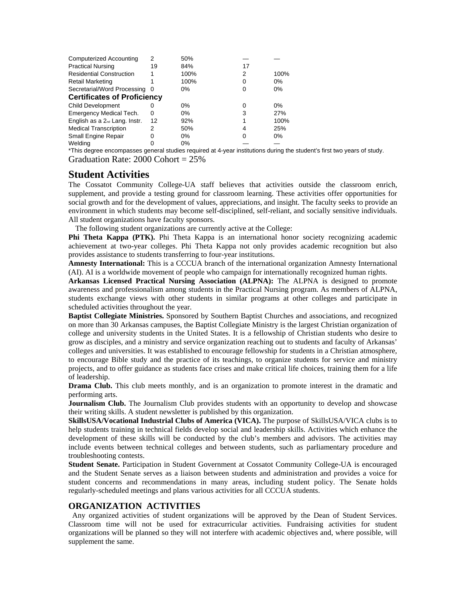| <b>Computerized Accounting</b>            | 2   | 50%   |    |       |  |  |  |
|-------------------------------------------|-----|-------|----|-------|--|--|--|
| <b>Practical Nursing</b>                  | 19  | 84%   | 17 |       |  |  |  |
| <b>Residential Construction</b>           |     | 100%  | 2  | 100%  |  |  |  |
| <b>Retail Marketing</b>                   |     | 100%  | 0  | $0\%$ |  |  |  |
| Secretarial/Word Processing               | - 0 | $0\%$ | Ω  | 0%    |  |  |  |
| <b>Certificates of Proficiency</b>        |     |       |    |       |  |  |  |
| <b>Child Development</b>                  |     | $0\%$ | 0  | $0\%$ |  |  |  |
| Emergency Medical Tech.                   | 0   | $0\%$ | 3  | 27%   |  |  |  |
| English as a 2 <sup>nd</sup> Lang. Instr. | 12  | 92%   |    | 100%  |  |  |  |
| <b>Medical Transcription</b>              | 2   | 50%   | 4  | 25%   |  |  |  |
| <b>Small Engine Repair</b>                | ი   | $0\%$ | 0  | 0%    |  |  |  |
| Welding                                   |     | $0\%$ |    |       |  |  |  |

\*This degree encompasses general studies required at 4-year institutions during the student's first two years of study. Graduation Rate: 2000 Cohort = 25%

# **Student Activities**

The Cossatot Community College-UA staff believes that activities outside the classroom enrich, supplement, and provide a testing ground for classroom learning. These activities offer opportunities for social growth and for the development of values, appreciations, and insight. The faculty seeks to provide an environment in which students may become self-disciplined, self-reliant, and socially sensitive individuals. All student organizations have faculty sponsors.

The following student organizations are currently active at the College:

**Phi Theta Kappa (PTK).** Phi Theta Kappa is an international honor society recognizing academic achievement at two-year colleges. Phi Theta Kappa not only provides academic recognition but also provides assistance to students transferring to four-year institutions.

**Amnesty International:** This is a CCCUA branch of the international organization Amnesty International (AI). AI is a worldwide movement of people who campaign for internationally recognized human rights.

**Arkansas Licensed Practical Nursing Association (ALPNA):** The ALPNA is designed to promote awareness and professionalism among students in the Practical Nursing program. As members of ALPNA, students exchange views with other students in similar programs at other colleges and participate in scheduled activities throughout the year.

**Baptist Collegiate Ministries.** Sponsored by Southern Baptist Churches and associations, and recognized on more than 30 Arkansas campuses, the Baptist Collegiate Ministry is the largest Christian organization of college and university students in the United States. It is a fellowship of Christian students who desire to grow as disciples, and a ministry and service organization reaching out to students and faculty of Arkansas' colleges and universities. It was established to encourage fellowship for students in a Christian atmosphere, to encourage Bible study and the practice of its teachings, to organize students for service and ministry projects, and to offer guidance as students face crises and make critical life choices, training them for a life of leadership.

**Drama Club.** This club meets monthly, and is an organization to promote interest in the dramatic and performing arts.

**Journalism Club.** The Journalism Club provides students with an opportunity to develop and showcase their writing skills. A student newsletter is published by this organization.

**SkillsUSA/Vocational Industrial Clubs of America (VICA).** The purpose of SkillsUSA/VICA clubs is to help students training in technical fields develop social and leadership skills. Activities which enhance the development of these skills will be conducted by the club's members and advisors. The activities may include events between technical colleges and between students, such as parliamentary procedure and troubleshooting contests.

**Student Senate.** Participation in Student Government at Cossatot Community College-UA is encouraged and the Student Senate serves as a liaison between students and administration and provides a voice for student concerns and recommendations in many areas, including student policy. The Senate holds regularly-scheduled meetings and plans various activities for all CCCUA students.

## **ORGANIZATION ACTIVITIES**

 Any organized activities of student organizations will be approved by the Dean of Student Services. Classroom time will not be used for extracurricular activities. Fundraising activities for student organizations will be planned so they will not interfere with academic objectives and, where possible, will supplement the same.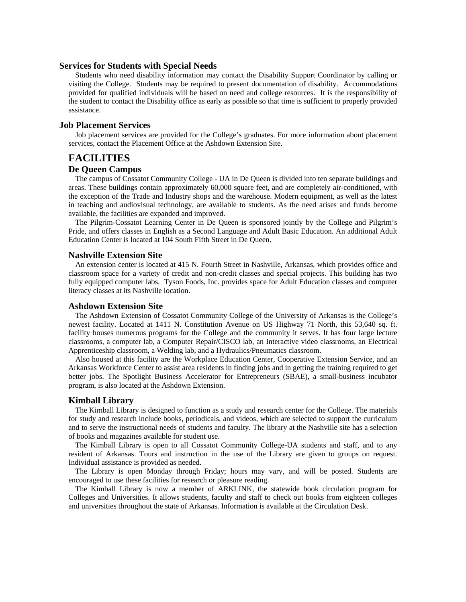#### **Services for Students with Special Needs**

 Students who need disability information may contact the Disability Support Coordinator by calling or visiting the College. Students may be required to present documentation of disability. Accommodations provided for qualified individuals will be based on need and college resources. It is the responsibility of the student to contact the Disability office as early as possible so that time is sufficient to properly provided assistance.

### **Job Placement Services**

Job placement services are provided for the College's graduates. For more information about placement services, contact the Placement Office at the Ashdown Extension Site.

## **FACILITIES**

### **De Queen Campus**

 The campus of Cossatot Community College - UA in De Queen is divided into ten separate buildings and areas. These buildings contain approximately 60,000 square feet, and are completely air-conditioned, with the exception of the Trade and Industry shops and the warehouse. Modern equipment, as well as the latest in teaching and audiovisual technology, are available to students. As the need arises and funds become available, the facilities are expanded and improved.

 The Pilgrim-Cossatot Learning Center in De Queen is sponsored jointly by the College and Pilgrim's Pride, and offers classes in English as a Second Language and Adult Basic Education. An additional Adult Education Center is located at 104 South Fifth Street in De Queen.

#### **Nashville Extension Site**

 An extension center is located at 415 N. Fourth Street in Nashville, Arkansas, which provides office and classroom space for a variety of credit and non-credit classes and special projects. This building has two fully equipped computer labs. Tyson Foods, Inc. provides space for Adult Education classes and computer literacy classes at its Nashville location.

#### **Ashdown Extension Site**

 The Ashdown Extension of Cossatot Community College of the University of Arkansas is the College's newest facility. Located at 1411 N. Constitution Avenue on US Highway 71 North, this 53,640 sq. ft. facility houses numerous programs for the College and the community it serves. It has four large lecture classrooms, a computer lab, a Computer Repair/CISCO lab, an Interactive video classrooms, an Electrical Apprenticeship classroom, a Welding lab, and a Hydraulics/Pneumatics classroom.

 Also housed at this facility are the Workplace Education Center, Cooperative Extension Service, and an Arkansas Workforce Center to assist area residents in finding jobs and in getting the training required to get better jobs. The Spotlight Business Accelerator for Entrepreneurs (SBAE), a small-business incubator program, is also located at the Ashdown Extension.

## **Kimball Library**

 The Kimball Library is designed to function as a study and research center for the College. The materials for study and research include books, periodicals, and videos, which are selected to support the curriculum and to serve the instructional needs of students and faculty. The library at the Nashville site has a selection of books and magazines available for student use.

 The Kimball Library is open to all Cossatot Community College-UA students and staff, and to any resident of Arkansas. Tours and instruction in the use of the Library are given to groups on request. Individual assistance is provided as needed.

 The Library is open Monday through Friday; hours may vary, and will be posted. Students are encouraged to use these facilities for research or pleasure reading.

 The Kimball Library is now a member of ARKLINK, the statewide book circulation program for Colleges and Universities. It allows students, faculty and staff to check out books from eighteen colleges and universities throughout the state of Arkansas. Information is available at the Circulation Desk.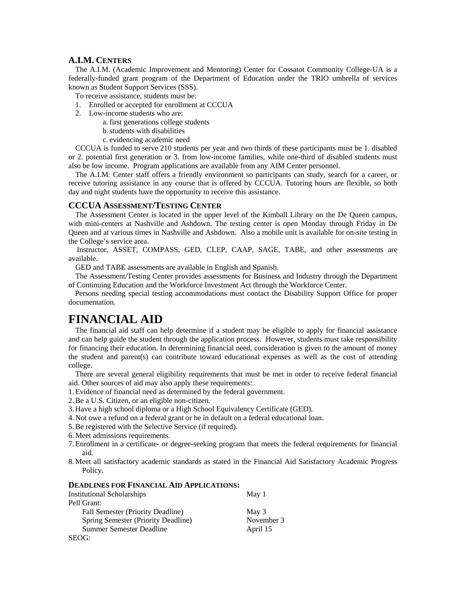## **A.I.M. CENTERS**

 The A.I.M. (Academic Improvement and Mentoring) Center for Cossatot Community College-UA is a federally-funded grant program of the Department of Education under the TRIO umbrella of services known as Student Support Services (SSS).

To receive assistance, students must be:

- 1. Enrolled or accepted for enrollment at CCCUA
- 2. Low-income students who are:
	- a. first generations college students
		- b. students with disabilities
		- c. evidencing academic need

 CCCUA is funded to serve 210 students per year and two thirds of these participants must be 1. disabled or 2. potential first generation or 3. from low-income families, while one-third of disabled students must also be low income. Program applications are available from any AIM Center personnel.

 The A.I.M. Center staff offers a friendly environment so participants can study, search for a career, or receive tutoring assistance in any course that is offered by CCCUA. Tutoring hours are flexible, so both day and night students have the opportunity to receive this assistance.

#### **CCCUA ASSESSMENT/TESTING CENTER**

 The Assessment Center is located in the upper level of the Kimball Library on the De Queen campus, with mini-centers at Nashville and Ashdown. The testing center is open Monday through Friday in De Queen and at various times in Nashville and Ashdown. Also a mobile unit is available for on-site testing in the College's service area.

 Instructor, ASSET, COMPASS, GED, CLEP, CAAP, SAGE, TABE, and other assessments are available.

GED and TABE assessments are available in English and Spanish.

 The Assessment/Testing Center provides assessments for Business and Industry through the Department of Continuing Education and the Workforce Investment Act through the Workforce Center.

 Persons needing special testing accommodations must contact the Disability Support Office for proper documentation.

# **FINANCIAL AID**

 The financial aid staff can help determine if a student may be eligible to apply for financial assistance and can help guide the student through the application process. However, students must take responsibility for financing their education. In determining financial need, consideration is given to the amount of money the student and parent(s) can contribute toward educational expenses as well as the cost of attending college.

 There are several general eligibility requirements that must be met in order to receive federal financial aid. Other sources of aid may also apply these requirements:

1. Evidence of financial need as determined by the federal government.

2. Be a U.S. Citizen, or an eligible non-citizen.

3. Have a high school diploma or a High School Equivalency Certificate (GED).

4. Not owe a refund on a federal grant or be in default on a federal educational loan.

- 5. Be registered with the Selective Service (if required).
- 6. Meet admissions requirements.
- 7. Enrollment in a certificate- or degree-seeking program that meets the federal requirements for financial aid.
- 8. Meet all satisfactory academic standards as stated in the Financial Aid Satisfactory Academic Progress Policy.

#### **DEADLINES FOR FINANCIAL AID APPLICATIONS:**

| <b>Institutional Scholarships</b>   | May 1      |
|-------------------------------------|------------|
| Pell Grant:                         |            |
| Fall Semester (Priority Deadline)   | May 3      |
| Spring Semester (Priority Deadline) | November 3 |
| Summer Semester Deadline            | April 15   |
| SEOG:                               |            |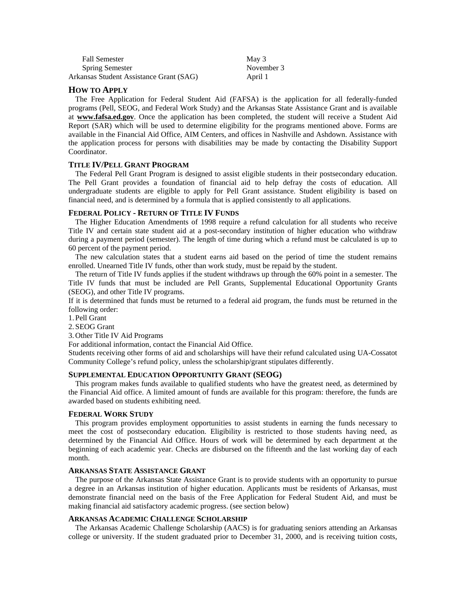| <b>Fall Semester</b>                    | May 3      |
|-----------------------------------------|------------|
| <b>Spring Semester</b>                  | November 3 |
| Arkansas Student Assistance Grant (SAG) | April 1    |

## **HOW TO APPLY**

 The Free Application for Federal Student Aid (FAFSA) is the application for all federally-funded programs (Pell, SEOG, and Federal Work Study) and the Arkansas State Assistance Grant and is available at **www.fafsa.ed.gov**. Once the application has been completed, the student will receive a Student Aid Report (SAR) which will be used to determine eligibility for the programs mentioned above. Forms are available in the Financial Aid Office, AIM Centers, and offices in Nashville and Ashdown. Assistance with the application process for persons with disabilities may be made by contacting the Disability Support Coordinator.

#### **TITLE IV/PELL GRANT PROGRAM**

 The Federal Pell Grant Program is designed to assist eligible students in their postsecondary education. The Pell Grant provides a foundation of financial aid to help defray the costs of education. All undergraduate students are eligible to apply for Pell Grant assistance. Student eligibility is based on financial need, and is determined by a formula that is applied consistently to all applications.

#### **FEDERAL POLICY - RETURN OF TITLE IV FUNDS**

 The Higher Education Amendments of 1998 require a refund calculation for all students who receive Title IV and certain state student aid at a post-secondary institution of higher education who withdraw during a payment period (semester). The length of time during which a refund must be calculated is up to 60 percent of the payment period.

 The new calculation states that a student earns aid based on the period of time the student remains enrolled. Unearned Title IV funds, other than work study, must be repaid by the student.

 The return of Title IV funds applies if the student withdraws up through the 60% point in a semester. The Title IV funds that must be included are Pell Grants, Supplemental Educational Opportunity Grants (SEOG), and other Title IV programs.

If it is determined that funds must be returned to a federal aid program, the funds must be returned in the following order:

1. Pell Grant

2. SEOG Grant

3. Other Title IV Aid Programs

For additional information, contact the Financial Aid Office.

Students receiving other forms of aid and scholarships will have their refund calculated using UA-Cossatot Community College's refund policy, unless the scholarship/grant stipulates differently.

#### **SUPPLEMENTAL EDUCATION OPPORTUNITY GRANT (SEOG)**

 This program makes funds available to qualified students who have the greatest need, as determined by the Financial Aid office. A limited amount of funds are available for this program: therefore, the funds are awarded based on students exhibiting need.

#### **FEDERAL WORK STUDY**

 This program provides employment opportunities to assist students in earning the funds necessary to meet the cost of postsecondary education. Eligibility is restricted to those students having need, as determined by the Financial Aid Office. Hours of work will be determined by each department at the beginning of each academic year. Checks are disbursed on the fifteenth and the last working day of each month.

#### **ARKANSAS STATE ASSISTANCE GRANT**

 The purpose of the Arkansas State Assistance Grant is to provide students with an opportunity to pursue a degree in an Arkansas institution of higher education. Applicants must be residents of Arkansas, must demonstrate financial need on the basis of the Free Application for Federal Student Aid, and must be making financial aid satisfactory academic progress. (see section below)

#### **ARKANSAS ACADEMIC CHALLENGE SCHOLARSHIP**

 The Arkansas Academic Challenge Scholarship (AACS) is for graduating seniors attending an Arkansas college or university. If the student graduated prior to December 31, 2000, and is receiving tuition costs,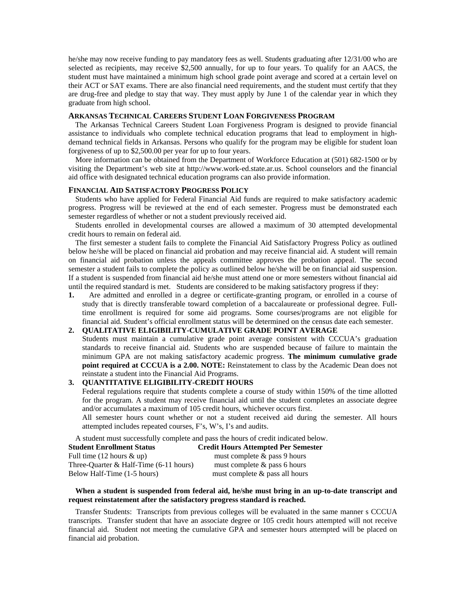he/she may now receive funding to pay mandatory fees as well. Students graduating after 12/31/00 who are selected as recipients, may receive \$2,500 annually, for up to four years. To qualify for an AACS, the student must have maintained a minimum high school grade point average and scored at a certain level on their ACT or SAT exams. There are also financial need requirements, and the student must certify that they are drug-free and pledge to stay that way. They must apply by June 1 of the calendar year in which they graduate from high school.

#### **ARKANSAS TECHNICAL CAREERS STUDENT LOAN FORGIVENESS PROGRAM**

 The Arkansas Technical Careers Student Loan Forgiveness Program is designed to provide financial assistance to individuals who complete technical education programs that lead to employment in highdemand technical fields in Arkansas. Persons who qualify for the program may be eligible for student loan forgiveness of up to \$2,500.00 per year for up to four years.

 More information can be obtained from the Department of Workforce Education at (501) 682-1500 or by visiting the Department's web site at http://www.work-ed.state.ar.us. School counselors and the financial aid office with designated technical education programs can also provide information.

#### **FINANCIAL AID SATISFACTORY PROGRESS POLICY**

 Students who have applied for Federal Financial Aid funds are required to make satisfactory academic progress. Progress will be reviewed at the end of each semester. Progress must be demonstrated each semester regardless of whether or not a student previously received aid.

 Students enrolled in developmental courses are allowed a maximum of 30 attempted developmental credit hours to remain on federal aid.

 The first semester a student fails to complete the Financial Aid Satisfactory Progress Policy as outlined below he/she will be placed on financial aid probation and may receive financial aid. A student will remain on financial aid probation unless the appeals committee approves the probation appeal. The second semester a student fails to complete the policy as outlined below he/she will be on financial aid suspension. If a student is suspended from financial aid he/she must attend one or more semesters without financial aid until the required standard is met. Students are considered to be making satisfactory progress if they:

**1.** Are admitted and enrolled in a degree or certificate-granting program, or enrolled in a course of study that is directly transferable toward completion of a baccalaureate or professional degree. Fulltime enrollment is required for some aid programs. Some courses/programs are not eligible for financial aid. Student's official enrollment status will be determined on the census date each semester.

#### **2. QUALITATIVE ELIGIBILITY-CUMULATIVE GRADE POINT AVERAGE**

 Students must maintain a cumulative grade point average consistent with CCCUA's graduation standards to receive financial aid. Students who are suspended because of failure to maintain the minimum GPA are not making satisfactory academic progress. **The minimum cumulative grade point required at CCCUA is a 2.00. NOTE:** Reinstatement to class by the Academic Dean does not reinstate a student into the Financial Aid Programs.

#### **3. QUANTITATIVE ELIGIBILITY-CREDIT HOURS**

 Federal regulations require that students complete a course of study within 150% of the time allotted for the program. A student may receive financial aid until the student completes an associate degree and/or accumulates a maximum of 105 credit hours, whichever occurs first.

 All semester hours count whether or not a student received aid during the semester. All hours attempted includes repeated courses, F's, W's, I's and audits.

A student must successfully complete and pass the hours of credit indicated below.

| <b>Student Enrollment Status</b>         | <b>Credit Hours Attempted Per Semester</b> |
|------------------------------------------|--------------------------------------------|
| Full time $(12$ hours $\&$ up)           | must complete $\&$ pass 9 hours            |
| Three-Ouarter $& Half-Time (6-11 hours)$ | must complete $\&$ pass 6 hours            |
| Below Half-Time (1-5 hours)              | must complete $\&$ pass all hours          |

#### **When a student is suspended from federal aid, he/she must bring in an up-to-date transcript and request reinstatement after the satisfactory progress standard is reached.**

 Transfer Students: Transcripts from previous colleges will be evaluated in the same manner s CCCUA transcripts. Transfer student that have an associate degree or 105 credit hours attempted will not receive financial aid. Student not meeting the cumulative GPA and semester hours attempted will be placed on financial aid probation.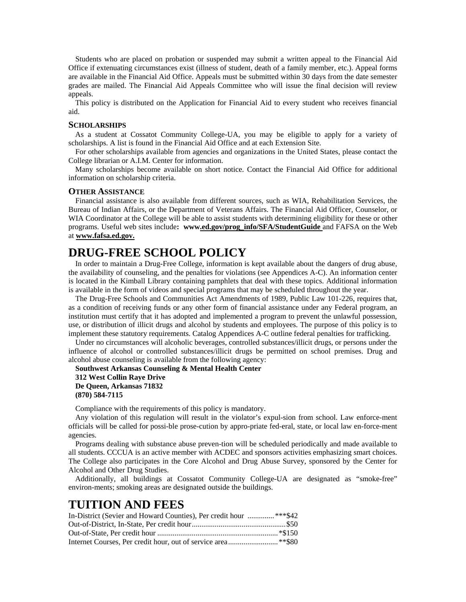Students who are placed on probation or suspended may submit a written appeal to the Financial Aid Office if extenuating circumstances exist (illness of student, death of a family member, etc.). Appeal forms are available in the Financial Aid Office. Appeals must be submitted within 30 days from the date semester grades are mailed. The Financial Aid Appeals Committee who will issue the final decision will review appeals.

 This policy is distributed on the Application for Financial Aid to every student who receives financial aid.

#### **SCHOLARSHIPS**

 As a student at Cossatot Community College-UA, you may be eligible to apply for a variety of scholarships. A list is found in the Financial Aid Office and at each Extension Site.

 For other scholarships available from agencies and organizations in the United States, please contact the College librarian or A.I.M. Center for information.

 Many scholarships become available on short notice. Contact the Financial Aid Office for additional information on scholarship criteria.

#### **OTHER ASSISTANCE**

 Financial assistance is also available from different sources, such as WIA, Rehabilitation Services, the Bureau of Indian Affairs, or the Department of Veterans Affairs. The Financial Aid Officer, Counselor, or WIA Coordinator at the College will be able to assist students with determining eligibility for these or other programs. Useful web sites include**: www.ed.gov/prog\_info/SFA/StudentGuide** and FAFSA on the Web at **www.fafsa.ed.gov.**

# **DRUG-FREE SCHOOL POLICY**

 In order to maintain a Drug-Free College, information is kept available about the dangers of drug abuse, the availability of counseling, and the penalties for violations (see Appendices A-C). An information center is located in the Kimball Library containing pamphlets that deal with these topics. Additional information is available in the form of videos and special programs that may be scheduled throughout the year.

 The Drug-Free Schools and Communities Act Amendments of 1989, Public Law 101-226, requires that, as a condition of receiving funds or any other form of financial assistance under any Federal program, an institution must certify that it has adopted and implemented a program to prevent the unlawful possession, use, or distribution of illicit drugs and alcohol by students and employees. The purpose of this policy is to implement these statutory requirements. Catalog Appendices A-C outline federal penalties for trafficking.

 Under no circumstances will alcoholic beverages, controlled substances/illicit drugs, or persons under the influence of alcohol or controlled substances/illicit drugs be permitted on school premises. Drug and alcohol abuse counseling is available from the following agency:

 **Southwest Arkansas Counseling & Mental Health Center 312 West Collin Raye Drive De Queen, Arkansas 71832 (870) 584-7115** 

Compliance with the requirements of this policy is mandatory.

 Any violation of this regulation will result in the violator's expul-sion from school. Law enforce-ment officials will be called for possi-ble prose-cution by appro-priate fed-eral, state, or local law en-force-ment agencies.

 Programs dealing with substance abuse preven-tion will be scheduled periodically and made available to all students. CCCUA is an active member with ACDEC and sponsors activities emphasizing smart choices. The College also participates in the Core Alcohol and Drug Abuse Survey, sponsored by the Center for Alcohol and Other Drug Studies.

 Additionally, all buildings at Cossatot Community College-UA are designated as "smoke-free" environ-ments; smoking areas are designated outside the buildings.

# **TUITION AND FEES**

| In-District (Sevier and Howard Counties), Per credit hour ***\$42 |  |
|-------------------------------------------------------------------|--|
|                                                                   |  |
|                                                                   |  |
|                                                                   |  |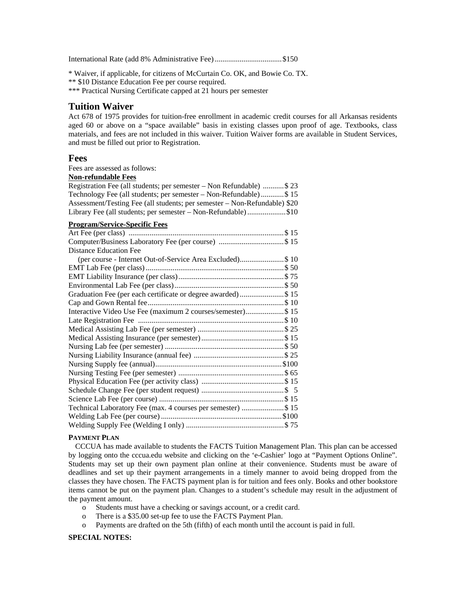International Rate (add 8% Administrative Fee) ...................................\$150

\* Waiver, if applicable, for citizens of McCurtain Co. OK, and Bowie Co. TX.

\*\* \$10 Distance Education Fee per course required.

\*\*\* Practical Nursing Certificate capped at 21 hours per semester

## **Tuition Waiver**

Act 678 of 1975 provides for tuition-free enrollment in academic credit courses for all Arkansas residents aged 60 or above on a "space available" basis in existing classes upon proof of age. Textbooks, class materials, and fees are not included in this waiver. Tuition Waiver forms are available in Student Services, and must be filled out prior to Registration.

## **Fees**

Fees are assessed as follows:

| <b>Non-refundable Fees</b>        |  |
|-----------------------------------|--|
| Registration Fee (all students; p |  |

| Registration Fee (all students; per semester – Non Refundable)  \$23      |
|---------------------------------------------------------------------------|
| Technology Fee (all students; per semester - Non-Refundable)\$15          |
| Assessment/Testing Fee (all students; per semester - Non-Refundable) \$20 |
| Library Fee (all students; per semester - Non-Refundable)\$10             |
| <b>Program/Service-Specific Fees</b>                                      |
|                                                                           |
|                                                                           |
| <b>Distance Education Fee</b>                                             |
| (per course - Internet Out-of-Service Area Excluded)\$ 10                 |
|                                                                           |
|                                                                           |
|                                                                           |
| Graduation Fee (per each certificate or degree awarded) \$ 15             |
|                                                                           |
| Interactive Video Use Fee (maximum 2 courses/semester)\$ 15               |
|                                                                           |
|                                                                           |
|                                                                           |
|                                                                           |
|                                                                           |
|                                                                           |
|                                                                           |
|                                                                           |
|                                                                           |
|                                                                           |
| Technical Laboratory Fee (max. 4 courses per semester) \$ 15              |
|                                                                           |
|                                                                           |

#### **PAYMENT PLAN**

 CCCUA has made available to students the FACTS Tuition Management Plan. This plan can be accessed by logging onto the cccua.edu website and clicking on the 'e-Cashier' logo at "Payment Options Online". Students may set up their own payment plan online at their convenience. Students must be aware of deadlines and set up their payment arrangements in a timely manner to avoid being dropped from the classes they have chosen. The FACTS payment plan is for tuition and fees only. Books and other bookstore items cannot be put on the payment plan. Changes to a student's schedule may result in the adjustment of the payment amount.

- o Students must have a checking or savings account, or a credit card.
- o There is a \$35.00 set-up fee to use the FACTS Payment Plan.
- o Payments are drafted on the 5th (fifth) of each month until the account is paid in full.

#### **SPECIAL NOTES:**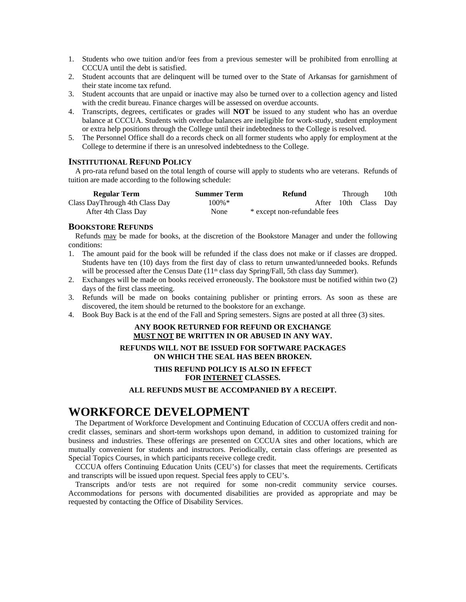- 1. Students who owe tuition and/or fees from a previous semester will be prohibited from enrolling at CCCUA until the debt is satisfied.
- 2. Student accounts that are delinquent will be turned over to the State of Arkansas for garnishment of their state income tax refund.
- 3. Student accounts that are unpaid or inactive may also be turned over to a collection agency and listed with the credit bureau. Finance charges will be assessed on overdue accounts.
- 4. Transcripts, degrees, certificates or grades will **NOT** be issued to any student who has an overdue balance at CCCUA. Students with overdue balances are ineligible for work-study, student employment or extra help positions through the College until their indebtedness to the College is resolved.
- 5. The Personnel Office shall do a records check on all former students who apply for employment at the College to determine if there is an unresolved indebtedness to the College.

## **INSTITUTIONAL REFUND POLICY**

 A pro-rata refund based on the total length of course will apply to students who are veterans. Refunds of tuition are made according to the following schedule:

| <b>Regular Term</b>            | <b>Summer Term</b> | Refund                       | Through |                      | 10th |
|--------------------------------|--------------------|------------------------------|---------|----------------------|------|
| Class DayThrough 4th Class Day | $100\%$ *          |                              |         | After 10th Class Day |      |
| After 4th Class Day            | None               | * except non-refundable fees |         |                      |      |

### **BOOKSTORE REFUNDS**

 Refunds may be made for books, at the discretion of the Bookstore Manager and under the following conditions:

- 1. The amount paid for the book will be refunded if the class does not make or if classes are dropped. Students have ten (10) days from the first day of class to return unwanted/unneeded books. Refunds will be processed after the Census Date  $(11<sup>th</sup>$  class day Spring/Fall, 5th class day Summer).
- 2. Exchanges will be made on books received erroneously. The bookstore must be notified within two (2) days of the first class meeting.
- 3. Refunds will be made on books containing publisher or printing errors. As soon as these are discovered, the item should be returned to the bookstore for an exchange.
- 4. Book Buy Back is at the end of the Fall and Spring semesters. Signs are posted at all three (3) sites.

## **ANY BOOK RETURNED FOR REFUND OR EXCHANGE MUST NOT BE WRITTEN IN OR ABUSED IN ANY WAY.**

#### **REFUNDS WILL NOT BE ISSUED FOR SOFTWARE PACKAGES ON WHICH THE SEAL HAS BEEN BROKEN.**

#### **THIS REFUND POLICY IS ALSO IN EFFECT FOR INTERNET CLASSES.**

### **ALL REFUNDS MUST BE ACCOMPANIED BY A RECEIPT.**

# **WORKFORCE DEVELOPMENT**

The Department of Workforce Development and Continuing Education of CCCUA offers credit and noncredit classes, seminars and short-term workshops upon demand, in addition to customized training for business and industries. These offerings are presented on CCCUA sites and other locations, which are mutually convenient for students and instructors. Periodically, certain class offerings are presented as Special Topics Courses, in which participants receive college credit.

 CCCUA offers Continuing Education Units (CEU's) for classes that meet the requirements. Certificats and transcripts will be issued upon request. Special fees apply to CEU's.

 Transcripts and/or tests are not required for some non-credit community service courses. Accommodations for persons with documented disabilities are provided as appropriate and may be requested by contacting the Office of Disability Services.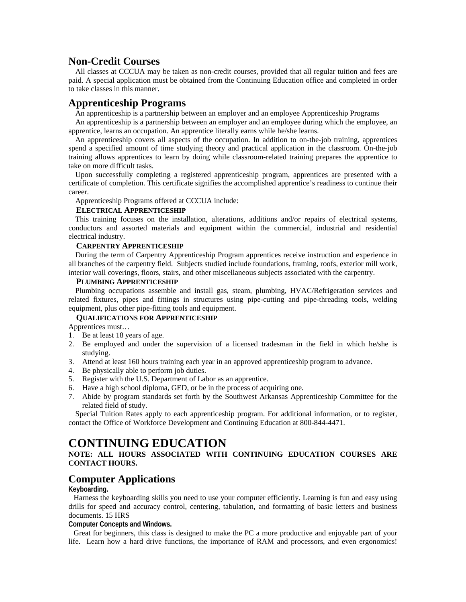# **Non-Credit Courses**

 All classes at CCCUA may be taken as non-credit courses, provided that all regular tuition and fees are paid. A special application must be obtained from the Continuing Education office and completed in order to take classes in this manner.

# **Apprenticeship Programs**

An apprenticeship is a partnership between an employer and an employee Apprenticeship Programs

 An apprenticeship is a partnership between an employer and an employee during which the employee, an apprentice, learns an occupation. An apprentice literally earns while he/she learns.

 An apprenticeship covers all aspects of the occupation. In addition to on-the-job training, apprentices spend a specified amount of time studying theory and practical application in the classroom. On-the-job training allows apprentices to learn by doing while classroom-related training prepares the apprentice to take on more difficult tasks.

 Upon successfully completing a registered apprenticeship program, apprentices are presented with a certificate of completion. This certificate signifies the accomplished apprentice's readiness to continue their career.

Apprenticeship Programs offered at CCCUA include:

### **ELECTRICAL APPRENTICESHIP**

 This training focuses on the installation, alterations, additions and/or repairs of electrical systems, conductors and assorted materials and equipment within the commercial, industrial and residential electrical industry.

#### **CARPENTRY APPRENTICESHIP**

 During the term of Carpentry Apprenticeship Program apprentices receive instruction and experience in all branches of the carpentry field. Subjects studied include foundations, framing, roofs, exterior mill work, interior wall coverings, floors, stairs, and other miscellaneous subjects associated with the carpentry.

#### **PLUMBING APPRENTICESHIP**

 Plumbing occupations assemble and install gas, steam, plumbing, HVAC/Refrigeration services and related fixtures, pipes and fittings in structures using pipe-cutting and pipe-threading tools, welding equipment, plus other pipe-fitting tools and equipment.

#### **QUALIFICATIONS FOR APPRENTICESHIP**

Apprentices must…

- 1. Be at least 18 years of age.
- 2. Be employed and under the supervision of a licensed tradesman in the field in which he/she is studying.
- 3. Attend at least 160 hours training each year in an approved apprenticeship program to advance.
- 4. Be physically able to perform job duties.
- 5. Register with the U.S. Department of Labor as an apprentice.
- 6. Have a high school diploma, GED, or be in the process of acquiring one.
- 7. Abide by program standards set forth by the Southwest Arkansas Apprenticeship Committee for the related field of study.

 Special Tuition Rates apply to each apprenticeship program. For additional information, or to register, contact the Office of Workforce Development and Continuing Education at 800-844-4471.

# **CONTINUING EDUCATION**

## **NOTE: ALL HOURS ASSOCIATED WITH CONTINUING EDUCATION COURSES ARE CONTACT HOURS.**

## **Computer Applications**

## **Keyboarding.**

Harness the keyboarding skills you need to use your computer efficiently. Learning is fun and easy using drills for speed and accuracy control, centering, tabulation, and formatting of basic letters and business documents. 15 HRS

#### **Computer Concepts and Windows.**

Great for beginners, this class is designed to make the PC a more productive and enjoyable part of your life. Learn how a hard drive functions, the importance of RAM and processors, and even ergonomics!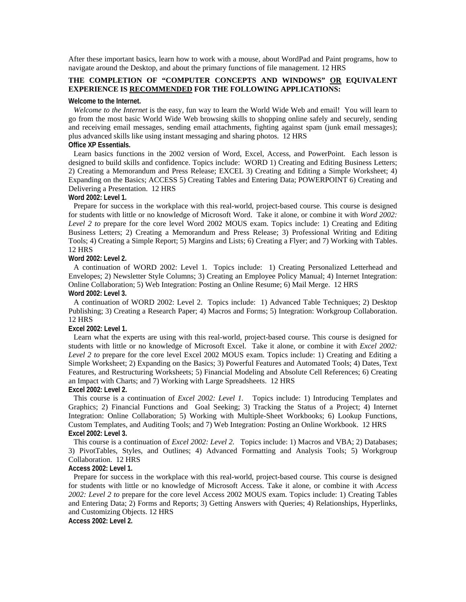After these important basics, learn how to work with a mouse, about WordPad and Paint programs, how to navigate around the Desktop, and about the primary functions of file management. 12 HRS

## **THE COMPLETION OF "COMPUTER CONCEPTS AND WINDOWS" OR EQUIVALENT EXPERIENCE IS RECOMMENDED FOR THE FOLLOWING APPLICATIONS:**

#### **Welcome to the Internet.**

*Welcome to the Internet* is the easy, fun way to learn the World Wide Web and email! You will learn to go from the most basic World Wide Web browsing skills to shopping online safely and securely, sending and receiving email messages, sending email attachments, fighting against spam (junk email messages); plus advanced skills like using instant messaging and sharing photos. 12 HRS **Office XP Essentials.** 

Learn basics functions in the 2002 version of Word, Excel, Access, and PowerPoint. Each lesson is designed to build skills and confidence. Topics include: WORD 1) Creating and Editing Business Letters; 2) Creating a Memorandum and Press Release; EXCEL 3) Creating and Editing a Simple Worksheet; 4) Expanding on the Basics; ACCESS 5) Creating Tables and Entering Data; POWERPOINT 6) Creating and Delivering a Presentation. 12 HRS

#### **Word 2002: Level 1.**

Prepare for success in the workplace with this real-world, project-based course. This course is designed for students with little or no knowledge of Microsoft Word. Take it alone, or combine it with *Word 2002:*  Level 2 to prepare for the core level Word 2002 MOUS exam. Topics include: 1) Creating and Editing Business Letters; 2) Creating a Memorandum and Press Release; 3) Professional Writing and Editing Tools; 4) Creating a Simple Report; 5) Margins and Lists; 6) Creating a Flyer; and 7) Working with Tables. 12 HRS

#### **Word 2002: Level 2.**

A continuation of WORD 2002: Level 1. Topics include: 1) Creating Personalized Letterhead and Envelopes; 2) Newsletter Style Columns; 3) Creating an Employee Policy Manual; 4) Internet Integration: Online Collaboration; 5) Web Integration: Posting an Online Resume; 6) Mail Merge. 12 HRS **Word 2002: Level 3.** 

A continuation of WORD 2002: Level 2. Topics include: 1) Advanced Table Techniques; 2) Desktop Publishing; 3) Creating a Research Paper; 4) Macros and Forms; 5) Integration: Workgroup Collaboration. 12 HRS

#### **Excel 2002: Level 1.**

Learn what the experts are using with this real-world, project-based course. This course is designed for students with little or no knowledge of Microsoft Excel. Take it alone, or combine it with *Excel 2002: Level 2 to* prepare for the core level Excel 2002 MOUS exam. Topics include: 1) Creating and Editing a Simple Worksheet; 2) Expanding on the Basics; 3) Powerful Features and Automated Tools; 4) Dates, Text Features, and Restructuring Worksheets; 5) Financial Modeling and Absolute Cell References; 6) Creating an Impact with Charts; and 7) Working with Large Spreadsheets. 12 HRS **Excel 2002: Level 2.** 

This course is a continuation of *Excel 2002: Level 1.* Topics include: 1) Introducing Templates and Graphics; 2) Financial Functions and Goal Seeking; 3) Tracking the Status of a Project; 4) Internet Integration: Online Collaboration; 5) Working with Multiple-Sheet Workbooks; 6) Lookup Functions, Custom Templates, and Auditing Tools; and 7) Web Integration: Posting an Online Workbook. 12 HRS **Excel 2002: Level 3.** 

This course is a continuation of *Excel 2002: Level 2.* Topics include: 1) Macros and VBA; 2) Databases; 3) PivotTables, Styles, and Outlines; 4) Advanced Formatting and Analysis Tools; 5) Workgroup Collaboration. 12 HRS

#### **Access 2002: Level 1.**

Prepare for success in the workplace with this real-world, project-based course. This course is designed for students with little or no knowledge of Microsoft Access. Take it alone, or combine it with *Access 2002: Level 2 to* prepare for the core level Access 2002 MOUS exam. Topics include: 1) Creating Tables and Entering Data; 2) Forms and Reports; 3) Getting Answers with Queries; 4) Relationships, Hyperlinks, and Customizing Objects. 12 HRS

**Access 2002: Level 2.**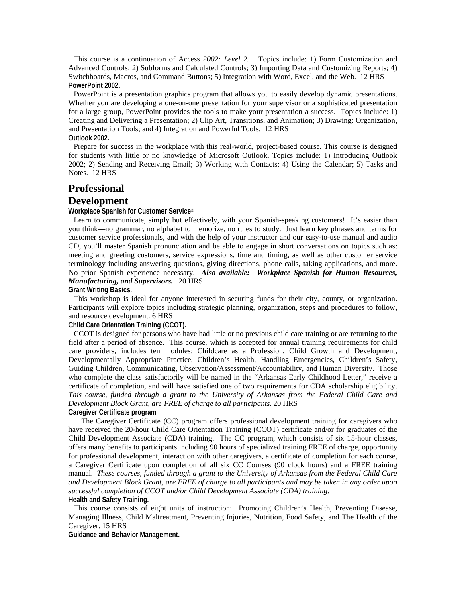This course is a continuation of Access *2002: Level 2.* Topics include: 1) Form Customization and Advanced Controls; 2) Subforms and Calculated Controls; 3) Importing Data and Customizing Reports; 4) Switchboards, Macros, and Command Buttons; 5) Integration with Word, Excel, and the Web. 12 HRS **PowerPoint 2002.** 

PowerPoint is a presentation graphics program that allows you to easily develop dynamic presentations. Whether you are developing a one-on-one presentation for your supervisor or a sophisticated presentation for a large group, PowerPoint provides the tools to make your presentation a success. Topics include: 1) Creating and Delivering a Presentation; 2) Clip Art, Transitions, and Animation; 3) Drawing: Organization, and Presentation Tools; and 4) Integration and Powerful Tools. 12 HRS **Outlook 2002.** 

Prepare for success in the workplace with this real-world, project-based course. This course is designed for students with little or no knowledge of Microsoft Outlook. Topics include: 1) Introducing Outlook 2002; 2) Sending and Receiving Email; 3) Working with Contacts; 4) Using the Calendar; 5) Tasks and Notes. 12 HRS

## **Professional**

## **Development**

#### **Workplace Spanish for Customer Service®.**

Learn to communicate, simply but effectively, with your Spanish-speaking customers! It's easier than you think—no grammar, no alphabet to memorize, no rules to study. Just learn key phrases and terms for customer service professionals, and with the help of your instructor and our easy-to-use manual and audio CD, you'll master Spanish pronunciation and be able to engage in short conversations on topics such as: meeting and greeting customers, service expressions, time and timing, as well as other customer service terminology including answering questions, giving directions, phone calls, taking applications, and more. No prior Spanish experience necessary. *Also available: Workplace Spanish for Human Resources, Manufacturing, and Supervisors.* 20 HRS

**Grant Writing Basics.** 

This workshop is ideal for anyone interested in securing funds for their city, county, or organization. Participants will explore topics including strategic planning, organization, steps and procedures to follow, and resource development. 6 HRS

#### **Child Care Orientation Training (CCOT).**

CCOT is designed for persons who have had little or no previous child care training or are returning to the field after a period of absence. This course, which is accepted for annual training requirements for child care providers, includes ten modules: Childcare as a Profession, Child Growth and Development, Developmentally Appropriate Practice, Children's Health, Handling Emergencies, Children's Safety, Guiding Children, Communicating, Observation/Assessment/Accountability, and Human Diversity. Those who complete the class satisfactorily will be named in the "Arkansas Early Childhood Letter," receive a certificate of completion, and will have satisfied one of two requirements for CDA scholarship eligibility. *This course, funded through a grant to the University of Arkansas from the Federal Child Care and Development Block Grant, are FREE of charge to all participants.* 20 HRS

**Caregiver Certificate program** 

 The Caregiver Certificate (CC) program offers professional development training for caregivers who have received the 20-hour Child Care Orientation Training (CCOT) certificate and/or for graduates of the Child Development Associate (CDA) training. The CC program, which consists of six 15-hour classes, offers many benefits to participants including 90 hours of specialized training FREE of charge, opportunity for professional development, interaction with other caregivers, a certificate of completion for each course, a Caregiver Certificate upon completion of all six CC Courses (90 clock hours) and a FREE training manual. *These courses, funded through a grant to the University of Arkansas from the Federal Child Care and Development Block Grant, are FREE of charge to all participants and may be taken in any order upon successful completion of CCOT and/or Child Development Associate (CDA) training*.

## **Health and Safety Training.**

This course consists of eight units of instruction: Promoting Children's Health, Preventing Disease, Managing Illness, Child Maltreatment, Preventing Injuries, Nutrition, Food Safety, and The Health of the Caregiver. 15 HRS

**Guidance and Behavior Management.**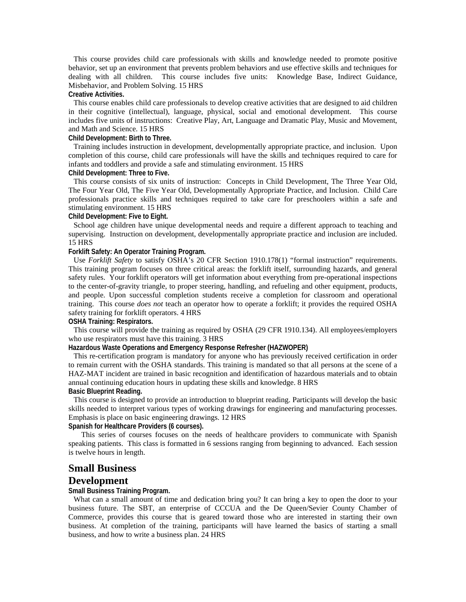This course provides child care professionals with skills and knowledge needed to promote positive behavior, set up an environment that prevents problem behaviors and use effective skills and techniques for dealing with all children. This course includes five units: Knowledge Base, Indirect Guidance, Misbehavior, and Problem Solving. 15 HRS

#### **Creative Activities.**

This course enables child care professionals to develop creative activities that are designed to aid children in their cognitive (intellectual), language, physical, social and emotional development. This course includes five units of instructions: Creative Play, Art, Language and Dramatic Play, Music and Movement, and Math and Science. 15 HRS

### **Child Development: Birth to Three.**

Training includes instruction in development, developmentally appropriate practice, and inclusion. Upon completion of this course, child care professionals will have the skills and techniques required to care for infants and toddlers and provide a safe and stimulating environment. 15 HRS

#### **Child Development: Three to Five.**

This course consists of six units of instruction: Concepts in Child Development, The Three Year Old, The Four Year Old, The Five Year Old, Developmentally Appropriate Practice, and Inclusion. Child Care professionals practice skills and techniques required to take care for preschoolers within a safe and stimulating environment. 15 HRS

#### **Child Development: Five to Eight.**

School age children have unique developmental needs and require a different approach to teaching and supervising. Instruction on development, developmentally appropriate practice and inclusion are included. 15 HRS

### **Forklift Safety: An Operator Training Program.**

Use *Forklift Safety* to satisfy OSHA's 20 CFR Section 1910.178(1) "formal instruction" requirements. This training program focuses on three critical areas: the forklift itself, surrounding hazards, and general safety rules. Your forklift operators will get information about everything from pre-operational inspections to the center-of-gravity triangle, to proper steering, handling, and refueling and other equipment, products, and people. Upon successful completion students receive a completion for classroom and operational training. This course *does not* teach an operator how to operate a forklift; it provides the required OSHA safety training for forklift operators. 4 HRS

#### **OSHA Training: Respirators.**

This course will provide the training as required by OSHA (29 CFR 1910.134). All employees/employers who use respirators must have this training. 3 HRS

#### **Hazardous Waste Operations and Emergency Response Refresher (HAZWOPER)**

This re-certification program is mandatory for anyone who has previously received certification in order to remain current with the OSHA standards. This training is mandated so that all persons at the scene of a HAZ-MAT incident are trained in basic recognition and identification of hazardous materials and to obtain annual continuing education hours in updating these skills and knowledge. 8 HRS **Basic Blueprint Reading.** 

This course is designed to provide an introduction to blueprint reading. Participants will develop the basic skills needed to interpret various types of working drawings for engineering and manufacturing processes. Emphasis is place on basic engineering drawings. 12 HRS

**Spanish for Healthcare Providers (6 courses).** 

 This series of courses focuses on the needs of healthcare providers to communicate with Spanish speaking patients. This class is formatted in 6 sessions ranging from beginning to advanced. Each session is twelve hours in length.

# **Small Business Development**

#### **Small Business Training Program.**

What can a small amount of time and dedication bring you? It can bring a key to open the door to your business future. The SBT, an enterprise of CCCUA and the De Queen/Sevier County Chamber of Commerce, provides this course that is geared toward those who are interested in starting their own business. At completion of the training, participants will have learned the basics of starting a small business, and how to write a business plan. 24 HRS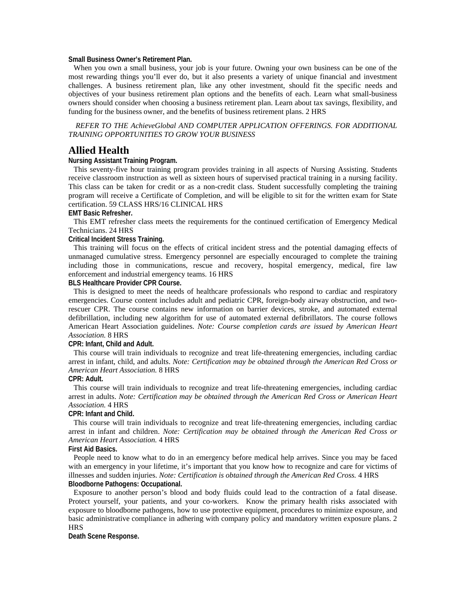**Small Business Owner's Retirement Plan.** 

When you own a small business, your job is your future. Owning your own business can be one of the most rewarding things you'll ever do, but it also presents a variety of unique financial and investment challenges. A business retirement plan, like any other investment, should fit the specific needs and objectives of your business retirement plan options and the benefits of each. Learn what small-business owners should consider when choosing a business retirement plan. Learn about tax savings, flexibility, and funding for the business owner, and the benefits of business retirement plans. 2 HRS

*REFER TO THE AchieveGlobal AND COMPUTER APPLICATION OFFERINGS. FOR ADDITIONAL TRAINING OPPORTUNITIES TO GROW YOUR BUSINESS* 

# **Allied Health**

#### **Nursing Assistant Training Program.**

This seventy-five hour training program provides training in all aspects of Nursing Assisting. Students receive classroom instruction as well as sixteen hours of supervised practical training in a nursing facility. This class can be taken for credit or as a non-credit class. Student successfully completing the training program will receive a Certificate of Completion, and will be eligible to sit for the written exam for State certification. 59 CLASS HRS/16 CLINICAL HRS

#### **EMT Basic Refresher.**

This EMT refresher class meets the requirements for the continued certification of Emergency Medical Technicians. 24 HRS

#### **Critical Incident Stress Training.**

This training will focus on the effects of critical incident stress and the potential damaging effects of unmanaged cumulative stress. Emergency personnel are especially encouraged to complete the training including those in communications, rescue and recovery, hospital emergency, medical, fire law enforcement and industrial emergency teams. 16 HRS

#### **BLS Healthcare Provider CPR Course.**

This is designed to meet the needs of healthcare professionals who respond to cardiac and respiratory emergencies. Course content includes adult and pediatric CPR, foreign-body airway obstruction, and tworescuer CPR. The course contains new information on barrier devices, stroke, and automated external defibrillation, including new algorithm for use of automated external defibrillators. The course follows American Heart Association guidelines. *Note: Course completion cards are issued by American Heart Association.* 8 HRS

#### **CPR: Infant, Child and Adult.**

This course will train individuals to recognize and treat life-threatening emergencies, including cardiac arrest in infant, child, and adults. *Note: Certification may be obtained through the American Red Cross or American Heart Association.* 8 HRS

#### **CPR: Adult.**

This course will train individuals to recognize and treat life-threatening emergencies, including cardiac arrest in adults. *Note: Certification may be obtained through the American Red Cross or American Heart Association.* 4 HRS

#### **CPR: Infant and Child.**

This course will train individuals to recognize and treat life-threatening emergencies, including cardiac arrest in infant and children. *Note: Certification may be obtained through the American Red Cross or American Heart Association.* 4 HRS

#### **First Aid Basics.**

People need to know what to do in an emergency before medical help arrives. Since you may be faced with an emergency in your lifetime, it's important that you know how to recognize and care for victims of illnesses and sudden injuries. *Note: Certification is obtained through the American Red Cross.* 4 HRS **Bloodborne Pathogens: Occupational.** 

Exposure to another person's blood and body fluids could lead to the contraction of a fatal disease. Protect yourself, your patients, and your co-workers. Know the primary health risks associated with exposure to bloodborne pathogens, how to use protective equipment, procedures to minimize exposure, and basic administrative compliance in adhering with company policy and mandatory written exposure plans. 2 HRS

**Death Scene Response.**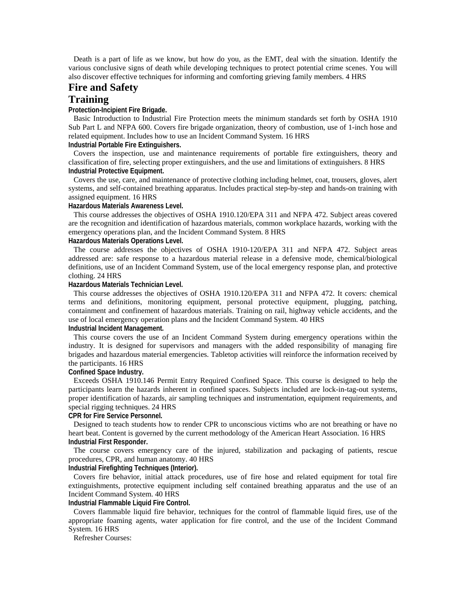Death is a part of life as we know, but how do you, as the EMT, deal with the situation. Identify the various conclusive signs of death while developing techniques to protect potential crime scenes. You will also discover effective techniques for informing and comforting grieving family members. 4 HRS

# **Fire and Safety**

# **Training**

#### **Protection-Incipient Fire Brigade.**

Basic Introduction to Industrial Fire Protection meets the minimum standards set forth by OSHA 1910 Sub Part L and NFPA 600. Covers fire brigade organization, theory of combustion, use of 1-inch hose and related equipment. Includes how to use an Incident Command System. 16 HRS

# **Industrial Portable Fire Extinguishers.**

Covers the inspection, use and maintenance requirements of portable fire extinguishers, theory and classification of fire, selecting proper extinguishers, and the use and limitations of extinguishers. 8 HRS **Industrial Protective Equipment.** 

Covers the use, care, and maintenance of protective clothing including helmet, coat, trousers, gloves, alert systems, and self-contained breathing apparatus. Includes practical step-by-step and hands-on training with assigned equipment. 16 HRS

#### **Hazardous Materials Awareness Level.**

This course addresses the objectives of OSHA 1910.120/EPA 311 and NFPA 472. Subject areas covered are the recognition and identification of hazardous materials, common workplace hazards, working with the emergency operations plan, and the Incident Command System. 8 HRS **Hazardous Materials Operations Level.** 

The course addresses the objectives of OSHA 1910-120/EPA 311 and NFPA 472. Subject areas addressed are: safe response to a hazardous material release in a defensive mode, chemical/biological definitions, use of an Incident Command System, use of the local emergency response plan, and protective clothing. 24 HRS

#### **Hazardous Materials Technician Level.**

This course addresses the objectives of OSHA 1910.120/EPA 311 and NFPA 472. It covers: chemical terms and definitions, monitoring equipment, personal protective equipment, plugging, patching, containment and confinement of hazardous materials. Training on rail, highway vehicle accidents, and the use of local emergency operation plans and the Incident Command System. 40 HRS

## **Industrial Incident Management.**

This course covers the use of an Incident Command System during emergency operations within the industry. It is designed for supervisors and managers with the added responsibility of managing fire brigades and hazardous material emergencies. Tabletop activities will reinforce the information received by the participants. 16 HRS

#### **Confined Space Industry.**

Exceeds OSHA 1910.146 Permit Entry Required Confined Space. This course is designed to help the participants learn the hazards inherent in confined spaces. Subjects included are lock-in-tag-out systems, proper identification of hazards, air sampling techniques and instrumentation, equipment requirements, and special rigging techniques. 24 HRS

#### **CPR for Fire Service Personnel.**

Designed to teach students how to render CPR to unconscious victims who are not breathing or have no heart beat. Content is governed by the current methodology of the American Heart Association. 16 HRS **Industrial First Responder.** 

The course covers emergency care of the injured, stabilization and packaging of patients, rescue procedures, CPR, and human anatomy. 40 HRS

# **Industrial Firefighting Techniques (Interior).**

Covers fire behavior, initial attack procedures, use of fire hose and related equipment for total fire extinguishments, protective equipment including self contained breathing apparatus and the use of an Incident Command System. 40 HRS

**Industrial Flammable Liquid Fire Control.** 

Covers flammable liquid fire behavior, techniques for the control of flammable liquid fires, use of the appropriate foaming agents, water application for fire control, and the use of the Incident Command System. 16 HRS

Refresher Courses: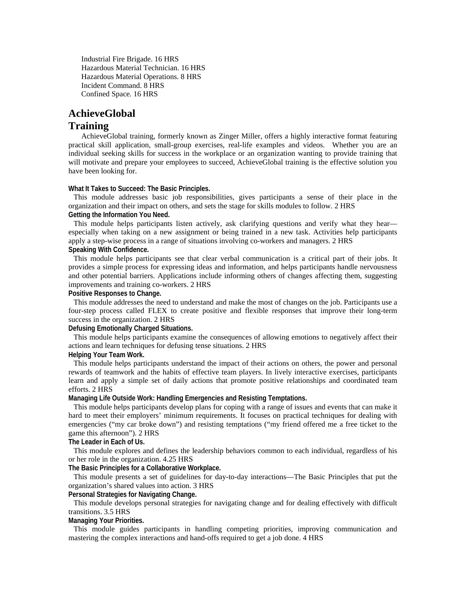Industrial Fire Brigade. 16 HRS Hazardous Material Technician. 16 HRS Hazardous Material Operations. 8 HRS Incident Command. 8 HRS Confined Space. 16 HRS

# **AchieveGlobal**

# **Training**

 AchieveGlobal training, formerly known as Zinger Miller, offers a highly interactive format featuring practical skill application, small-group exercises, real-life examples and videos. Whether you are an individual seeking skills for success in the workplace or an organization wanting to provide training that will motivate and prepare your employees to succeed, AchieveGlobal training is the effective solution you have been looking for.

**What It Takes to Succeed: The Basic Principles.** 

This module addresses basic job responsibilities, gives participants a sense of their place in the organization and their impact on others, and sets the stage for skills modules to follow. 2 HRS **Getting the Information You Need.** 

This module helps participants listen actively, ask clarifying questions and verify what they hearespecially when taking on a new assignment or being trained in a new task. Activities help participants apply a step-wise process in a range of situations involving co-workers and managers. 2 HRS **Speaking With Confidence.** 

This module helps participants see that clear verbal communication is a critical part of their jobs. It provides a simple process for expressing ideas and information, and helps participants handle nervousness and other potential barriers. Applications include informing others of changes affecting them, suggesting improvements and training co-workers. 2 HRS

**Positive Responses to Change.** 

This module addresses the need to understand and make the most of changes on the job. Participants use a four-step process called FLEX to create positive and flexible responses that improve their long-term success in the organization. 2 HRS

**Defusing Emotionally Charged Situations.** 

This module helps participants examine the consequences of allowing emotions to negatively affect their actions and learn techniques for defusing tense situations. 2 HRS

#### **Helping Your Team Work.**

This module helps participants understand the impact of their actions on others, the power and personal rewards of teamwork and the habits of effective team players. In lively interactive exercises, participants learn and apply a simple set of daily actions that promote positive relationships and coordinated team efforts. 2 HRS

**Managing Life Outside Work: Handling Emergencies and Resisting Temptations.** 

This module helps participants develop plans for coping with a range of issues and events that can make it hard to meet their employers' minimum requirements. It focuses on practical techniques for dealing with emergencies ("my car broke down") and resisting temptations ("my friend offered me a free ticket to the game this afternoon"). 2 HRS

**The Leader in Each of Us.** 

This module explores and defines the leadership behaviors common to each individual, regardless of his or her role in the organization. 4.25 HRS

**The Basic Principles for a Collaborative Workplace.** 

This module presents a set of guidelines for day-to-day interactions—The Basic Principles that put the organization's shared values into action. 3 HRS

#### **Personal Strategies for Navigating Change.**

This module develops personal strategies for navigating change and for dealing effectively with difficult transitions. 3.5 HRS

# **Managing Your Priorities.**

This module guides participants in handling competing priorities, improving communication and mastering the complex interactions and hand-offs required to get a job done. 4 HRS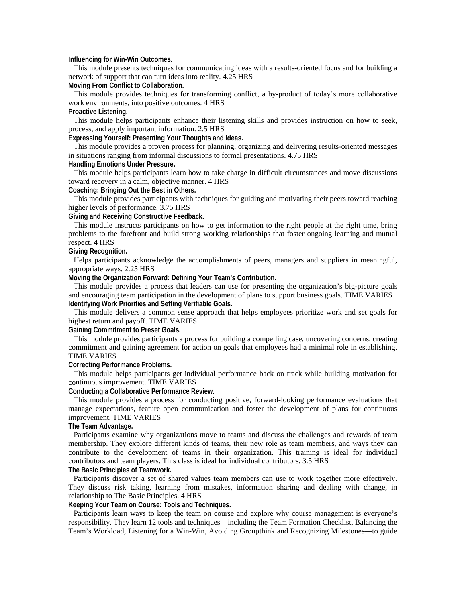#### **Influencing for Win-Win Outcomes.**

This module presents techniques for communicating ideas with a results-oriented focus and for building a network of support that can turn ideas into reality. 4.25 HRS

# **Moving From Conflict to Collaboration.**

This module provides techniques for transforming conflict, a by-product of today's more collaborative work environments, into positive outcomes. 4 HRS

# **Proactive Listening.**

This module helps participants enhance their listening skills and provides instruction on how to seek, process, and apply important information. 2.5 HRS

# **Expressing Yourself: Presenting Your Thoughts and Ideas.**

This module provides a proven process for planning, organizing and delivering results-oriented messages in situations ranging from informal discussions to formal presentations. 4.75 HRS **Handling Emotions Under Pressure.** 

This module helps participants learn how to take charge in difficult circumstances and move discussions toward recovery in a calm, objective manner. 4 HRS

#### **Coaching: Bringing Out the Best in Others.**

This module provides participants with techniques for guiding and motivating their peers toward reaching higher levels of performance. 3.75 HRS

#### **Giving and Receiving Constructive Feedback.**

This module instructs participants on how to get information to the right people at the right time, bring problems to the forefront and build strong working relationships that foster ongoing learning and mutual respect. 4 HRS

### **Giving Recognition.**

Helps participants acknowledge the accomplishments of peers, managers and suppliers in meaningful, appropriate ways. 2.25 HRS

#### **Moving the Organization Forward: Defining Your Team's Contribution.**

This module provides a process that leaders can use for presenting the organization's big-picture goals and encouraging team participation in the development of plans to support business goals. TIME VARIES **Identifying Work Priorities and Setting Verifiable Goals.** 

This module delivers a common sense approach that helps employees prioritize work and set goals for highest return and payoff. TIME VARIES

# **Gaining Commitment to Preset Goals.**

This module provides participants a process for building a compelling case, uncovering concerns, creating commitment and gaining agreement for action on goals that employees had a minimal role in establishing. TIME VARIES

#### **Correcting Performance Problems.**

This module helps participants get individual performance back on track while building motivation for continuous improvement. TIME VARIES

#### **Conducting a Collaborative Performance Review.**

This module provides a process for conducting positive, forward-looking performance evaluations that manage expectations, feature open communication and foster the development of plans for continuous improvement. TIME VARIES

### **The Team Advantage.**

Participants examine why organizations move to teams and discuss the challenges and rewards of team membership. They explore different kinds of teams, their new role as team members, and ways they can contribute to the development of teams in their organization. This training is ideal for individual contributors and team players. This class is ideal for individual contributors. 3.5 HRS

#### **The Basic Principles of Teamwork.**

Participants discover a set of shared values team members can use to work together more effectively. They discuss risk taking, learning from mistakes, information sharing and dealing with change, in relationship to The Basic Principles. 4 HRS

#### **Keeping Your Team on Course: Tools and Techniques.**

Participants learn ways to keep the team on course and explore why course management is everyone's responsibility. They learn 12 tools and techniques—including the Team Formation Checklist, Balancing the Team's Workload, Listening for a Win-Win, Avoiding Groupthink and Recognizing Milestones—to guide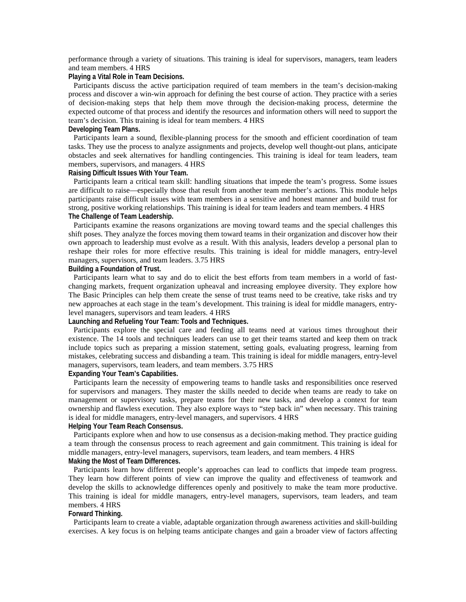performance through a variety of situations. This training is ideal for supervisors, managers, team leaders and team members. 4 HRS

#### **Playing a Vital Role in Team Decisions.**

Participants discuss the active participation required of team members in the team's decision-making process and discover a win-win approach for defining the best course of action. They practice with a series of decision-making steps that help them move through the decision-making process, determine the expected outcome of that process and identify the resources and information others will need to support the team's decision. This training is ideal for team members. 4 HRS

#### **Developing Team Plans.**

Participants learn a sound, flexible-planning process for the smooth and efficient coordination of team tasks. They use the process to analyze assignments and projects, develop well thought-out plans, anticipate obstacles and seek alternatives for handling contingencies. This training is ideal for team leaders, team members, supervisors, and managers. 4 HRS

#### **Raising Difficult Issues With Your Team.**

Participants learn a critical team skill: handling situations that impede the team's progress. Some issues are difficult to raise—especially those that result from another team member's actions. This module helps participants raise difficult issues with team members in a sensitive and honest manner and build trust for strong, positive working relationships. This training is ideal for team leaders and team members. 4 HRS **The Challenge of Team Leadership.** 

Participants examine the reasons organizations are moving toward teams and the special challenges this shift poses. They analyze the forces moving them toward teams in their organization and discover how their own approach to leadership must evolve as a result. With this analysis, leaders develop a personal plan to reshape their roles for more effective results. This training is ideal for middle managers, entry-level managers, supervisors, and team leaders. 3.75 HRS

#### **Building a Foundation of Trust.**

Participants learn what to say and do to elicit the best efforts from team members in a world of fastchanging markets, frequent organization upheaval and increasing employee diversity. They explore how The Basic Principles can help them create the sense of trust teams need to be creative, take risks and try new approaches at each stage in the team's development. This training is ideal for middle managers, entrylevel managers, supervisors and team leaders. 4 HRS

#### **Launching and Refueling Your Team: Tools and Techniques.**

Participants explore the special care and feeding all teams need at various times throughout their existence. The 14 tools and techniques leaders can use to get their teams started and keep them on track include topics such as preparing a mission statement, setting goals, evaluating progress, learning from mistakes, celebrating success and disbanding a team. This training is ideal for middle managers, entry-level managers, supervisors, team leaders, and team members. 3.75 HRS

#### **Expanding Your Team's Capabilities.**

Participants learn the necessity of empowering teams to handle tasks and responsibilities once reserved for supervisors and managers. They master the skills needed to decide when teams are ready to take on management or supervisory tasks, prepare teams for their new tasks, and develop a context for team ownership and flawless execution. They also explore ways to "step back in" when necessary. This training is ideal for middle managers, entry-level managers, and supervisors. 4 HRS

# **Helping Your Team Reach Consensus.**

Participants explore when and how to use consensus as a decision-making method. They practice guiding a team through the consensus process to reach agreement and gain commitment. This training is ideal for middle managers, entry-level managers, supervisors, team leaders, and team members. 4 HRS **Making the Most of Team Differences.** 

Participants learn how different people's approaches can lead to conflicts that impede team progress. They learn how different points of view can improve the quality and effectiveness of teamwork and develop the skills to acknowledge differences openly and positively to make the team more productive. This training is ideal for middle managers, entry-level managers, supervisors, team leaders, and team members. 4 HRS

#### **Forward Thinking.**

Participants learn to create a viable, adaptable organization through awareness activities and skill-building exercises. A key focus is on helping teams anticipate changes and gain a broader view of factors affecting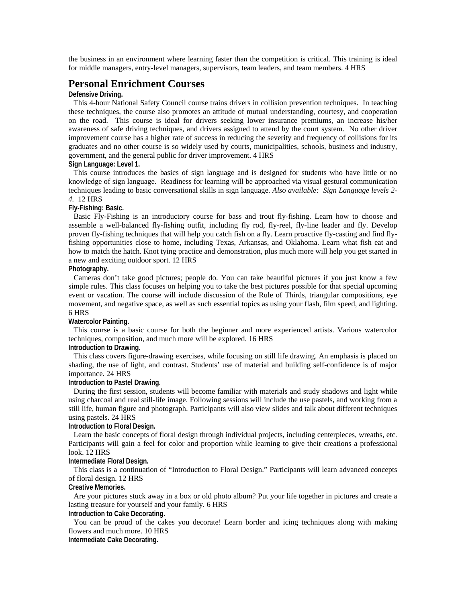the business in an environment where learning faster than the competition is critical. This training is ideal for middle managers, entry-level managers, supervisors, team leaders, and team members. 4 HRS

# **Personal Enrichment Courses**

#### **Defensive Driving.**

This 4-hour National Safety Council course trains drivers in collision prevention techniques. In teaching these techniques, the course also promotes an attitude of mutual understanding, courtesy, and cooperation on the road. This course is ideal for drivers seeking lower insurance premiums, an increase his/her awareness of safe driving techniques, and drivers assigned to attend by the court system. No other driver improvement course has a higher rate of success in reducing the severity and frequency of collisions for its graduates and no other course is so widely used by courts, municipalities, schools, business and industry, government, and the general public for driver improvement. 4 HRS **Sign Language: Level 1.** 

This course introduces the basics of sign language and is designed for students who have little or no knowledge of sign language. Readiness for learning will be approached via visual gestural communication techniques leading to basic conversational skills in sign language. *Also available: Sign Language levels 2- 4.* 12 HRS

# **Fly-Fishing: Basic.**

Basic Fly-Fishing is an introductory course for bass and trout fly-fishing. Learn how to choose and assemble a well-balanced fly-fishing outfit, including fly rod, fly-reel, fly-line leader and fly. Develop proven fly-fishing techniques that will help you catch fish on a fly. Learn proactive fly-casting and find flyfishing opportunities close to home, including Texas, Arkansas, and Oklahoma. Learn what fish eat and how to match the hatch. Knot tying practice and demonstration, plus much more will help you get started in a new and exciting outdoor sport. 12 HRS

#### **Photography.**

Cameras don't take good pictures; people do. You can take beautiful pictures if you just know a few simple rules. This class focuses on helping you to take the best pictures possible for that special upcoming event or vacation. The course will include discussion of the Rule of Thirds, triangular compositions, eye movement, and negative space, as well as such essential topics as using your flash, film speed, and lighting. 6 HRS

#### **Watercolor Painting.**

This course is a basic course for both the beginner and more experienced artists. Various watercolor techniques, composition, and much more will be explored. 16 HRS

# **Introduction to Drawing.**

This class covers figure-drawing exercises, while focusing on still life drawing. An emphasis is placed on shading, the use of light, and contrast. Students' use of material and building self-confidence is of major importance. 24 HRS

#### **Introduction to Pastel Drawing.**

During the first session, students will become familiar with materials and study shadows and light while using charcoal and real still-life image. Following sessions will include the use pastels, and working from a still life, human figure and photograph. Participants will also view slides and talk about different techniques using pastels. 24 HRS

#### **Introduction to Floral Design.**

Learn the basic concepts of floral design through individual projects, including centerpieces, wreaths, etc. Participants will gain a feel for color and proportion while learning to give their creations a professional look. 12 HRS

#### **Intermediate Floral Design.**

This class is a continuation of "Introduction to Floral Design." Participants will learn advanced concepts of floral design. 12 HRS

#### **Creative Memories.**

Are your pictures stuck away in a box or old photo album? Put your life together in pictures and create a lasting treasure for yourself and your family. 6 HRS

#### **Introduction to Cake Decorating.**

You can be proud of the cakes you decorate! Learn border and icing techniques along with making flowers and much more. 10 HRS

**Intermediate Cake Decorating.**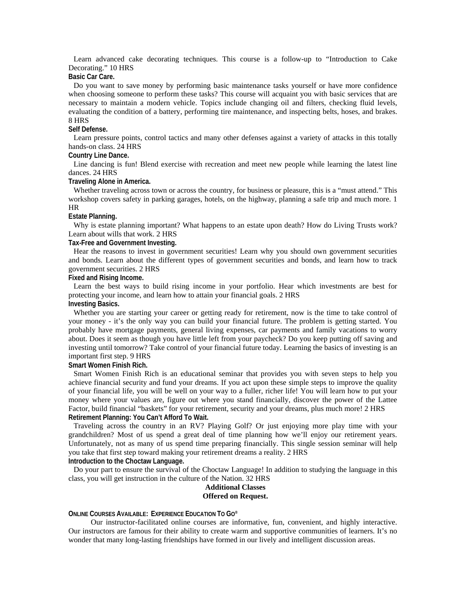Learn advanced cake decorating techniques. This course is a follow-up to "Introduction to Cake Decorating." 10 HRS

### **Basic Car Care.**

Do you want to save money by performing basic maintenance tasks yourself or have more confidence when choosing someone to perform these tasks? This course will acquaint you with basic services that are necessary to maintain a modern vehicle. Topics include changing oil and filters, checking fluid levels, evaluating the condition of a battery, performing tire maintenance, and inspecting belts, hoses, and brakes. 8 HRS

#### **Self Defense.**

Learn pressure points, control tactics and many other defenses against a variety of attacks in this totally hands-on class. 24 HRS

#### **Country Line Dance.**

Line dancing is fun! Blend exercise with recreation and meet new people while learning the latest line dances. 24 HRS

#### **Traveling Alone in America.**

Whether traveling across town or across the country, for business or pleasure, this is a "must attend." This workshop covers safety in parking garages, hotels, on the highway, planning a safe trip and much more. 1 HR

#### **Estate Planning.**

Why is estate planning important? What happens to an estate upon death? How do Living Trusts work? Learn about wills that work. 2 HRS

#### **Tax-Free and Government Investing.**

Hear the reasons to invest in government securities! Learn why you should own government securities and bonds. Learn about the different types of government securities and bonds, and learn how to track government securities. 2 HRS

#### **Fixed and Rising Income.**

Learn the best ways to build rising income in your portfolio. Hear which investments are best for protecting your income, and learn how to attain your financial goals. 2 HRS **Investing Basics.** 

#### Whether you are starting your career or getting ready for retirement, now is the time to take control of your money - it's the only way you can build your financial future. The problem is getting started. You probably have mortgage payments, general living expenses, car payments and family vacations to worry about. Does it seem as though you have little left from your paycheck? Do you keep putting off saving and investing until tomorrow? Take control of your financial future today. Learning the basics of investing is an important first step. 9 HRS

#### **Smart Women Finish Rich.**

Smart Women Finish Rich is an educational seminar that provides you with seven steps to help you achieve financial security and fund your dreams. If you act upon these simple steps to improve the quality of your financial life, you will be well on your way to a fuller, richer life! You will learn how to put your money where your values are, figure out where you stand financially, discover the power of the Lattee Factor, build financial "baskets" for your retirement, security and your dreams, plus much more! 2 HRS **Retirement Planning: You Can't Afford To Wait.** 

Traveling across the country in an RV? Playing Golf? Or just enjoying more play time with your grandchildren? Most of us spend a great deal of time planning how we'll enjoy our retirement years. Unfortunately, not as many of us spend time preparing financially. This single session seminar will help you take that first step toward making your retirement dreams a reality. 2 HRS **Introduction to the Choctaw Language.** 

Do your part to ensure the survival of the Choctaw Language! In addition to studying the language in this class, you will get instruction in the culture of the Nation. 32 HRS

#### **Additional Classes Offered on Request.**

#### **ONLINE COURSES AVAILABLE: EXPERIENCE EDUCATION TO GO®**

 Our instructor-facilitated online courses are informative, fun, convenient, and highly interactive. Our instructors are famous for their ability to create warm and supportive communities of learners. It's no wonder that many long-lasting friendships have formed in our lively and intelligent discussion areas.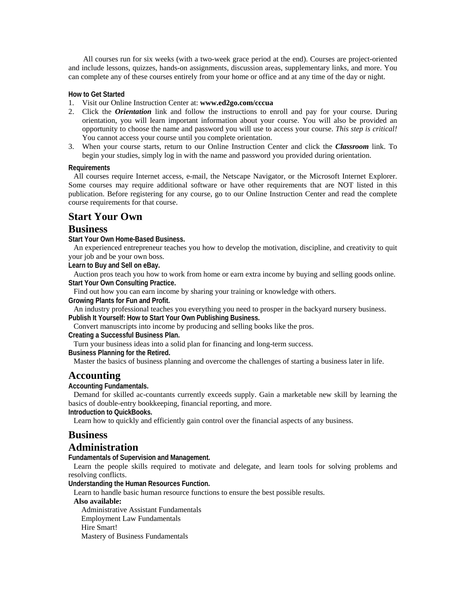All courses run for six weeks (with a two-week grace period at the end). Courses are project-oriented and include lessons, quizzes, hands-on assignments, discussion areas, supplementary links, and more. You can complete any of these courses entirely from your home or office and at any time of the day or night.

### **How to Get Started**

- 1. Visit our Online Instruction Center at: **www.ed2go.com/cccua**
- 2. Click the *Orientation* link and follow the instructions to enroll and pay for your course. During orientation, you will learn important information about your course. You will also be provided an opportunity to choose the name and password you will use to access your course. *This step is critical!*  You cannot access your course until you complete orientation.
- 3. When your course starts, return to our Online Instruction Center and click the *Classroom* link. To begin your studies, simply log in with the name and password you provided during orientation.

#### **Requirements**

All courses require Internet access, e-mail, the Netscape Navigator, or the Microsoft Internet Explorer. Some courses may require additional software or have other requirements that are NOT listed in this publication. Before registering for any course, go to our Online Instruction Center and read the complete course requirements for that course.

# **Start Your Own**

# **Business**

**Start Your Own Home-Based Business.** 

An experienced entrepreneur teaches you how to develop the motivation, discipline, and creativity to quit your job and be your own boss.

**Learn to Buy and Sell on eBay.** 

Auction pros teach you how to work from home or earn extra income by buying and selling goods online. **Start Your Own Consulting Practice.** 

Find out how you can earn income by sharing your training or knowledge with others.

**Growing Plants for Fun and Profit.** 

An industry professional teaches you everything you need to prosper in the backyard nursery business. **Publish It Yourself: How to Start Your Own Publishing Business.** 

Convert manuscripts into income by producing and selling books like the pros.

**Creating a Successful Business Plan.** 

Turn your business ideas into a solid plan for financing and long-term success.

**Business Planning for the Retired.** 

Master the basics of business planning and overcome the challenges of starting a business later in life.

# **Accounting**

**Accounting Fundamentals.** 

Demand for skilled ac-countants currently exceeds supply. Gain a marketable new skill by learning the basics of double-entry bookkeeping, financial reporting, and more.

**Introduction to QuickBooks.** 

Learn how to quickly and efficiently gain control over the financial aspects of any business.

# **Business**

# **Administration**

**Fundamentals of Supervision and Management.** 

Learn the people skills required to motivate and delegate, and learn tools for solving problems and resolving conflicts.

**Understanding the Human Resources Function.** 

Learn to handle basic human resource functions to ensure the best possible results.

#### **Also available:**

 Administrative Assistant Fundamentals Employment Law Fundamentals Hire Smart! Mastery of Business Fundamentals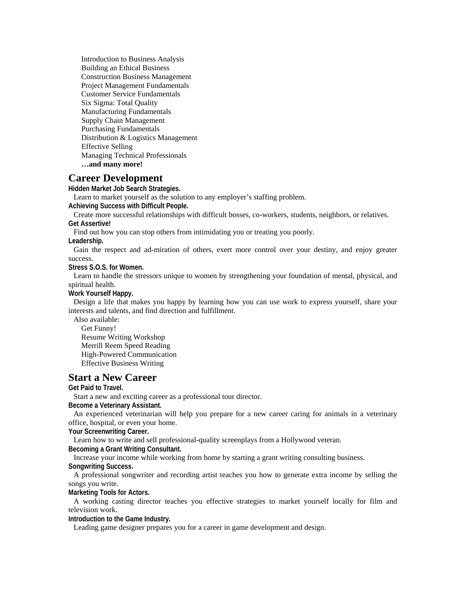Introduction to Business Analysis Building an Ethical Business Construction Business Management Project Management Fundamentals Customer Service Fundamentals Six Sigma: Total Quality Manufacturing Fundamentals Supply Chain Management Purchasing Fundamentals Distribution & Logistics Management Effective Selling Managing Technical Professionals  **…and many more!**

# **Career Development**

**Hidden Market Job Search Strategies.** 

Learn to market yourself as the solution to any employer's staffing problem.

**Achieving Success with Difficult People.** 

Create more successful relationships with difficult bosses, co-workers, students, neighbors, or relatives. **Get Assertive!** 

Find out how you can stop others from intimidating you or treating you poorly.

**Leadership.** 

Gain the respect and ad-miration of others, exert more control over your destiny, and enjoy greater success.

**Stress S.O.S. for Women.** 

Learn to handle the stressors unique to women by strengthening your foundation of mental, physical, and spiritual health.

**Work Yourself Happy.** 

Design a life that makes you happy by learning how you can use work to express yourself, share your interests and talents, and find direction and fulfillment.

Also available:

Get Funny! Resume Writing Workshop Merrill Reem Speed Reading High-Powered Communication Effective Business Writing

# **Start a New Career**

**Get Paid to Travel.** 

Start a new and exciting career as a professional tour director.

**Become a Veterinary Assistant.** 

An experienced veterinarian will help you prepare for a new career caring for animals in a veterinary office, hospital, or even your home.

**Your Screenwriting Career.** 

Learn how to write and sell professional-quality screenplays from a Hollywood veteran.

**Becoming a Grant Writing Consultant.** 

Increase your income while working from home by starting a grant writing consulting business.

**Songwriting Success.** 

A professional songwriter and recording artist teaches you how to generate extra income by selling the songs you write.

**Marketing Tools for Actors.** 

A working casting director teaches you effective strategies to market yourself locally for film and television work.

**Introduction to the Game Industry.** 

Leading game designer prepares you for a career in game development and design.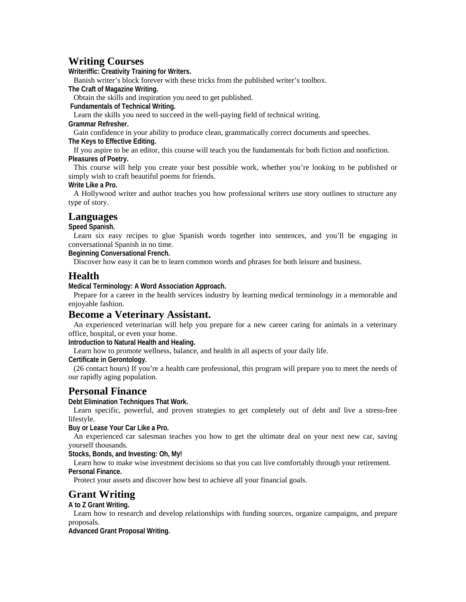# **Writing Courses**

**Writeriffic: Creativity Training for Writers.** 

Banish writer's block forever with these tricks from the published writer's toolbox.

**The Craft of Magazine Writing.** 

Obtain the skills and inspiration you need to get published.

 **Fundamentals of Technical Writing.** 

Learn the skills you need to succeed in the well-paying field of technical writing.

**Grammar Refresher.** 

Gain confidence in your ability to produce clean, grammatically correct documents and speeches. **The Keys to Effective Editing.** 

If you aspire to be an editor, this course will teach you the fundamentals for both fiction and nonfiction. **Pleasures of Poetry.** 

This course will help you create your best possible work, whether you're looking to be published or simply wish to craft beautiful poems for friends.

**Write Like a Pro.** 

A Hollywood writer and author teaches you how professional writers use story outlines to structure any type of story.

# **Languages**

**Speed Spanish.** 

Learn six easy recipes to glue Spanish words together into sentences, and you'll be engaging in conversational Spanish in no time.

**Beginning Conversational French.** 

Discover how easy it can be to learn common words and phrases for both leisure and business.

# **Health**

**Medical Terminology: A Word Association Approach.** 

Prepare for a career in the health services industry by learning medical terminology in a memorable and enjoyable fashion.

# **Become a Veterinary Assistant.**

An experienced veterinarian will help you prepare for a new career caring for animals in a veterinary office, hospital, or even your home.

**Introduction to Natural Health and Healing.** 

Learn how to promote wellness, balance, and health in all aspects of your daily life.

**Certificate in Gerontology.** 

(26 contact hours) If you're a health care professional, this program will prepare you to meet the needs of our rapidly aging population.

# **Personal Finance**

**Debt Elimination Techniques That Work.** 

Learn specific, powerful, and proven strategies to get completely out of debt and live a stress-free lifestyle.

**Buy or Lease Your Car Like a Pro.** 

An experienced car salesman teaches you how to get the ultimate deal on your next new car, saving yourself thousands.

**Stocks, Bonds, and Investing: Oh, My!** 

Learn how to make wise investment decisions so that you can live comfortably through your retirement. **Personal Finance.** 

Protect your assets and discover how best to achieve all your financial goals.

# **Grant Writing**

**A to Z Grant Writing.** 

Learn how to research and develop relationships with funding sources, organize campaigns, and prepare proposals.

**Advanced Grant Proposal Writing.**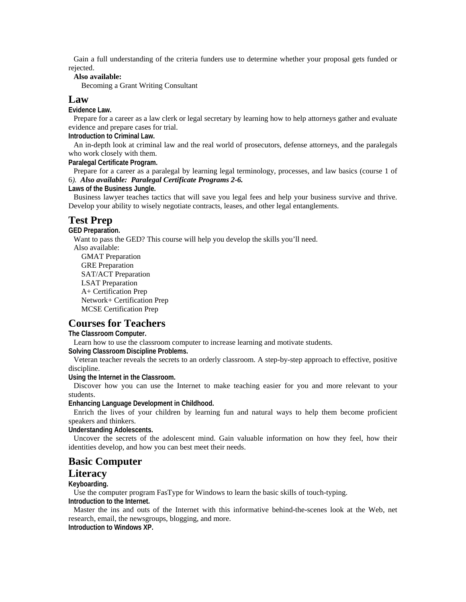Gain a full understanding of the criteria funders use to determine whether your proposal gets funded or rejected.

#### **Also available:**

Becoming a Grant Writing Consultant

### **Law**

**Evidence Law.** 

Prepare for a career as a law clerk or legal secretary by learning how to help attorneys gather and evaluate evidence and prepare cases for trial.

**Introduction to Criminal Law.** 

An in-depth look at criminal law and the real world of prosecutors, defense attorneys, and the paralegals who work closely with them.

**Paralegal Certificate Program.** 

Prepare for a career as a paralegal by learning legal terminology, processes, and law basics (course 1 of 6*). Also available: Paralegal Certificate Programs 2-6.*

**Laws of the Business Jungle.** 

Business lawyer teaches tactics that will save you legal fees and help your business survive and thrive. Develop your ability to wisely negotiate contracts, leases, and other legal entanglements.

# **Test Prep**

**GED Preparation.** 

Want to pass the GED? This course will help you develop the skills you'll need.

Also available: GMAT Preparation GRE Preparation

 SAT/ACT Preparation LSAT Preparation A+ Certification Prep Network+ Certification Prep MCSE Certification Prep

# **Courses for Teachers**

**The Classroom Computer.** 

Learn how to use the classroom computer to increase learning and motivate students.

**Solving Classroom Discipline Problems.** 

Veteran teacher reveals the secrets to an orderly classroom. A step-by-step approach to effective, positive discipline.

**Using the Internet in the Classroom.** 

Discover how you can use the Internet to make teaching easier for you and more relevant to your students.

**Enhancing Language Development in Childhood.** 

Enrich the lives of your children by learning fun and natural ways to help them become proficient speakers and thinkers.

**Understanding Adolescents.** 

Uncover the secrets of the adolescent mind. Gain valuable information on how they feel, how their identities develop, and how you can best meet their needs.

# **Basic Computer**

# **Literacy**

#### **Keyboarding.**

Use the computer program FasType for Windows to learn the basic skills of touch-typing.

**Introduction to the Internet.** 

Master the ins and outs of the Internet with this informative behind-the-scenes look at the Web, net research, email, the newsgroups, blogging, and more.

**Introduction to Windows XP.**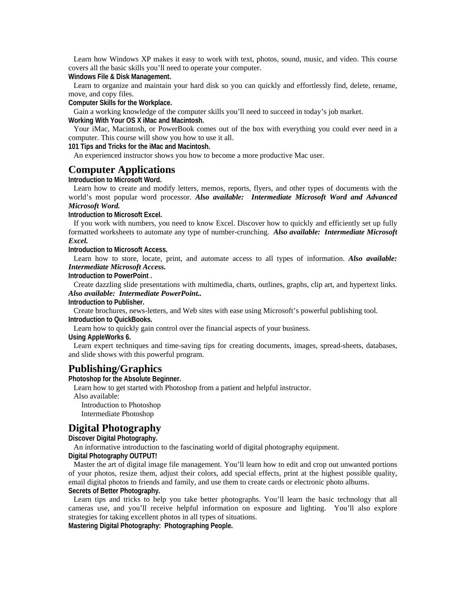Learn how Windows XP makes it easy to work with text, photos, sound, music, and video. This course covers all the basic skills you'll need to operate your computer.

**Windows File & Disk Management.** 

Learn to organize and maintain your hard disk so you can quickly and effortlessly find, delete, rename, move, and copy files.

**Computer Skills for the Workplace.** 

Gain a working knowledge of the computer skills you'll need to succeed in today's job market. **Working With Your OS X iMac and Macintosh.** 

Your iMac, Macintosh, or PowerBook comes out of the box with everything you could ever need in a computer. This course will show you how to use it all.

**101 Tips and Tricks for the iMac and Macintosh.** 

An experienced instructor shows you how to become a more productive Mac user.

# **Computer Applications**

**Introduction to Microsoft Word.** 

Learn how to create and modify letters, memos, reports, flyers, and other types of documents with the world's most popular word processor. *Also available: Intermediate Microsoft Word and Advanced Microsoft Word.* 

**Introduction to Microsoft Excel.** 

If you work with numbers, you need to know Excel. Discover how to quickly and efficiently set up fully formatted worksheets to automate any type of number-crunching. *Also available: Intermediate Microsoft Excel.*

**Introduction to Microsoft Access.** 

Learn how to store, locate, print, and automate access to all types of information. *Also available: Intermediate Microsoft Access.*

**Introduction to PowerPoint .** 

Create dazzling slide presentations with multimedia, charts, outlines, graphs, clip art, and hypertext links. *Also available: Intermediate PowerPoint..* 

**Introduction to Publisher.** 

Create brochures, news-letters, and Web sites with ease using Microsoft's powerful publishing tool. **Introduction to QuickBooks.** 

Learn how to quickly gain control over the financial aspects of your business.

**Using AppleWorks 6.** 

Learn expert techniques and time-saving tips for creating documents, images, spread-sheets, databases, and slide shows with this powerful program.

# **Publishing/Graphics**

**Photoshop for the Absolute Beginner.** 

Learn how to get started with Photoshop from a patient and helpful instructor. Also available: Introduction to Photoshop Intermediate Photoshop

# **Digital Photography**

**Discover Digital Photography.** 

An informative introduction to the fascinating world of digital photography equipment.

**Digital Photography OUTPUT!** 

Master the art of digital image file management. You'll learn how to edit and crop out unwanted portions of your photos, resize them, adjust their colors, add special effects, print at the highest possible quality, email digital photos to friends and family, and use them to create cards or electronic photo albums. **Secrets of Better Photography.** 

Learn tips and tricks to help you take better photographs. You'll learn the basic technology that all cameras use, and you'll receive helpful information on exposure and lighting. You'll also explore strategies for taking excellent photos in all types of situations.

**Mastering Digital Photography: Photographing People.**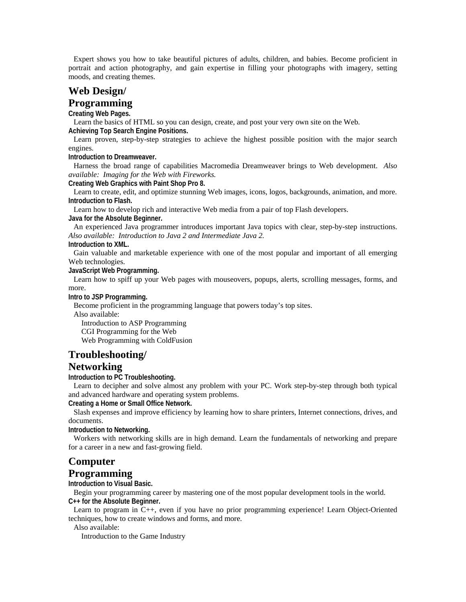Expert shows you how to take beautiful pictures of adults, children, and babies. Become proficient in portrait and action photography, and gain expertise in filling your photographs with imagery, setting moods, and creating themes.

# **Web Design/ Programming**

**Creating Web Pages.** 

Learn the basics of HTML so you can design, create, and post your very own site on the Web. **Achieving Top Search Engine Positions.** 

Learn proven, step-by-step strategies to achieve the highest possible position with the major search engines.

**Introduction to Dreamweaver.** 

Harness the broad range of capabilities Macromedia Dreamweaver brings to Web development. *Also available: Imaging for the Web with Fireworks.* 

**Creating Web Graphics with Paint Shop Pro 8.** 

Learn to create, edit, and optimize stunning Web images, icons, logos, backgrounds, animation, and more. **Introduction to Flash.** 

Learn how to develop rich and interactive Web media from a pair of top Flash developers. **Java for the Absolute Beginner.** 

An experienced Java programmer introduces important Java topics with clear, step-by-step instructions. *Also available: Introduction to Java 2 and Intermediate Java 2.* 

**Introduction to XML.** 

Gain valuable and marketable experience with one of the most popular and important of all emerging Web technologies.

**JavaScript Web Programming.** 

Learn how to spiff up your Web pages with mouseovers, popups, alerts, scrolling messages, forms, and more.

**Intro to JSP Programming.** 

Become proficient in the programming language that powers today's top sites.

Also available:

 Introduction to ASP Programming CGI Programming for the Web

Web Programming with ColdFusion

# **Troubleshooting/**

# **Networking**

**Introduction to PC Troubleshooting.** 

Learn to decipher and solve almost any problem with your PC. Work step-by-step through both typical and advanced hardware and operating system problems.

**Creating a Home or Small Office Network.** 

Slash expenses and improve efficiency by learning how to share printers, Internet connections, drives, and documents.

**Introduction to Networking.** 

Workers with networking skills are in high demand. Learn the fundamentals of networking and prepare for a career in a new and fast-growing field.

# **Computer**

# **Programming**

**Introduction to Visual Basic.** 

Begin your programming career by mastering one of the most popular development tools in the world. **C++ for the Absolute Beginner.** 

Learn to program in C++, even if you have no prior programming experience! Learn Object-Oriented techniques, how to create windows and forms, and more.

Also available:

Introduction to the Game Industry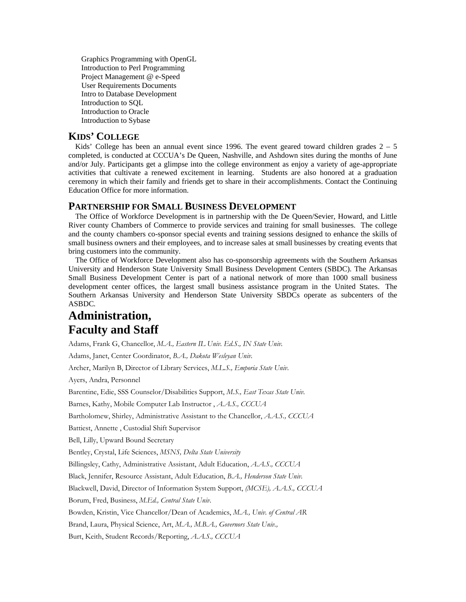Graphics Programming with OpenGL Introduction to Perl Programming Project Management @ e-Speed User Requirements Documents Intro to Database Development Introduction to SQL Introduction to Oracle Introduction to Sybase

# **KIDS' COLLEGE**

Kids' College has been an annual event since 1996. The event geared toward children grades  $2 - 5$ completed, is conducted at CCCUA's De Queen, Nashville, and Ashdown sites during the months of June and/or July. Participants get a glimpse into the college environment as enjoy a variety of age-appropriate activities that cultivate a renewed excitement in learning. Students are also honored at a graduation ceremony in which their family and friends get to share in their accomplishments. Contact the Continuing Education Office for more information.

# **PARTNERSHIP FOR SMALL BUSINESS DEVELOPMENT**

 The Office of Workforce Development is in partnership with the De Queen/Sevier, Howard, and Little River county Chambers of Commerce to provide services and training for small businesses. The college and the county chambers co-sponsor special events and training sessions designed to enhance the skills of small business owners and their employees, and to increase sales at small businesses by creating events that bring customers into the community.

 The Office of Workforce Development also has co-sponsorship agreements with the Southern Arkansas University and Henderson State University Small Business Development Centers (SBDC). The Arkansas Small Business Development Center is part of a national network of more than 1000 small business development center offices, the largest small business assistance program in the United States. The Southern Arkansas University and Henderson State University SBDCs operate as subcenters of the ASBDC*.* 

# **Administration, Faculty and Staff**

Adams, Frank G, Chancellor, *M.A., Eastern IL Univ. Ed.S., IN State Univ.*

Adams, Janet, Center Coordinator, *B.A., Dakota Wesleyan Univ.*

Archer, Marilyn B, Director of Library Services, *M.L.S., Emporia State Univ*.

Ayers, Andra, Personnel

Barentine, Edie, SSS Counselor/Disabilities Support, *M.S., East Texas State Univ.* 

Barnes, Kathy, Mobile Computer Lab Instructor , *A.A.S., CCCUA*

Bartholomew, Shirley, Administrative Assistant to the Chancellor, *A.A.S., CCCUA*

Battiest, Annette , Custodial Shift Supervisor

Bell, Lilly, Upward Bound Secretary

Bentley, Crystal, Life Sciences, *MSNS, Delta State University*

Billingsley, Cathy, Administrative Assistant, Adult Education, *A.A.S., CCCUA*

Black, Jennifer, Resource Assistant, Adult Education, *B.A., Henderson State Univ*.

Blackwell, David, Director of Information System Support, *(MCSE), A.A.S., CCCUA*

Borum, Fred, Business, *M.Ed., Central State Univ*.

Bowden, Kristin, Vice Chancellor/Dean of Academics, *M.A., Univ. of Central AR*

Brand, Laura, Physical Science, Art, *M.A., M.B.A., Governors State Univ.,*

Burt, Keith, Student Records/Reporting, *A.A.S., CCCUA*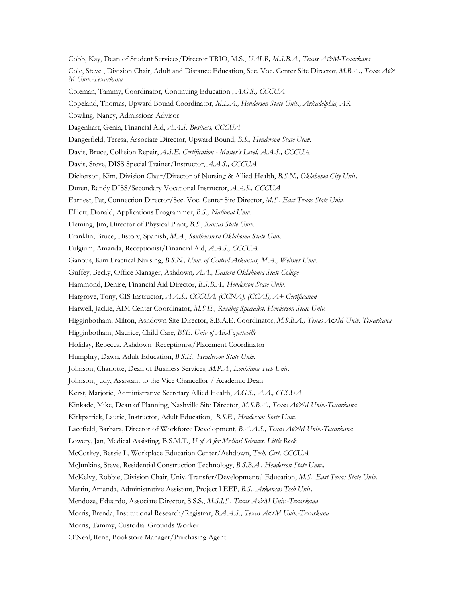Cobb, Kay, Dean of Student Services/Director TRIO, M.S., *UALR, M.S.B.A., Texas A&M-Texarkana* Cole, Steve , Division Chair, Adult and Distance Education, Sec. Voc. Center Site Director, *M.B.A., Texas A& M Univ.-Texarkana*  Coleman, Tammy, Coordinator, Continuing Education , *A.G.S., CCCUA*  Copeland, Thomas, Upward Bound Coordinator, *M.L.A., Henderson State Univ., Arkadelphia, AR* Cowling, Nancy, Admissions Advisor Dagenhart, Genia, Financial Aid, *A.A.S. Business, CCCUA* Dangerfield, Teresa, Associate Director, Upward Bound, *B.S., Henderson State Univ*. Davis, Bruce, Collision Repair, *A.S.E. Certification - Master's Level, A.A.S., CCCUA*  Davis, Steve, DISS Special Trainer/Instructor, *A.A.S., CCCUA* Dickerson, Kim, Division Chair/Director of Nursing & Allied Health, *B.S.N., Oklahoma City Univ*. Duren, Randy DISS/Secondary Vocational Instructor, *A.A.S., CCCUA*  Earnest, Pat, Connection Director/Sec. Voc. Center Site Director, *M.S., East Texas State Univ*. Elliott, Donald, Applications Programmer, *B.S., National Univ.* Fleming, Jim, Director of Physical Plant, *B.S., Kansas State Univ.* Franklin, Bruce, History, Spanish, *M.A., Southeastern Oklahoma State Univ*. Fulgium, Amanda, Receptionist/Financial Aid, *A.A.S., CCCUA*  Ganous, Kim Practical Nursing, *B.S.N., Univ. of Central Arkansas, M.A., Webster Univ*. Guffey, Becky, Office Manager, Ashdown*, A.A., Eastern Oklahoma State College*  Hammond, Denise, Financial Aid Director, *B.S.B.A., Henderson State Univ*. Hargrove, Tony, CIS Instructor, *A.A.S., CCCUA, (CCNA), (CCAI), A+ Certification* Harwell, Jackie, AIM Center Coordinator, *M.S.E., Reading Specialist, Henderson State Univ*. Higginbotham, Milton, Ashdown Site Director, S.B.A.E. Coordinator, *M.S.B.A., Texas A&M Univ.-Texarkana* Higginbotham, Maurice, Child Care, *BSE. Univ of AR-Fayetteville* Holiday, Rebecca, Ashdown Receptionist/Placement Coordinator Humphry, Dawn, Adult Education, *B.S.E., Henderson State Univ*. Johnson, Charlotte, Dean of Business Services*, M.P.A., Louisiana Tech Univ.* Johnson, Judy, Assistant to the Vice Chancellor / Academic Dean Kerst, Marjorie, Administrative Secretary Allied Health, *A.G.S., A.A., CCCUA*  Kinkade, Mike, Dean of Planning, Nashville Site Director, *M.S.B.A., Texas A&M Univ.-Texarkana*  Kirkpatrick, Laurie, Instructor, Adult Education, *B.S.E., Henderson State Univ.*  Lacefield, Barbara, Director of Workforce Development, *B.A.A.S., Texas A&M Univ.-Texarkana*  Lowery, Jan, Medical Assisting, B.S.M.T., *U of A for Medical Sciences, Little Rock*  McCoskey, Bessie L, Workplace Education Center/Ashdown, *Tech. Cert, CCCUA* McJunkins, Steve, Residential Construction Technology, *B.S.B.A., Henderson State Univ.,*McKelvy, Robbie, Division Chair, Univ. Transfer/Developmental Education, *M.S., East Texas State Univ*. Martin, Amanda, Administrative Assistant, Project LEEP, *B.S., Arkansas Tech Univ.*  Mendoza, Eduardo, Associate Director, S.S.S., *M.S.I.S., Texas A&M Univ.-Texarkana*  Morris, Brenda, Institutional Research/Registrar, *B.A.A.S., Texas A&M Univ.-Texarkana*  Morris, Tammy, Custodial Grounds Worker

O'Neal, Rene, Bookstore Manager/Purchasing Agent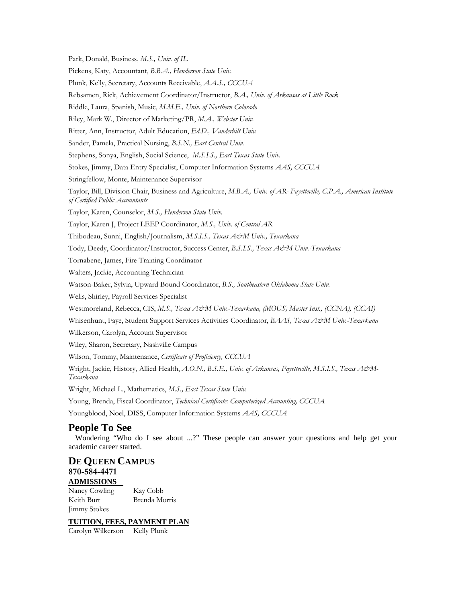Park, Donald, Business, *M.S., Univ. of IL*  Pickens, Katy, Accountant, *B.B.A., Henderson State Univ.*  Plunk, Kelly, Secretary, Accounts Receivable, *A.A.S., CCCUA*  Rebsamen, Rick, Achievement Coordinator/Instructor, *B.A., Univ. of Arkansas at Little Rock*  Riddle, Laura, Spanish, Music, *M.M.E., Univ. of Northern Colorado*  Riley, Mark W., Director of Marketing/PR, *M.A., Webster Univ.*  Ritter, Ann, Instructor, Adult Education, *Ed.D., Vanderbilt Univ.*  Sander, Pamela, Practical Nursing, *B.S.N., East Central Univ.*  Stephens, Sonya, English, Social Science, *M.S.I.S., East Texas State Univ.*  Stokes, Jimmy, Data Entry Specialist, Computer Information Systems *AAS, CCCUA*Stringfellow, Monte, Maintenance Supervisor Taylor, Bill, Division Chair, Business and Agriculture, *M.B.A., Univ. of AR- Fayetteville, C.P.A., American Institute of Certified Public Accountants*  Taylor, Karen, Counselor, *M.S., Henderson State Univ.*  Taylor, Karen J, Project LEEP Coordinator, *M.S., Univ. of Central AR*  Thibodeau, Sunni, English/Journalism, *M.S.I.S., Texas A&M Univ., Texarkana*  Tody, Deedy, Coordinator/Instructor, Success Center, *B.S.I.S., Texas A&M Univ.-Texarkana*  Tornabene, James, Fire Training Coordinator Walters, Jackie, Accounting Technician Watson-Baker, Sylvia, Upward Bound Coordinator, *B.S., Southeastern Oklahoma State Univ.*  Wells, Shirley, Payroll Services Specialist Westmoreland, Rebecca, CIS, M.S., Texas A&M Univ.-Texarkana, (MOUS) Master Inst., (CCNA), (CCAI) Whisenhunt, Faye, Student Support Services Activities Coordinator, *BAAS, Texas A&M Univ.-Texarkana*  Wilkerson, Carolyn, Account Supervisor Wiley, Sharon, Secretary, Nashville Campus Wilson, Tommy, Maintenance, *Certificate of Proficiency, CCCUA*  Wright, Jackie, History, Allied Health, *A.O.N., B.S.E., Univ. of Arkansas, Fayetteville, M.S.I.S., Texas A&M-Texarkana*  Wright, Michael L., Mathematics, *M.S., East Texas State Univ.*  Young, Brenda, Fiscal Coordinator, *Technical Certificate: Computerized Accounting, CCCUA*  Youngblood, Noel, DISS, Computer Information Systems *AAS, CCCUA*  **People To See**  Wondering "Who do I see about ...?" These people can answer your questions and help get your academic career started.

# **DE QUEEN CAMPUS 870-584-4471 ADMISSIONS**

Nancy Cowling Kay Cobb Keith Burt Brenda Morris Jimmy Stokes

# **TUITION, FEES, PAYMENT PLAN**

Carolyn Wilkerson Kelly Plunk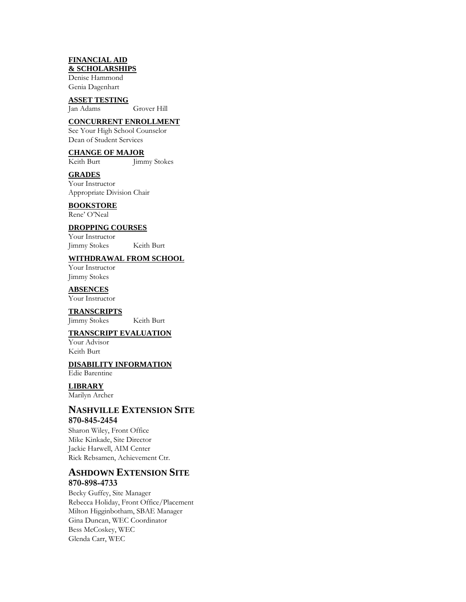### **FINANCIAL AID & SCHOLARSHIPS**

Denise Hammond Genia Dagenhart

# **ASSET TESTING**

Jan Adams Grover Hill

# **CONCURRENT ENROLLMENT**

See Your High School Counselor Dean of Student Services

# **CHANGE OF MAJOR**

Keith Burt Jimmy Stokes

# **GRADES**

Your Instructor Appropriate Division Chair

# **BOOKSTORE**

Rene' O'Neal

# **DROPPING COURSES**

Your Instructor Jimmy Stokes Keith Burt

### **WITHDRAWAL FROM SCHOOL**

Your Instructor Jimmy Stokes

### **ABSENCES**

Your Instructor

**TRANSCRIPTS** Jimmy Stokes Keith Burt

### **TRANSCRIPT EVALUATION**

Your Advisor Keith Burt

# **DISABILITY INFORMATION**

Edie Barentine

# **LIBRARY**

Marilyn Archer

# **NASHVILLE EXTENSION SITE 870-845-2454**

Sharon Wiley, Front Office Mike Kinkade, Site Director Jackie Harwell, AIM Center Rick Rebsamen, Achievement Ctr.

# **ASHDOWN EXTENSION SITE 870-898-4733**

Becky Guffey, Site Manager Rebecca Holiday, Front Office/Placement Milton Higginbotham, SBAE Manager Gina Duncan, WEC Coordinator Bess McCoskey, WEC Glenda Carr, WEC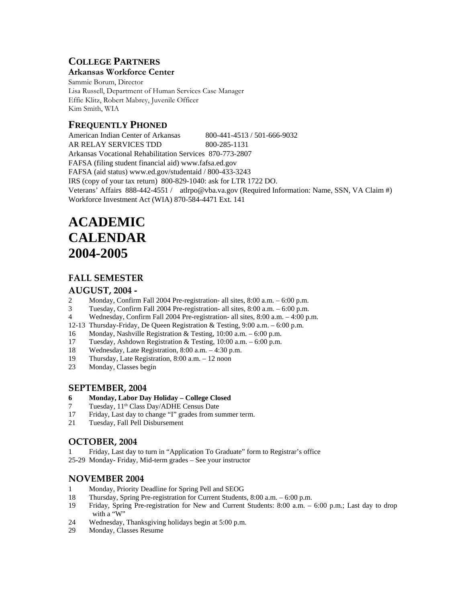# **COLLEGE PARTNERS**

# **Arkansas Workforce Center**

Sammie Borum, Director Lisa Russell, Department of Human Services Case Manager Effie Klitz, Robert Mabrey, Juvenile Officer Kim Smith, WIA

# **FREQUENTLY PHONED**

American Indian Center of Arkansas 800-441-4513 / 501-666-9032 AR RELAY SERVICES TDD 800-285-1131 Arkansas Vocational Rehabilitation Services 870-773-2807 FAFSA (filing student financial aid) www.fafsa.ed.gov FAFSA (aid status) www.ed.gov/studentaid / 800-433-3243 IRS (copy of your tax return) 800-829-1040: ask for LTR 1722 DO. Veterans' Affairs 888-442-4551 / atlrpo@vba.va.gov (Required Information: Name, SSN, VA Claim #) Workforce Investment Act (WIA) 870-584-4471 Ext. 141

# **ACADEMIC CALENDAR 2004-2005**

# **FALL SEMESTER**

# **AUGUST, 2004 ‐**

- 2 Monday, Confirm Fall 2004 Pre-registration- all sites, 8:00 a.m. 6:00 p.m.
- 3 Tuesday, Confirm Fall 2004 Pre-registration- all sites, 8:00 a.m. 6:00 p.m.
- 4 Wednesday, Confirm Fall 2004 Pre-registration- all sites, 8:00 a.m. 4:00 p.m.
- 12-13 Thursday-Friday, De Queen Registration & Testing, 9:00 a.m. 6:00 p.m.
- 16 Monday, Nashville Registration & Testing, 10:00 a.m. 6:00 p.m.
- 17 Tuesday, Ashdown Registration & Testing, 10:00 a.m. 6:00 p.m.
- 18 Wednesday, Late Registration, 8:00 a.m. 4:30 p.m.
- 19 Thursday, Late Registration, 8:00 a.m. 12 noon
- 23 Monday, Classes begin

# **SEPTEMBER, 2004**

### **6 Monday, Labor Day Holiday – College Closed**

- 7 Tuesday,  $11^{\text{th}}$  Class Day/ADHE Census Date<br>17 Friday. Last day to change "I" grades from su
- Friday, Last day to change "I" grades from summer term.
- 21 Tuesday, Fall Pell Disbursement

# **OCTOBER, 2004**

- 1 Friday, Last day to turn in "Application To Graduate" form to Registrar's office
- 25-29 Monday- Friday, Mid-term grades See your instructor

# **NOVEMBER 2004**

- 1 Monday, Priority Deadline for Spring Pell and SEOG
- 18 Thursday, Spring Pre-registration for Current Students, 8:00 a.m. 6:00 p.m.
- 19 Friday, Spring Pre-registration for New and Current Students: 8:00 a.m. 6:00 p.m.; Last day to drop with a "W"
- 24 Wednesday, Thanksgiving holidays begin at 5:00 p.m.<br>29 Monday, Classes Resume
- Monday, Classes Resume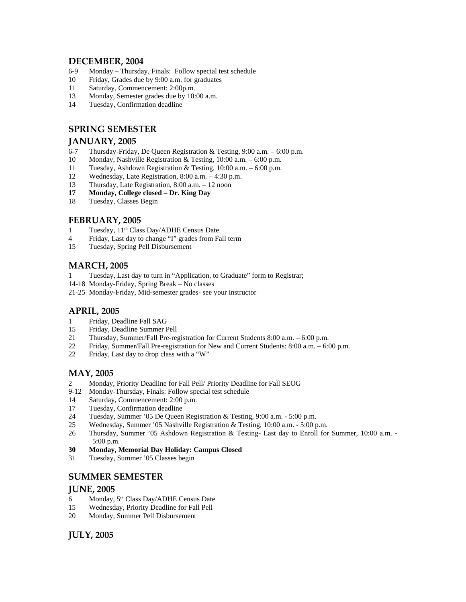# **DECEMBER, 2004**

- 6-9 Monday Thursday, Finals: Follow special test schedule
- 10 Friday, Grades due by 9:00 a.m. for graduates
- 11 Saturday, Commencement: 2:00p.m.
- 13 Monday, Semester grades due by 10:00 a.m.
- 14 Tuesday, Confirmation deadline

# **SPRING SEMESTER**

# **JANUARY, 2005**

- 6-7 Thursday-Friday, De Queen Registration & Testing, 9:00 a.m. 6:00 p.m.
- 10 Monday, Nashville Registration & Testing, 10:00 a.m. 6:00 p.m.
- 11 Tuesday, Ashdown Registration & Testing, 10:00 a.m. 6:00 p.m.
- 12 Wednesday, Late Registration, 8:00 a.m. 4:30 p.m.
- 13 Thursday, Late Registration, 8:00 a.m. 12 noon
- **17 Monday, College closed Dr. King Day**
- 18 Tuesday, Classes Begin

# **FEBRUARY, 2005**

- 1 Tuesday, 11th Class Day/ADHE Census Date
- 4 Friday, Last day to change "I" grades from Fall term
- 15 Tuesday, Spring Pell Disbursement

# **MARCH, 2005**

- 1 Tuesday, Last day to turn in "Application, to Graduate" form to Registrar;
- 14-18 Monday-Friday, Spring Break No classes
- 21-25 Monday-Friday, Mid-semester grades- see your instructor

# **APRIL, 2005**

- 1 Friday, Deadline Fall SAG
- 15 Friday, Deadline Summer Pell
- 21 Thursday, Summer/Fall Pre-registration for Current Students 8:00 a.m. 6:00 p.m.
- 22 Friday, Summer/Fall Pre-registration for New and Current Students: 8:00 a.m. 6:00 p.m.
- 22 Friday, Last day to drop class with a "W"

# **MAY, 2005**

- 2 Monday, Priority Deadline for Fall Pell/ Priority Deadline for Fall SEOG
- 9-12 Monday-Thursday, Finals: Follow special test schedule
- 14 Saturday, Commencement: 2:00 p.m.
- 17 Tuesday, Confirmation deadline
- 24 Tuesday, Summer '05 De Queen Registration & Testing, 9:00 a.m. 5:00 p.m.
- 25 Wednesday, Summer '05 Nashville Registration & Testing, 10:00 a.m. 5:00 p.m.
- 26 Thursday, Summer '05 Ashdown Registration & Testing- Last day to Enroll for Summer, 10:00 a.m. 5:00 p.m.
- **30 Monday, Memorial Day Holiday: Campus Closed**
- 31 Tuesday, Summer '05 Classes begin

# **SUMMER SEMESTER**

# **JUNE, 2005**

- 6 Monday,  $5<sup>th</sup> Class Day/ADHE Census Date$
- 15 Wednesday, Priority Deadline for Fall Pell
- 20 Monday, Summer Pell Disbursement

**JULY, 2005**